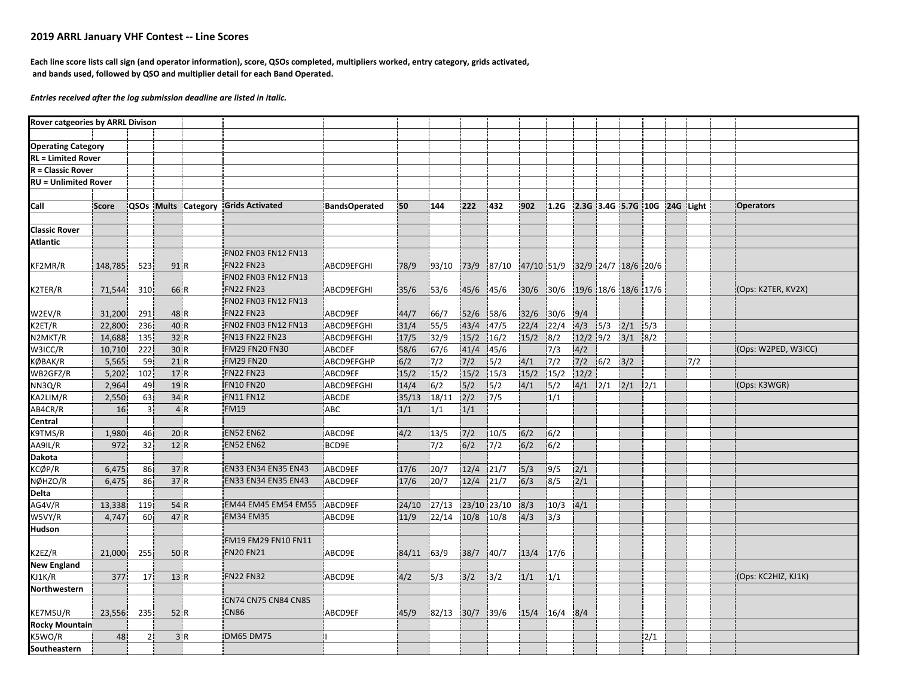## **2019 ARRL January VHF Contest ‐‐ Line Scores**

Each line score lists call sign (and operator information), score, QSOs completed, multipliers worked, entry category, grids activated, **and bands used, followed by QSO and multiplier detail for each Band Operated.**

*Entries received after the log submission deadline are listed in italic.*

| Rover catgeories by ARRL Divison |                 |                |      |                                     |                      |            |            |           |             |                                |                  |                              |     |                    |     |       |                     |
|----------------------------------|-----------------|----------------|------|-------------------------------------|----------------------|------------|------------|-----------|-------------|--------------------------------|------------------|------------------------------|-----|--------------------|-----|-------|---------------------|
|                                  |                 |                |      |                                     |                      |            |            |           |             |                                |                  |                              |     |                    |     |       |                     |
| <b>Operating Category</b>        |                 |                |      |                                     |                      |            |            |           |             |                                |                  |                              |     |                    |     |       |                     |
| <b>RL</b> = Limited Rover        |                 |                |      |                                     |                      |            |            |           |             |                                |                  |                              |     |                    |     |       |                     |
| $R =$ Classic Rover              |                 |                |      |                                     |                      |            |            |           |             |                                |                  |                              |     |                    |     |       |                     |
| <b>RU = Unlimited Rover</b>      |                 |                |      |                                     |                      |            |            |           |             |                                |                  |                              |     |                    |     |       |                     |
|                                  |                 |                |      |                                     |                      |            |            |           |             |                                |                  |                              |     |                    |     |       |                     |
| Call                             | Score           |                |      | QSOs Mults Category Grids Activated | <b>BandsOperated</b> | 50         | 144        | 222       | 432         | 902                            | 1.2G             | 2.3G 3.4G 5.7G 10G 24G Light |     |                    |     |       | <b>Operators</b>    |
|                                  |                 |                |      |                                     |                      |            |            |           |             |                                |                  |                              |     |                    |     |       |                     |
| <b>Classic Rover</b>             |                 |                |      |                                     |                      |            |            |           |             |                                |                  |                              |     |                    |     |       |                     |
| <b>Atlantic</b>                  |                 |                |      |                                     |                      |            |            |           |             |                                |                  |                              |     |                    |     |       |                     |
|                                  |                 |                |      | FN02 FN03 FN12 FN13                 |                      |            |            |           |             |                                |                  |                              |     |                    |     |       |                     |
| KF2MR/R                          | 148,785         | 523            | 91 R | <b>FN22 FN23</b>                    | ABCD9EFGHI           | 78/9       | 93/10      | 73/9      | 87/10       | 47/10 51/9 32/9 24/7 18/6 20/6 |                  |                              |     |                    |     |       |                     |
|                                  |                 |                |      | FN02 FN03 FN12 FN13                 |                      |            |            |           |             |                                |                  |                              |     |                    |     |       |                     |
| K2TER/R                          | 71,544          | 310            | 66 R | <b>FN22 FN23</b>                    | ABCD9EFGHI           | 35/6       | 153/6      | 45/6 45/6 |             | 30/6 30/6 19/6 18/6 18/6 17/6  |                  |                              |     |                    |     |       | (Ops: K2TER, KV2X)  |
|                                  |                 |                |      | FN02 FN03 FN12 FN13                 |                      |            |            |           |             |                                |                  |                              |     |                    |     |       |                     |
| W2EV/R                           | 31,200          | 291            | 48 R | <b>FN22 FN23</b>                    | ABCD9EF              | 44/7       | 66/7       | 52/6      | 58/6        | 32/6                           | 30/6             | 9/4                          |     |                    |     |       |                     |
| K2ET/R                           | 22,800          | 236            | 40 R | FN02 FN03 FN12 FN13                 | ABCD9EFGHI           | 31/4       | 55/5       | 43/4      | 47/5        | 22/4                           | 22/4             | 4/3                          | 5/3 | 2/1                | 5/3 |       |                     |
| N2MKT/R                          | 14,688          | 135            | 32 R | <b>FN13 FN22 FN23</b>               | ABCD9EFGHI           | 17/5       | 32/9       | 15/2      | 16/2        | 15/2                           | $\sqrt{8/2}$     |                              |     | $12/2$ 9/2 3/1 8/2 |     |       |                     |
| W3ICC/R                          | 10,710          | 222            | 30 R | FM29 FN20 FN30                      | ABCDEF               | 58/6       | 67/6       | 41/4      | 45/6        |                                | 7/3              | 4/2                          |     |                    |     |       | (Ops: W2PED, W3ICC) |
| KØBAK/R                          | 5,565           | 59             | 21R  | <b>FM29 FN20</b>                    | ABCD9EFGHP           | 6/2        | 7/2        | $7/2$     | 5/2         | 4/1                            | $\overline{7/2}$ | 7/2                          | 6/2 | 3/2                |     | $7/2$ |                     |
| WB2GFZ/R                         | 5,202           | 102            | 17 R | <b>FN22 FN23</b>                    | ABCD9EF              | 15/2       | 15/2       | 15/2      | 15/3        | 15/2                           | 15/2             | 12/2                         |     |                    |     |       |                     |
| NN3Q/R                           | 2,964           | 49             | 19 R | <b>FN10 FN20</b>                    | ABCD9EFGHI           | 14/4       | 6/2        | 5/2       | 5/2         | 4/1                            | 5/2              | $4/1$ $2/1$                  |     | $2/1$ $2/1$        |     |       | (Ops: K3WGR)        |
| KA2LIM/R                         | 2,550           | 63             | 34R  | <b>FN11 FN12</b>                    | ABCDE                | 35/13      | 18/11      | 2/2       | 7/5         |                                | 1/1              |                              |     |                    |     |       |                     |
| AB4CR/R                          | 16 <sup>1</sup> | 3 <sup>1</sup> | 4R   | <b>FM19</b>                         | ABC                  | 1/1        | 1/1        | $1/1$     |             |                                |                  |                              |     |                    |     |       |                     |
| Central                          |                 |                |      |                                     |                      |            |            |           |             |                                |                  |                              |     |                    |     |       |                     |
| K9TMS/R                          | 1,980           | 46             | 20 R | <b>EN52 EN62</b>                    | ABCD9E               | 4/2        | 13/5       | 7/2       | 10/5        | 6/2                            | $\sqrt{6/2}$     |                              |     |                    |     |       |                     |
| AA9IL/R                          | 972             | 32             | 12 R | <b>EN52 EN62</b>                    | BCD9E                |            | 7/2        | 6/2       | 7/2         | 6/2                            | 6/2              |                              |     |                    |     |       |                     |
| Dakota                           |                 |                |      |                                     |                      |            |            |           |             |                                |                  |                              |     |                    |     |       |                     |
| KCØP/R                           | 6,475           | 86             | 37R  | EN33 EN34 EN35 EN43                 | ABCD9EF              | 17/6       | 20/7       | 12/4      | 21/7        | 5/3                            | 9/5              | 2/1                          |     |                    |     |       |                     |
| NØHZO/R                          | 6,475           | 86             | 37 R | EN33 EN34 EN35 EN43                 | ABCD9EF              | 17/6       | 20/7       | 12/4      | 21/7        | 6/3                            | 8/5              | 2/1                          |     |                    |     |       |                     |
| Delta                            |                 |                |      |                                     |                      |            |            |           |             |                                |                  |                              |     |                    |     |       |                     |
| AG4V/R                           | 13,338          | 119            | 54 R | EM44 EM45 EM54 EM55                 | ABCD9EF              | 24/10      | 27/13      |           | 23/10 23/10 | 8/3                            | 10/3             | 4/1                          |     |                    |     |       |                     |
| W5VY/R                           | 4,747           | 60             | 47 R | <b>EM34 EM35</b>                    | ABCD9E               | 11/9       | 22/14      | 10/8      | 10/8        | 4/3                            | 3/3              |                              |     |                    |     |       |                     |
| Hudson                           |                 |                |      |                                     |                      |            |            |           |             |                                |                  |                              |     |                    |     |       |                     |
|                                  |                 |                |      | FM19 FM29 FN10 FN11                 |                      |            |            |           |             |                                |                  |                              |     |                    |     |       |                     |
| <2EZ/R                           | 21,000          | 255            | 50 R | <b>FN20 FN21</b>                    | ABCD9E               | 84/11 63/9 |            | 38/7      | 140/7       | 13/4                           | 17/6             |                              |     |                    |     |       |                     |
| <b>New England</b>               |                 |                |      |                                     |                      |            |            |           |             |                                |                  |                              |     |                    |     |       |                     |
| KJ1K/R                           | 377             | 17             | 13 R | <b>FN22 FN32</b>                    | ABCD9E               | 4/2        | 5/3        | 3/2       | 3/2         | 1/1                            | 1/1              |                              |     |                    |     |       | (Ops: KC2HIZ, KJ1K) |
| Northwestern                     |                 |                |      |                                     |                      |            |            |           |             |                                |                  |                              |     |                    |     |       |                     |
|                                  |                 |                |      | CN74 CN75 CN84 CN85                 |                      |            |            |           |             |                                |                  |                              |     |                    |     |       |                     |
| KE7MSU/R                         | 23,556          | 235            | 52 R | <b>CN86</b>                         | ABCD9EF              | 45/9       | 82/13 30/7 |           | 39/6        | 15/4 16/4 8/4                  |                  |                              |     |                    |     |       |                     |
| <b>Rocky Mountain</b>            |                 |                |      |                                     |                      |            |            |           |             |                                |                  |                              |     |                    |     |       |                     |
| K5WO/R                           | 48              | 2              | 3R   | DM65 DM75                           |                      |            |            |           |             |                                |                  |                              |     |                    | 2/1 |       |                     |
| Southeastern                     |                 |                |      |                                     |                      |            |            |           |             |                                |                  |                              |     |                    |     |       |                     |
|                                  |                 |                |      |                                     |                      |            |            |           |             |                                |                  |                              |     |                    |     |       |                     |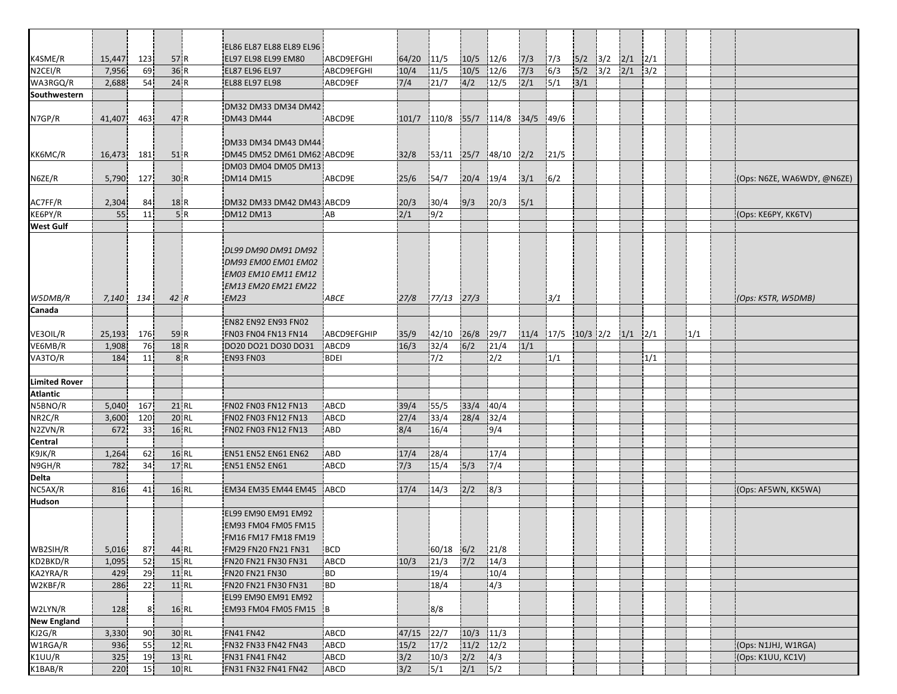|                      |              |          |                  | EL86 EL87 EL88 EL89 EL96                      |                    |             |                     |               |                  |      |                          |     |                         |     |      |     |                            |
|----------------------|--------------|----------|------------------|-----------------------------------------------|--------------------|-------------|---------------------|---------------|------------------|------|--------------------------|-----|-------------------------|-----|------|-----|----------------------------|
| K4SME/R              | 15,447       | 123      | 57 R             | EL97 EL98 EL99 EM80                           | <b>ABCD9EFGHI</b>  | 64/20       | 11/5                | 10/5          | 12/6             | 7/3  | 7/3                      |     | $5/2$ $3/2$ $2/1$ $2/1$ |     |      |     |                            |
| N <sub>2</sub> CEI/R | 7,956        | 69       | 36 R             | <b>EL87 EL96 EL97</b>                         | ABCD9EFGHI         | 10/4        | 11/5                | 10/5          | 12/6             | 7/3  | 6/3                      | 5/2 | 3/2                     | 2/1 | 3/2  |     |                            |
| WA3RGQ/R             | 2,688        | 54       | 24 R             | <b>EL88 EL97 EL98</b>                         | ABCD9EF            | 7/4         | 21/7                | 4/2           | 12/5             | 2/1  | 5/1                      | 3/1 |                         |     |      |     |                            |
| Southwestern         |              |          |                  |                                               |                    |             |                     |               |                  |      |                          |     |                         |     |      |     |                            |
|                      |              |          |                  | DM32 DM33 DM34 DM42                           |                    |             |                     |               |                  |      |                          |     |                         |     |      |     |                            |
| N7GP/R               | 41,407       | 463      | 47 R             | <b>DM43 DM44</b>                              | ABCD9E             | 101/7       | 110/8               | 55/7          | 114/8            | 34/5 | 49/6                     |     |                         |     |      |     |                            |
|                      |              |          |                  |                                               |                    |             |                     |               |                  |      |                          |     |                         |     |      |     |                            |
|                      |              |          |                  | DM33 DM34 DM43 DM44                           |                    |             |                     |               |                  |      |                          |     |                         |     |      |     |                            |
| KK6MC/R              | 16,473       | 181      | 51 R             | DM45 DM52 DM61 DM62 ABCD9E                    |                    | 32/8        | 53/11               |               | $25/7$ 48/10 2/2 |      | 21/5                     |     |                         |     |      |     |                            |
|                      |              |          |                  | DM03 DM04 DM05 DM13                           |                    |             |                     |               |                  |      |                          |     |                         |     |      |     |                            |
| N6ZE/R               | 5,790        | 127      | 30 R             | <b>DM14 DM15</b>                              | ABCD9E             | 25/6        | 54/7                | $20/4$ 19/4   |                  | 3/1  | 6/2                      |     |                         |     |      |     | (Ops: N6ZE, WA6WDY, @N6ZE) |
|                      |              |          |                  |                                               |                    |             |                     |               |                  |      |                          |     |                         |     |      |     |                            |
| AC7FF/R<br>KE6PY/R   | 2,304<br>55  | 84<br>11 | 18 R<br>5R       | DM32 DM33 DM42 DM43 ABCD9<br><b>DM12 DM13</b> | AB                 | 20/3<br>2/1 | 30/4<br>9/2         | 9/3           | 120/3            | 5/1  |                          |     |                         |     |      |     | (Ops: KE6PY, KK6TV)        |
| <b>West Gulf</b>     |              |          |                  |                                               |                    |             |                     |               |                  |      |                          |     |                         |     |      |     |                            |
|                      |              |          |                  |                                               |                    |             |                     |               |                  |      |                          |     |                         |     |      |     |                            |
|                      |              |          |                  | DL99 DM90 DM91 DM92                           |                    |             |                     |               |                  |      |                          |     |                         |     |      |     |                            |
|                      |              |          |                  | <b>DM93 EM00 EM01 EM02</b>                    |                    |             |                     |               |                  |      |                          |     |                         |     |      |     |                            |
|                      |              |          |                  | EM03 EM10 EM11 EM12                           |                    |             |                     |               |                  |      |                          |     |                         |     |      |     |                            |
|                      |              |          |                  | <b>EM13 EM20 EM21 EM22</b>                    |                    |             |                     |               |                  |      |                          |     |                         |     |      |     |                            |
| W5DMB/R              | 7,140        | 134      | 42 R             | <b>EM23</b>                                   | ABCE               | 27/8        | 77/13               | 27/3          |                  |      | 3/1                      |     |                         |     |      |     | (Ops: K5TR, W5DMB)         |
| Canada               |              |          |                  |                                               |                    |             |                     |               |                  |      |                          |     |                         |     |      |     |                            |
|                      |              |          |                  | <b>EN82 EN92 EN93 FN02</b>                    |                    |             |                     |               |                  |      |                          |     |                         |     |      |     |                            |
| VE3OIL/R             | 25,193       | 176      | 59 R             | FN03 FN04 FN13 FN14                           | ABCD9EFGHIP        | 35/9        | 42/10               | 26/8          | 129/7            | 11/4 | $ 17/5 $ $ 10/3 2/2 1/1$ |     |                         |     | 12/1 | 1/1 |                            |
| VE6MB/R              | 1,908        | 76       | 18R              | DO20 DO21 DO30 DO31                           | ABCD9              | 16/3        | 32/4                | 6/2           | 21/4             | 1/1  |                          |     |                         |     |      |     |                            |
| VA3TO/R              | 184          | 11       | 8R               | <b>EN93 FN03</b>                              | <b>BDEI</b>        |             | 7/2                 |               | 2/2              |      | 1/1                      |     |                         |     | 1/1  |     |                            |
|                      |              |          |                  |                                               |                    |             |                     |               |                  |      |                          |     |                         |     |      |     |                            |
| <b>Limited Rover</b> |              |          |                  |                                               |                    |             |                     |               |                  |      |                          |     |                         |     |      |     |                            |
| <b>Atlantic</b>      |              |          |                  |                                               |                    |             |                     |               |                  |      |                          |     |                         |     |      |     |                            |
| N5BNO/R              | 5,040        | 167      | 21 RL            | FN02 FN03 FN12 FN13                           | <b>ABCD</b>        | 39/4        | 55/5                | 33/4          | 40/4             |      |                          |     |                         |     |      |     |                            |
| NR2C/R               | 3,600        | 120      | 20 RL            | FN02 FN03 FN12 FN13                           | ABCD               | 27/4        | 33/4                | 28/4          | 32/4             |      |                          |     |                         |     |      |     |                            |
| N2ZVN/R              | 672          | 33       | 16 RL            | FN02 FN03 FN12 FN13                           | ABD                | 8/4         | 16/4                |               | 9/4              |      |                          |     |                         |     |      |     |                            |
| <b>Central</b>       |              |          |                  |                                               |                    |             |                     |               |                  |      |                          |     |                         |     |      |     |                            |
| K9JK/R               | 1,264        | 62       | 16 RL            | EN51 EN52 EN61 EN62                           | ABD                | 17/4        | 28/4                |               | 17/4             |      |                          |     |                         |     |      |     |                            |
| N9GH/R               | 782          | 34       | 17 RL            | <b>EN51 EN52 EN61</b>                         | ABCD               | 7/3         | 15/4                | 5/3           | $\overline{7/4}$ |      |                          |     |                         |     |      |     |                            |
| Delta                |              |          |                  |                                               |                    |             |                     |               |                  |      |                          |     |                         |     |      |     |                            |
| NC5AX/R              | 816          | 41       | <b>16 RL</b>     | EM34 EM35 EM44 EM45                           | ABCD               | 17/4        | 14/3                | 2/2           | 8/3              |      |                          |     |                         |     |      |     | (Ops: AF5WN, KK5WA)        |
| <b>Hudson</b>        |              |          |                  |                                               |                    |             |                     |               |                  |      |                          |     |                         |     |      |     |                            |
|                      |              |          |                  | EL99 EM90 EM91 EM92                           |                    |             |                     |               |                  |      |                          |     |                         |     |      |     |                            |
|                      |              |          |                  | <b>EM93 FM04 FM05 FM15</b>                    |                    |             |                     |               |                  |      |                          |     |                         |     |      |     |                            |
|                      |              |          |                  | FM16 FM17 FM18 FM19                           |                    |             |                     |               |                  |      |                          |     |                         |     |      |     |                            |
| WB2SIH/R<br>KD2BKD/R | 5,016        | 87<br>52 | 44 RL<br>$15$ RL | FM29 FN20 FN21 FN31<br>FN20 FN21 FN30 FN31    | <b>BCD</b><br>ABCD | 10/3        | $60/18$ 6/2<br>21/3 | $\frac{7}{2}$ | 121/8<br>14/3    |      |                          |     |                         |     |      |     |                            |
| KA2YRA/R             | 1,095<br>429 | 29       | 11 RL            | <b>FN20 FN21 FN30</b>                         | BD                 |             | 19/4                |               | 10/4             |      |                          |     |                         |     |      |     |                            |
| W2KBF/R              | 286          | 22       | 11 RL            | FN20 FN21 FN30 FN31                           | <b>BD</b>          |             | 18/4                |               | 4/3              |      |                          |     |                         |     |      |     |                            |
|                      |              |          |                  | EL99 EM90 EM91 EM92                           |                    |             |                     |               |                  |      |                          |     |                         |     |      |     |                            |
| W2LYN/R              | 128          | 8        | 16 RL            | EM93 FM04 FM05 FM15                           | ŀΒ                 |             | 8/8                 |               |                  |      |                          |     |                         |     |      |     |                            |
| <b>New England</b>   |              |          |                  |                                               |                    |             |                     |               |                  |      |                          |     |                         |     |      |     |                            |
| KJ2G/R               | 3,330        | 90       | 30 RL            | <b>FN41 FN42</b>                              | ABCD               | 47/15       | 22/7                | 10/3          | 11/3             |      |                          |     |                         |     |      |     |                            |
| W1RGA/R              | 936          | 55       | <b>12 RL</b>     | FN32 FN33 FN42 FN43                           | ABCD               | 15/2        | 17/2                | $11/2$ $12/2$ |                  |      |                          |     |                         |     |      |     | (Ops: N1JHJ, W1RGA)        |
| K1UU/R               | 325          | 19       | 13 RL            | FN31 FN41 FN42                                | ABCD               | 3/2         | 10/3                | 2/2           | 4/3              |      |                          |     |                         |     |      |     | (Ops: K1UU, KC1V)          |
| K1BAB/R              | 220          | 15       | $10$ RL          | FN31 FN32 FN41 FN42                           | ABCD               | 3/2         | 5/1                 | 2/1           | 5/2              |      |                          |     |                         |     |      |     |                            |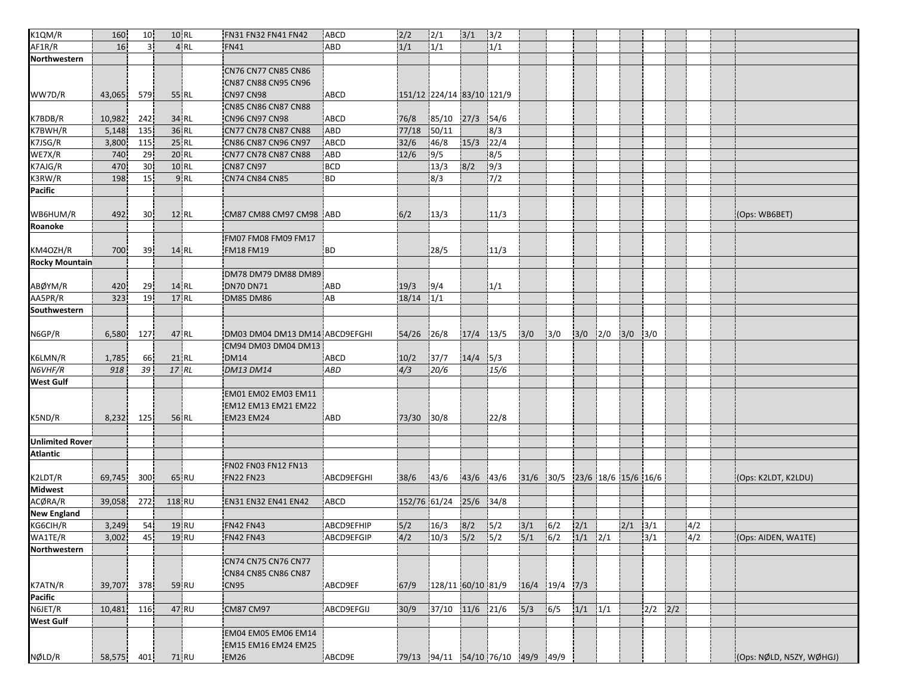| K1QM/R                 | 160        | 10 <sup>1</sup> | 10 RL        | FN31 FN32 FN41 FN42            | ABCD              | 2/2           | 2/1                                              | $3/1$       | 3/2              |     |                                 |             |                         |             |                  |     |                          |
|------------------------|------------|-----------------|--------------|--------------------------------|-------------------|---------------|--------------------------------------------------|-------------|------------------|-----|---------------------------------|-------------|-------------------------|-------------|------------------|-----|--------------------------|
| AF1R/R                 | 16         | 3 <sup>1</sup>  | 4RL          | <b>FN41</b>                    | ABD               | 1/1           | 1/1                                              |             | 1/1              |     |                                 |             |                         |             |                  |     |                          |
| Northwestern           |            |                 |              |                                |                   |               |                                                  |             |                  |     |                                 |             |                         |             |                  |     |                          |
|                        |            |                 |              | CN76 CN77 CN85 CN86            |                   |               |                                                  |             |                  |     |                                 |             |                         |             |                  |     |                          |
|                        |            |                 |              | CN87 CN88 CN95 CN96            |                   |               |                                                  |             |                  |     |                                 |             |                         |             |                  |     |                          |
| WW7D/R                 | 43,065     | 579             | 55 RL        | CN97 CN98                      | ABCD              |               | 151/12 224/14 83/10 121/9                        |             |                  |     |                                 |             |                         |             |                  |     |                          |
|                        |            |                 |              | <b>CN85 CN86 CN87 CN88</b>     |                   |               |                                                  |             |                  |     |                                 |             |                         |             |                  |     |                          |
| K7BDB/R                | 10,982     | 242             | 34 RL        | <b>CN96 CN97 CN98</b>          | <b>ABCD</b>       | 76/8          | 85/10                                            | $27/3$ 54/6 |                  |     |                                 |             |                         |             |                  |     |                          |
| K7BWH/R                | 5,148      | 135             | 36 RL        | CN77 CN78 CN87 CN88            | ABD               | 77/18         | 50/11                                            |             | 8/3              |     |                                 |             |                         |             |                  |     |                          |
| K7JSG/R                |            |                 | 25 RL        | CN86 CN87 CN96 CN97            | ABCD              | 32/6          |                                                  | $15/3$ 22/4 |                  |     |                                 |             |                         |             |                  |     |                          |
|                        | 3,800      | 115             |              |                                |                   |               | 46/8                                             |             |                  |     |                                 |             |                         |             |                  |     |                          |
| WE7X/R                 | 740        | 29              | <b>20 RL</b> | CN77 CN78 CN87 CN88            | <b>ABD</b>        | 12/6          | 9/5                                              |             | 8/5              |     |                                 |             |                         |             |                  |     |                          |
| K7AJG/R                | 470        | 30              | 10 RL        | <b>CN87 CN97</b>               | <b>BCD</b>        |               | 13/3                                             | 8/2         | 9/3              |     |                                 |             |                         |             |                  |     |                          |
| K3RW/R                 | 198        | 15 <sup>1</sup> | 9 RL         | <b>CN74 CN84 CN85</b>          | BD                |               | 8/3                                              |             | $\overline{7/2}$ |     |                                 |             |                         |             |                  |     |                          |
| <b>Pacific</b>         |            |                 |              |                                |                   |               |                                                  |             |                  |     |                                 |             |                         |             |                  |     |                          |
|                        |            |                 |              |                                |                   |               |                                                  |             |                  |     |                                 |             |                         |             |                  |     |                          |
| WB6HUM/R               | 492        | 30              | 12 RL        | CM87 CM88 CM97 CM98 ABD        |                   | 6/2           | 13/3                                             |             | 11/3             |     |                                 |             |                         |             |                  |     | (Ops: WB6BET)            |
| Roanoke                |            |                 |              |                                |                   |               |                                                  |             |                  |     |                                 |             |                         |             |                  |     |                          |
|                        |            |                 |              | FM07 FM08 FM09 FM17            |                   |               |                                                  |             |                  |     |                                 |             |                         |             |                  |     |                          |
| KM4OZH/R               | 700        | 39              | 14 RL        | <b>FM18 FM19</b>               | <b>BD</b>         |               | 28/5                                             |             | 11/3             |     |                                 |             |                         |             |                  |     |                          |
| <b>Rocky Mountain</b>  |            |                 |              |                                |                   |               |                                                  |             |                  |     |                                 |             |                         |             |                  |     |                          |
|                        |            |                 |              | DM78 DM79 DM88 DM89            |                   |               |                                                  |             |                  |     |                                 |             |                         |             |                  |     |                          |
| ABØYM/R                | 420        | 29              | 14 RL        | <b>DN70 DN71</b>               | ABD               | 19/3          | 9/4                                              |             | 1/1              |     |                                 |             |                         |             |                  |     |                          |
| AA5PR/R                | 323        | 19              | 17 RL        | <b>DM85 DM86</b>               | AB                | $18/14$ $1/1$ |                                                  |             |                  |     |                                 |             |                         |             |                  |     |                          |
| Southwestern           |            |                 |              |                                |                   |               |                                                  |             |                  |     |                                 |             |                         |             |                  |     |                          |
|                        |            |                 |              |                                |                   |               |                                                  |             |                  |     |                                 |             |                         |             |                  |     |                          |
|                        |            |                 |              |                                |                   |               |                                                  |             |                  |     |                                 |             |                         |             |                  |     |                          |
| N6GP/R                 | 6,580      | 127             | 47 RL        | DM03 DM04 DM13 DM14 ABCD9EFGHI |                   | 54/26 26/8    |                                                  | $17/4$ 13/5 |                  | 3/0 | 3/0                             |             | $3/0$ $2/0$ $3/0$ $3/0$ |             |                  |     |                          |
|                        |            |                 |              | CM94 DM03 DM04 DM13            |                   |               |                                                  |             |                  |     |                                 |             |                         |             |                  |     |                          |
| K6LMN/R                | 1,785      | 66              | 21 RL        | <b>DM14</b>                    | ABCD              | 10/2          | 37/7                                             | $14/4$ 5/3  |                  |     |                                 |             |                         |             |                  |     |                          |
| N6VHF/R                | 918        | 39              | 17 RL        | <b>DM13 DM14</b>               | ABD               | 4/3           | 20/6                                             |             | 15/6             |     |                                 |             |                         |             |                  |     |                          |
| <b>West Gulf</b>       |            |                 |              |                                |                   |               |                                                  |             |                  |     |                                 |             |                         |             |                  |     |                          |
|                        |            |                 |              | EM01 EM02 EM03 EM11            |                   |               |                                                  |             |                  |     |                                 |             |                         |             |                  |     |                          |
|                        |            |                 |              | EM12 EM13 EM21 EM22            |                   |               |                                                  |             |                  |     |                                 |             |                         |             |                  |     |                          |
| K5ND/R                 | 8,232      | 125             | 56 RL        | <b>EM23 EM24</b>               | <b>ABD</b>        | 73/30         | 30/8                                             |             | 22/8             |     |                                 |             |                         |             |                  |     |                          |
|                        |            |                 |              |                                |                   |               |                                                  |             |                  |     |                                 |             |                         |             |                  |     |                          |
| <b>Unlimited Rover</b> |            |                 |              |                                |                   |               |                                                  |             |                  |     |                                 |             |                         |             |                  |     |                          |
| <b>Atlantic</b>        |            |                 |              |                                |                   |               |                                                  |             |                  |     |                                 |             |                         |             |                  |     |                          |
|                        |            |                 |              | FN02 FN03 FN12 FN13            |                   |               |                                                  |             |                  |     |                                 |             |                         |             |                  |     |                          |
| K2LDT/R                | 69,745     | 300             | 65 RU        | <b>FN22 FN23</b>               | ABCD9EFGHI        | 38/6          | 43/6                                             | 43/6 43/6   |                  |     | $31/6$ 30/5 23/6 18/6 15/6 16/6 |             |                         |             |                  |     | (Ops: K2LDT, K2LDU)      |
| <b>Midwest</b>         |            |                 |              |                                |                   |               |                                                  |             |                  |     |                                 |             |                         |             |                  |     |                          |
|                        |            |                 |              |                                |                   | 152/76 61/24  |                                                  |             |                  |     |                                 |             |                         |             |                  |     |                          |
| ACØRA/R                | 39,058     | 272             | 118 RU       | <b>EN31 EN32 EN41 EN42</b>     | ABCD              |               |                                                  | 25/6        | 34/8             |     |                                 |             |                         |             |                  |     |                          |
| <b>New England</b>     |            |                 |              |                                |                   |               |                                                  |             |                  |     |                                 |             |                         |             |                  |     |                          |
| KG6CIH/R               | 3,249      | 54              | 19 RU        | <b>FN42 FN43</b>               | <b>ABCD9EFHIP</b> | 5/2           | 16/3                                             | $8/2$ 5/2   |                  | 3/1 | 6/2                             | 2/1         |                         | $2/1$ $3/1$ |                  | 4/2 |                          |
| WA1TE/R                | 3,002      | 45              | $19$ RU      | <b>FN42 FN43</b>               | ABCD9EFGIP        |               | $4/2$ $10/3$ $5/2$ $5/2$ $5/1$ $6/2$ $1/1$ $2/1$ |             |                  |     |                                 |             |                         |             | $\frac{1}{3}$ /1 | 4/2 | (Ops: AIDEN, WA1TE)      |
| Northwestern           |            |                 |              |                                |                   |               |                                                  |             |                  |     |                                 |             |                         |             |                  |     |                          |
|                        |            |                 |              | CN74 CN75 CN76 CN77            |                   |               |                                                  |             |                  |     |                                 |             |                         |             |                  |     |                          |
|                        |            |                 |              | CN84 CN85 CN86 CN87            |                   |               |                                                  |             |                  |     |                                 |             |                         |             |                  |     |                          |
| K7ATN/R                | 39,707     | 378             | 59 RU        | <b>CN95</b>                    | ABCD9EF           | 67/9          | 128/11 60/10 81/9                                |             |                  |     | 16/4 19/4 7/3                   |             |                         |             |                  |     |                          |
| Pacific                |            |                 |              |                                |                   |               |                                                  |             |                  |     |                                 |             |                         |             |                  |     |                          |
| N6JET/R                | 10,481     | 116             | 47 RU        | <b>CM87 CM97</b>               | ABCD9EFGIJ        | 30/9          | 37/10 11/6 21/6                                  |             |                  | 5/3 | 6/5                             | $1/1$ $1/1$ |                         |             | $2/2$ $2/2$      |     |                          |
| <b>West Gulf</b>       |            |                 |              |                                |                   |               |                                                  |             |                  |     |                                 |             |                         |             |                  |     |                          |
|                        |            |                 |              | <b>EM04 EM05 EM06 EM14</b>     |                   |               |                                                  |             |                  |     |                                 |             |                         |             |                  |     |                          |
|                        |            |                 |              | EM15 EM16 EM24 EM25            |                   |               |                                                  |             |                  |     |                                 |             |                         |             |                  |     |                          |
|                        | 58,575 401 |                 |              |                                |                   |               | 79/13 94/11 54/10 76/10 49/9 49/9                |             |                  |     |                                 |             |                         |             |                  |     | (Ops: NØLD, N5ZY, WØHGJ) |
| NØLD/R                 |            |                 | 71 RU        | EM26                           | ABCD9E            |               |                                                  |             |                  |     |                                 |             |                         |             |                  |     |                          |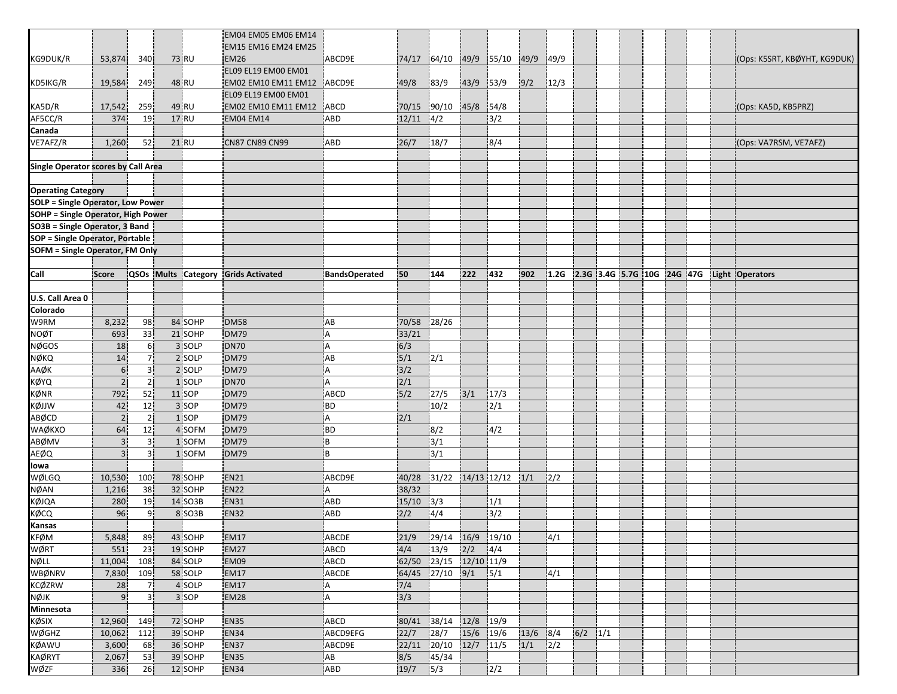|                                           |                |                |                    | EM04 EM05 EM06 EM14                 |                      |       |                               |           |                       |             |              |             |                            |  |  |                              |
|-------------------------------------------|----------------|----------------|--------------------|-------------------------------------|----------------------|-------|-------------------------------|-----------|-----------------------|-------------|--------------|-------------|----------------------------|--|--|------------------------------|
|                                           |                |                |                    | EM15 EM16 EM24 EM25                 |                      |       |                               |           |                       |             |              |             |                            |  |  |                              |
| KG9DUK/R                                  | 53,874         | 340            | 73 RU              | EM26                                | ABCD9E               | 74/17 | $ 64/10$ 49/9 55/10 49/9 49/9 |           |                       |             |              |             |                            |  |  | (Ops: K5SRT, KBØYHT, KG9DUK) |
|                                           |                |                |                    | EL09 EL19 EM00 EM01                 |                      |       |                               |           |                       |             |              |             |                            |  |  |                              |
| KD5IKG/R                                  | 19,584         | 249            | 48 RU              | EM02 EM10 EM11 EM12                 | ABCD9E               | 49/8  | 83/9                          | 43/9      | 53/9                  | 9/2         | 12/3         |             |                            |  |  |                              |
|                                           |                |                |                    | EL09 EL19 EM00 EM01                 |                      |       |                               |           |                       |             |              |             |                            |  |  |                              |
|                                           | 17,542         | 259            | 49 RU              | EM02 EM10 EM11 EM12                 | ABCD                 | 70/15 |                               | 45/8 54/8 |                       |             |              |             |                            |  |  |                              |
| KA5D/R<br>AF5CC/R                         | 374            | 19             | 17 RU              | <b>EM04 EM14</b>                    | <b>ABD</b>           | 12/11 | 90/10                         |           |                       |             |              |             |                            |  |  | (Ops: KA5D, KB5PRZ)          |
|                                           |                |                |                    |                                     |                      |       | 4/2                           |           | 3/2                   |             |              |             |                            |  |  |                              |
| Canada                                    |                |                |                    | <b>CN87 CN89 CN99</b>               |                      |       |                               |           |                       |             |              |             |                            |  |  |                              |
| VE7AFZ/R                                  | 1,260          | 52             | 21 RU              |                                     | <b>ABD</b>           | 26/7  | 18/7                          |           | 8/4                   |             |              |             |                            |  |  | (Ops: VA7RSM, VE7AFZ)        |
|                                           |                |                |                    |                                     |                      |       |                               |           |                       |             |              |             |                            |  |  |                              |
| Single Operator scores by Call Area       |                |                |                    |                                     |                      |       |                               |           |                       |             |              |             |                            |  |  |                              |
|                                           |                |                |                    |                                     |                      |       |                               |           |                       |             |              |             |                            |  |  |                              |
| <b>Operating Category</b>                 |                |                |                    |                                     |                      |       |                               |           |                       |             |              |             |                            |  |  |                              |
| <b>SOLP = Single Operator, Low Power</b>  |                |                |                    |                                     |                      |       |                               |           |                       |             |              |             |                            |  |  |                              |
| <b>SOHP = Single Operator, High Power</b> |                |                |                    |                                     |                      |       |                               |           |                       |             |              |             |                            |  |  |                              |
| SO3B = Single Operator, 3 Band            |                |                |                    |                                     |                      |       |                               |           |                       |             |              |             |                            |  |  |                              |
| SOP = Single Operator, Portable           |                |                |                    |                                     |                      |       |                               |           |                       |             |              |             |                            |  |  |                              |
| SOFM = Single Operator, FM Only           |                |                |                    |                                     |                      |       |                               |           |                       |             |              |             |                            |  |  |                              |
|                                           |                |                |                    |                                     |                      |       |                               |           |                       |             |              |             |                            |  |  |                              |
| Call                                      | <b>Score</b>   |                |                    | QSOs Mults Category Grids Activated | <b>BandsOperated</b> | 50    | 144                           | 222       | 432                   | 902         | 1.2G         |             | 2.3G 3.4G 5.7G 10G 24G 47G |  |  | Light Operators              |
|                                           |                |                |                    |                                     |                      |       |                               |           |                       |             |              |             |                            |  |  |                              |
| U.S. Call Area 0                          |                |                |                    |                                     |                      |       |                               |           |                       |             |              |             |                            |  |  |                              |
| Colorado                                  |                |                |                    |                                     |                      |       |                               |           |                       |             |              |             |                            |  |  |                              |
| W9RM                                      | 8,232          | 98             | 84 SOHP            | <b>DM58</b>                         | AB                   | 70/58 | 28/26                         |           |                       |             |              |             |                            |  |  |                              |
| <b>NOØT</b>                               | 693            | 33             | 21 SOHP            | <b>DM79</b>                         | Α                    | 33/21 |                               |           |                       |             |              |             |                            |  |  |                              |
| <b>NØGOS</b>                              | 18             | 6 <sup>1</sup> | 3 SOLP             | <b>DN70</b>                         | А                    | 6/3   |                               |           |                       |             |              |             |                            |  |  |                              |
| NØKQ                                      | 14             | 7 <sup>1</sup> | 2 SOLP             | <b>DM79</b>                         | AB                   | 5/1   | 2/1                           |           |                       |             |              |             |                            |  |  |                              |
| AAØK                                      | 6 <sup>1</sup> | 3 <sup>1</sup> | 2 SOLP             | <b>DM79</b>                         | Α                    | 3/2   |                               |           |                       |             |              |             |                            |  |  |                              |
| <b>KØYQ</b>                               | $\overline{2}$ | 2 <sup>1</sup> | 1 SOLP             | <b>DN70</b>                         | A                    | 2/1   |                               |           |                       |             |              |             |                            |  |  |                              |
| KØNR                                      | 792            | 52             | 11 SOP             | <b>DM79</b>                         | <b>ABCD</b>          | 5/2   | 27/5                          | 3/1       | 17/3                  |             |              |             |                            |  |  |                              |
| KØJJW                                     | 42             | 12             | 3 SOP              | <b>DM79</b>                         | <b>BD</b>            |       | 10/2                          |           | 2/1                   |             |              |             |                            |  |  |                              |
| ABØCD                                     | $\sqrt{2}$     | 2 <sub>1</sub> | 1 SOP              | <b>DM79</b>                         | A                    | 2/1   |                               |           |                       |             |              |             |                            |  |  |                              |
| WAØKXO                                    | 64             | 12             | 4 SOFM             | <b>DM79</b>                         | BD                   |       | 8/2                           |           | 4/2                   |             |              |             |                            |  |  |                              |
| ABØMV                                     | 3 <sup>1</sup> | $\overline{3}$ | 1 SOFM             | <b>DM79</b>                         | B                    |       | 3/1                           |           |                       |             |              |             |                            |  |  |                              |
| <b>AEØQ</b>                               | 3 <sup>1</sup> | 3 <sup>1</sup> | 1 SOFM             | <b>DM79</b>                         | i B                  |       | 3/1                           |           |                       |             |              |             |                            |  |  |                              |
| lowa                                      |                |                |                    |                                     |                      |       |                               |           |                       |             |              |             |                            |  |  |                              |
| WØLGQ                                     | 10,530         | 100            | 78 SOHP            | <b>EN21</b>                         | ABCD9E               | 40/28 | 31/22                         |           | $14/13$ $12/12$ $1/1$ |             | 2/2          |             |                            |  |  |                              |
| <b>NØAN</b>                               | 1,216          | 38             | 32 SOHP            | EN <sub>22</sub>                    | А                    | 38/32 |                               |           |                       |             |              |             |                            |  |  |                              |
| KØJQA                                     | 280            | 19             | 14 SO3B            | <b>EN31</b>                         | ABD                  | 15/10 | 3/3                           |           | 1/1                   |             |              |             |                            |  |  |                              |
| KØCQ                                      | 96             | 9 <sub>1</sub> | 8 SO3B             | <b>EN32</b>                         | <b>ABD</b>           | 2/2   | 4/4                           |           | 3/2                   |             |              |             |                            |  |  |                              |
| Kansas                                    |                |                |                    |                                     |                      |       |                               |           |                       |             |              |             |                            |  |  |                              |
| <b>KFØM</b>                               | 5,848          | 89             | 43 SOHP            | <b>EM17</b>                         | ABCDE                | 21/9  | 29/14 16/9 19/10              |           |                       |             | $\sqrt{4/1}$ |             |                            |  |  |                              |
| <b>WØRT</b>                               | 551            | 23             | 19 SOHP            | <b>EM27</b>                         | ABCD                 | 4/4   | 13/9                          | 2/2       | 4/4                   |             |              |             |                            |  |  |                              |
| NØLL                                      | 11,004         | 108            | 84 SOLP            | EM09                                | ABCD                 | 62/50 | 23/15 12/10 11/9              |           |                       |             |              |             |                            |  |  |                              |
| <b>WBØNRV</b>                             | 7,830          | 109            | 58 SOLP            | <b>EM17</b>                         | ABCDE                | 64/45 | 27/10                         | 9/1       | 5/1                   |             | 4/1          |             |                            |  |  |                              |
| <b>KCØZRW</b>                             | 28             | 7 <sub>1</sub> | 4 SOLP             | <b>EM17</b>                         | ¦A                   | 7/4   |                               |           |                       |             |              |             |                            |  |  |                              |
| <b>NØJK</b>                               | 9 <sub>1</sub> | 3İ             | 3 SOP              | <b>EM28</b>                         | $\overline{A}$       | 3/3   |                               |           |                       |             |              |             |                            |  |  |                              |
| Minnesota                                 |                |                |                    |                                     |                      |       |                               |           |                       |             |              |             |                            |  |  |                              |
| <b>KØSIX</b>                              | 12,960         | 149            | 72 SOHP            | <b>EN35</b>                         | ABCD                 | 80/41 | 38/14                         | 12/8      | 19/9                  |             |              |             |                            |  |  |                              |
| WØGHZ                                     | 10,062         | 112            | 39 SOHP            | <b>EN34</b>                         | ABCD9EFG             | 22/7  | 28/7                          | 15/6 19/6 |                       |             | 8/4          | $6/2$ $1/1$ |                            |  |  |                              |
| <b>KØAWU</b>                              | 3,600          | 68             | 36 SOHP            | <b>EN37</b>                         | ABCD9E               |       | 22/11 20/10                   | 12/7      | 11/5                  | 13/6<br>1/1 | 2/2          |             |                            |  |  |                              |
| <b>KAØRYT</b>                             |                |                |                    |                                     |                      | 8/5   |                               |           |                       |             |              |             |                            |  |  |                              |
| WØZF                                      | 2,067<br>336   | 53<br>26       | 39 SOHP<br>12 SOHP | <b>EN35</b><br><b>EN34</b>          | AB<br>ABD            | 19/7  | 45/34<br>5/3                  |           | 2/2                   |             |              |             |                            |  |  |                              |
|                                           |                |                |                    |                                     |                      |       |                               |           |                       |             |              |             |                            |  |  |                              |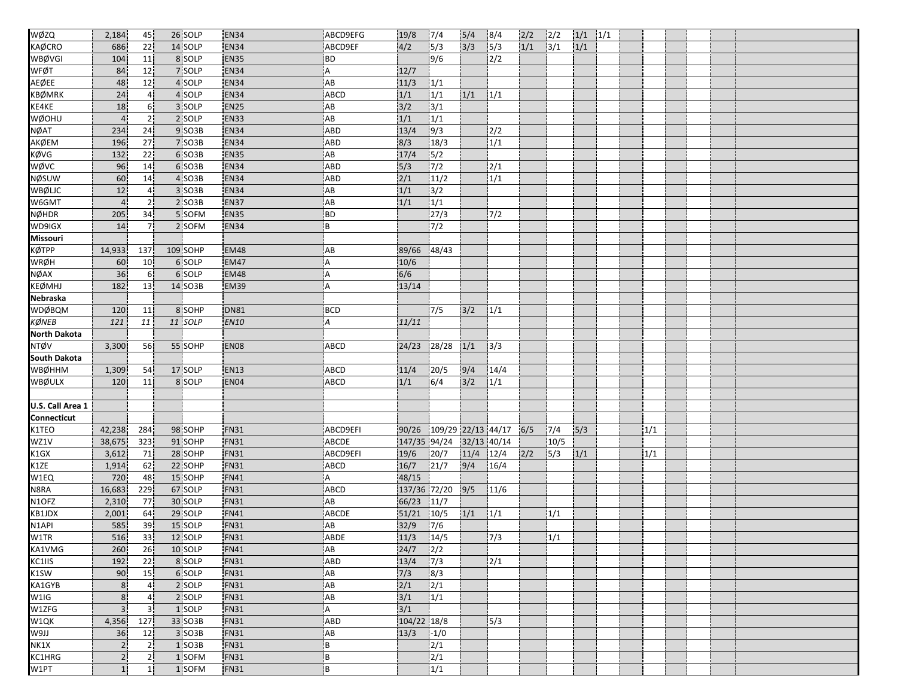| WØZQ                | 2,184          | 45              | 26 SOLP           | <b>EN34</b>      | ABCD9EFG                  | 19/8          | 7/4                | $\overline{\frac{5}{4}}$ | 8/4              | 2/2 | 2/2  | $1/1$ $1/1$ |  |     |  |  |
|---------------------|----------------|-----------------|-------------------|------------------|---------------------------|---------------|--------------------|--------------------------|------------------|-----|------|-------------|--|-----|--|--|
| <b>KAØCRO</b>       | 686            | 22              | 14 SOLP           | <b>EN34</b>      | ABCD9EF                   | 4/2           | 5/3                | 3/3                      | 5/3              | 1/1 | 3/1  | 1/1         |  |     |  |  |
| WBØVGI              | 104            | 11              | 8 SOLP            | <b>EN35</b>      | <b>BD</b>                 |               | 9/6                |                          | $\sqrt{2}/2$     |     |      |             |  |     |  |  |
| WFØT                | 84             | 12              | 7 SOLP            | <b>EN34</b>      | Α                         | 12/7          |                    |                          |                  |     |      |             |  |     |  |  |
| AEØEE               | 48             | 12              | 4 SOLP            | <b>EN34</b>      | AB                        | 11/3          | 1/1                |                          |                  |     |      |             |  |     |  |  |
| KBØMRK              | 24             | 4 <sup>i</sup>  | 4 SOLP            | <b>EN34</b>      | <b>ABCD</b>               | 1/1           | $\overline{1/1}$   | 1/1                      | 1/1              |     |      |             |  |     |  |  |
| KE4KE               | 18             | 6 <sup>1</sup>  | 3 SOLP            | <b>EN25</b>      | AB                        | 3/2           | $\frac{1}{3}$      |                          |                  |     |      |             |  |     |  |  |
| WØOHU               | $\overline{4}$ | 2 <sub>1</sub>  | 2 SOLP            | <b>EN33</b>      | AB                        | 1/1           | 1/1                |                          |                  |     |      |             |  |     |  |  |
| <b>NØAT</b>         | 234            | 24              | 9 SO3B            | <b>EN34</b>      | ABD                       | 13/4          | 9/3                |                          | 2/2              |     |      |             |  |     |  |  |
| АКØЕМ               | 196            | 27              | 7 SO3B            | <b>EN34</b>      | ABD                       | 8/3           | 18/3               |                          | 1/1              |     |      |             |  |     |  |  |
| KØVG                | 132            | 22 <sub>1</sub> | 6 SO3B            | <b>EN35</b>      | AB                        | 17/4          | $\sqrt{5/2}$       |                          |                  |     |      |             |  |     |  |  |
| wøvc                | 96             | 14              | 6 SO3B            | EN34             | ABD                       | 5/3           | 7/2                |                          | 2/1              |     |      |             |  |     |  |  |
| NØSUW               | 60             | 14              | 4 SO3B            | <b>EN34</b>      | <b>ABD</b>                | 2/1           | 11/2               |                          | 1/1              |     |      |             |  |     |  |  |
| WBØLJC              | 12             | 4 <sup>1</sup>  | 3 SO3B            | <b>EN34</b>      | AB                        | 1/1           | 3/2                |                          |                  |     |      |             |  |     |  |  |
| W6GMT               | 4 <sup>1</sup> | 2 <sup>1</sup>  | 2 SO3B            | <b>EN37</b>      | AB                        | 1/1           | 1/1                |                          |                  |     |      |             |  |     |  |  |
| <b>NØHDR</b>        | 205            | 34              | 5 SOFM            | <b>EN35</b>      | <b>BD</b>                 |               | 27/3               |                          | 7/2              |     |      |             |  |     |  |  |
| WD9IGX              | 14             | 7 <sup>1</sup>  | 2 SOFM            | <b>EN34</b>      | B                         |               | $7/2$              |                          |                  |     |      |             |  |     |  |  |
| Missouri            |                |                 |                   |                  |                           |               |                    |                          |                  |     |      |             |  |     |  |  |
| <b>KØTPP</b>        | 14,933         | 137             | 109 SOHP          | <b>EM48</b>      | AB                        | 89/66         | 48/43              |                          |                  |     |      |             |  |     |  |  |
| WRØH                | 60             | 10 <sup>1</sup> | 6 SOLP            | <b>EM47</b>      | Α                         | 10/6          |                    |                          |                  |     |      |             |  |     |  |  |
| NØAX                | 36             | 6 <sup>1</sup>  | 6 SOLP            | <b>EM48</b>      | $\overline{A}$            | 6/6           |                    |                          |                  |     |      |             |  |     |  |  |
| <b>KEØMHJ</b>       | 182            | 13              | 14 SO3B           | <b>EM39</b>      | Α                         | 13/14         |                    |                          |                  |     |      |             |  |     |  |  |
| Nebraska            |                |                 |                   |                  |                           |               |                    |                          |                  |     |      |             |  |     |  |  |
| <b>WDØBQM</b>       | 120            | 11              | 8 SOHP            | <b>DN81</b>      | <b>BCD</b>                |               | 7/5                | 3/2                      | 1/1              |     |      |             |  |     |  |  |
| KØNEB               | 121            | 11              | 11 SOLP           | <b>EN10</b>      | А                         | 11/11         |                    |                          |                  |     |      |             |  |     |  |  |
| <b>North Dakota</b> |                |                 |                   |                  |                           |               |                    |                          |                  |     |      |             |  |     |  |  |
| <b>NTØV</b>         | 3,300          | 56              | 55 SOHP           | EN <sub>08</sub> | <b>ABCD</b>               |               | 24/23 28/28        | 1/1                      | 13/3             |     |      |             |  |     |  |  |
| <b>South Dakota</b> |                |                 |                   |                  |                           |               |                    |                          |                  |     |      |             |  |     |  |  |
| <b>WBØHHM</b>       | 1,309          | 54              | 17 SOLP           | <b>EN13</b>      | ABCD                      | 11/4          | 20/5               | 9/4                      | 14/4             |     |      |             |  |     |  |  |
| <b>WBØULX</b>       | 120            | 11              | 8 SOLP            | EN04             | ABCD                      | 1/1           | 6/4                | 3/2                      | 1/1              |     |      |             |  |     |  |  |
|                     |                |                 |                   |                  |                           |               |                    |                          |                  |     |      |             |  |     |  |  |
| U.S. Call Area 1    |                |                 |                   |                  |                           |               |                    |                          |                  |     |      |             |  |     |  |  |
| Connecticut         |                |                 |                   |                  |                           |               |                    |                          |                  |     |      |             |  |     |  |  |
| K1TEO               | 42,238         | 284             | 98 SOHP           | <b>FN31</b>      | ABCD9EFI                  | 90/26         | 109/29 22/13 44/17 |                          |                  | 6/5 | 7/4  | 5/3         |  | 1/1 |  |  |
| WZ1V                | 38,675         | 323             | 91 SOHP           | <b>FN31</b>      | ABCDE                     |               | 147/35 94/24       |                          | 32/13 40/14      |     | 10/5 |             |  |     |  |  |
| K1GX                | 3,612          | 71              | 28 SOHP           | <b>FN31</b>      | ABCD9EFI                  | 19/6          | 20/7               | 11/4                     | 12/4             | 2/2 | 5/3  | 1/1         |  | 1/1 |  |  |
| K1ZE                | 1,914          | 62              | 22 SOHP           | <b>FN31</b>      | ABCD                      | 16/7          | 21/7               | 9/4                      | 16/4             |     |      |             |  |     |  |  |
| W1EQ                | 720            | 48              | 15 SOHP           | <b>FN41</b>      | A                         | 48/15         |                    |                          |                  |     |      |             |  |     |  |  |
| N8RA                | 16,683         | 229             | 67 SOLP           | <b>FN31</b>      | ABCD                      |               | 137/36 72/20       | 9/5                      | 11/6             |     |      |             |  |     |  |  |
| N1OFZ               | 2,310          | 77              | 30 SOLP           | <b>FN31</b>      | AB                        | 66/23         | 11/7               |                          |                  |     |      |             |  |     |  |  |
| KB1JDX              | 2,001          | 64              | 29 SOLP           | <b>FN41</b>      | <b>ABCDE</b>              | 51/21         | 10/5               | 1/1                      | 1/1              |     | 1/1  |             |  |     |  |  |
| N1API               | 585            | 39              | 15 SOLP           | FN31             | AB                        | 32/9          | 7/6                |                          |                  |     |      |             |  |     |  |  |
| W1TR                | 516            | 33              | 12 SOLP           | <b>FN31</b>      | ABDE                      | $11/3$ $14/5$ |                    |                          | $\overline{7/3}$ |     |      |             |  |     |  |  |
| KA1VMG              | 260            | 26 <sup>1</sup> |                   | <b>FN41</b>      | AB                        |               |                    |                          |                  |     | 1/1  |             |  |     |  |  |
| KC1IIS              |                |                 | 10 SOLP<br>8 SOLP |                  |                           | 24/7          | 2/2                |                          |                  |     |      |             |  |     |  |  |
|                     | 192            | 22              | 6 SOLP            | <b>FN31</b>      | ABD<br>AB                 | 13/4          | 7/3                |                          | 2/1              |     |      |             |  |     |  |  |
| K1SW                | 90             | 15              |                   | <b>FN31</b>      |                           | 7/3           | $\sqrt{8/3}$       |                          |                  |     |      |             |  |     |  |  |
| KA1GYB              | 8 <sup>1</sup> | 4 <sub>1</sub>  | 2 SOLP            | <b>FN31</b>      | AB                        | 2/1           | 2/1                |                          |                  |     |      |             |  |     |  |  |
| W1IG                | 8 <sup>1</sup> | 4 <sup>1</sup>  | 2 SOLP            | <b>FN31</b>      | AB                        | 3/1           | 1/1                |                          |                  |     |      |             |  |     |  |  |
| W1ZFG               | 3 <sup>1</sup> | 3 <sup>1</sup>  | 1 SOLP            | <b>FN31</b>      | $\boldsymbol{\mathsf{A}}$ | 3/1           |                    |                          |                  |     |      |             |  |     |  |  |
| W1QK                | 4,356          | 127             | 33 SO3B           | <b>FN31</b>      | ABD                       | 104/22 18/8   |                    |                          | 5/3              |     |      |             |  |     |  |  |
| LLGW                | 36             | 12              | 3 SO3B            | <b>FN31</b>      | AB                        | 13/3          | $-1/0$             |                          |                  |     |      |             |  |     |  |  |
| NK1X                | 2 <sub>1</sub> | 2 <sub>1</sub>  | 1 SO3B            | <b>FN31</b>      | B                         |               | $\sqrt{2/1}$       |                          |                  |     |      |             |  |     |  |  |
| KC1HRG              | 2 <sub>1</sub> | 2 <sub>1</sub>  | 1 SOFM            | <b>FN31</b>      | B                         |               | 2/1                |                          |                  |     |      |             |  |     |  |  |
| W1PT                |                | 1 <sup>1</sup>  | 1 SOFM            | <b>FN31</b>      | B                         |               | $\overline{1/1}$   |                          |                  |     |      |             |  |     |  |  |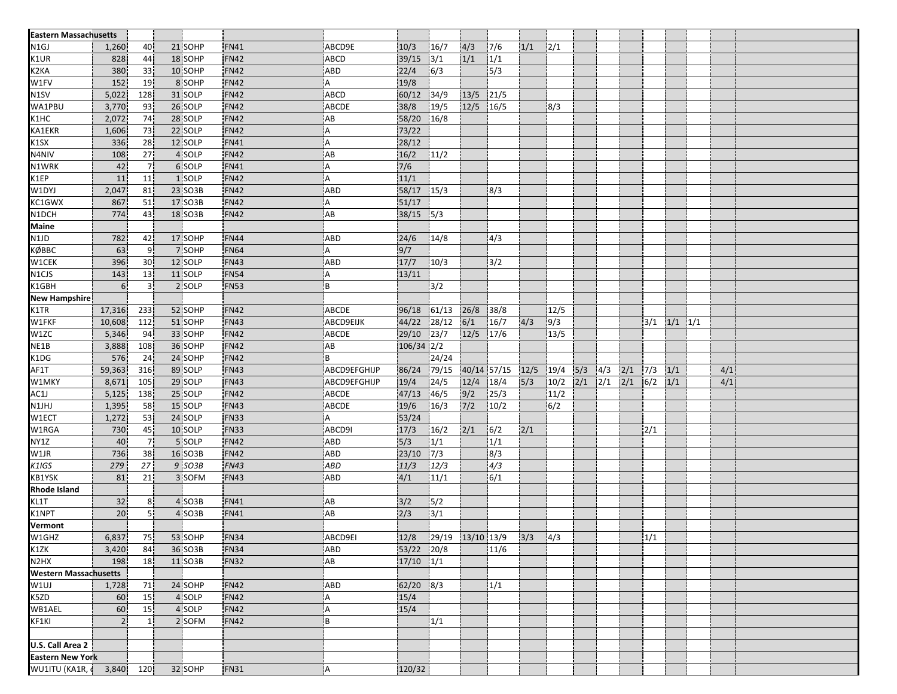| <b>Eastern Massachusetts</b>  |                  |                 |         |                  |                           |                         |       |       |                                           |      |      |             |     |     |      |             |     |  |
|-------------------------------|------------------|-----------------|---------|------------------|---------------------------|-------------------------|-------|-------|-------------------------------------------|------|------|-------------|-----|-----|------|-------------|-----|--|
| N <sub>1</sub> GJ             | 1,260            | 40              | 21 SOHP | <b>FN41</b>      | ABCD9E                    | 10/3                    | 16/7  | 4/3   | 7/6                                       | 1/1  | 2/1  |             |     |     |      |             |     |  |
| K1UR                          | 828              | 44              | 18 SOHP | <b>FN42</b>      | <b>ABCD</b>               | 39/15                   | 3/1   | 1/1   | 1/1                                       |      |      |             |     |     |      |             |     |  |
| K <sub>2</sub> KA             | 380              | 33              | 10 SOHP | <b>FN42</b>      | <b>ABD</b>                | 22/4                    | 6/3   |       | 5/3                                       |      |      |             |     |     |      |             |     |  |
| W1FV                          | 152              | 19              | 8 SOHP  | <b>FN42</b>      | Α                         | 19/8                    |       |       |                                           |      |      |             |     |     |      |             |     |  |
| N <sub>1</sub> SV             | 5,022            | 128             | 31 SOLP | <b>FN42</b>      | <b>ABCD</b>               | 60/12                   | 34/9  | 13/5  | 121/5                                     |      |      |             |     |     |      |             |     |  |
| WA1PBU                        | 3,770            | 93              | 26 SOLP | FN42             | ABCDE                     | 38/8                    | 19/5  | 12/5  | 16/5                                      |      | 8/3  |             |     |     |      |             |     |  |
| K1HC                          | 2,072            | 74              | 28 SOLP | <b>FN42</b>      | AB                        | 58/20                   | 16/8  |       |                                           |      |      |             |     |     |      |             |     |  |
| KA1EKR                        | 1,606            | 73              | 22 SOLP | <b>FN42</b>      | A                         | 73/22                   |       |       |                                           |      |      |             |     |     |      |             |     |  |
| K1SX                          | 336              | 28              | 12 SOLP | <b>FN41</b>      | ΙA.                       | 28/12                   |       |       |                                           |      |      |             |     |     |      |             |     |  |
| N4NIV                         | 108              | 27              | 4 SOLP  | <b>FN42</b>      | AB                        | 16/2                    | 11/2  |       |                                           |      |      |             |     |     |      |             |     |  |
| N1WRK                         | 42               | 7 <sup>1</sup>  | 6 SOLP  | FN41             | ΙA                        | 7/6                     |       |       |                                           |      |      |             |     |     |      |             |     |  |
| K1EP                          | 11               | 11              | 1 SOLP  | <b>FN42</b>      | ۱A                        | 11/1                    |       |       |                                           |      |      |             |     |     |      |             |     |  |
| W1DYJ                         | 2,047            | 81              | 23 SO3B | <b>FN42</b>      | <b>ABD</b>                | 58/17 15/3              |       |       | 8/3                                       |      |      |             |     |     |      |             |     |  |
| KC1GWX                        | 867              | 51              | 17 SO3B | <b>FN42</b>      | l A                       | 51/17                   |       |       |                                           |      |      |             |     |     |      |             |     |  |
| N1DCH                         | 774              | 43              | 18 SO3B | <b>FN42</b>      | AB                        | 38/15 5/3               |       |       |                                           |      |      |             |     |     |      |             |     |  |
| <b>Maine</b>                  |                  |                 |         |                  |                           |                         |       |       |                                           |      |      |             |     |     |      |             |     |  |
| N1JD                          | 782              | 42              | 17 SOHP | FN44             | ABD                       | 24/6                    | 14/8  |       | 4/3                                       |      |      |             |     |     |      |             |     |  |
| КØВВС                         | 63               | 9               | 7 SOHP  | <b>FN64</b>      | i A                       | 9/7                     |       |       |                                           |      |      |             |     |     |      |             |     |  |
| W1CEK                         | 396              | 30              | 12 SOLP | <b>FN43</b>      | <b>ABD</b>                | 17/7                    | 10/3  |       | 3/2                                       |      |      |             |     |     |      |             |     |  |
| N1CJS                         | 143              | 13              | 11 SOLP | FN54             | l A                       | 13/11                   |       |       |                                           |      |      |             |     |     |      |             |     |  |
| K1GBH                         | $6 \overline{6}$ | $\overline{3}$  | 2 SOLP  | <b>FN53</b>      | B                         |                         | 3/2   |       |                                           |      |      |             |     |     |      |             |     |  |
| <b>New Hampshire</b>          |                  |                 |         |                  |                           |                         |       |       |                                           |      |      |             |     |     |      |             |     |  |
| K1TR                          | 17,316           | 233             | 52 SOHP | <b>FN42</b>      | ABCDE                     | 96/18                   | 61/13 | 26/8  | 38/8                                      |      | 12/5 |             |     |     |      |             |     |  |
| W1FKF                         | 10,608           | 112             | 51 SOHP | <b>FN43</b>      | ABCD9EIJK                 | 44/22                   | 28/12 | 6/1   | 16/7                                      | 4/3  | 9/3  |             |     |     | 3/1  | $1/1$ $1/1$ |     |  |
| W1ZC                          | 5,346            | 94              | 33 SOHP | <b>FN42</b>      | <b>ABCDE</b>              | 29/10                   | 23/7  | 12/5  | 17/6                                      |      | 13/5 |             |     |     |      |             |     |  |
| NE <sub>1B</sub>              | 3,888            | 108             | 36 SOHP | FN42             | <b>AB</b>                 | $106/34$ 2/2            |       |       |                                           |      |      |             |     |     |      |             |     |  |
| K1DG                          | 576              | 24              | 24 SOHP | <b>FN42</b>      | B                         |                         | 24/24 |       |                                           |      |      |             |     |     |      |             |     |  |
| AF1T                          | 59,363           | 316             | 89 SOLP | FN43             | ABCD9EFGHIJP              | 86/24                   | 79/15 |       | 40/14 57/15                               | 12/5 | 19/4 | 5/3         | 4/3 | 2/1 | 17/3 | 1/1         | 4/1 |  |
| W1MKY                         | 8,671            | 105             | 29 SOLP | FN43             | ABCD9EFGHIJP              | 19/4                    | 24/5  | 12/4  | 18/4                                      | 5/3  | 10/2 | $2/1$ $2/1$ |     | 2/1 | 6/2  | 1/1         | 4/1 |  |
|                               | 5,125            | 138             | 25 SOLP | <b>FN42</b>      | ABCDE                     | 47/13                   | 46/5  | 9/2   | 25/3                                      |      | 11/2 |             |     |     |      |             |     |  |
| AC1J<br>N1JHJ                 | 1,395            | 58              | 15 SOLP | <b>FN43</b>      | ABCDE                     | 19/6                    | 16/3  | $7/2$ | 10/2                                      |      | 6/2  |             |     |     |      |             |     |  |
| W1ECT                         | 1,272            | 53              | 24 SOLP | FN33             | A                         | 53/24                   |       |       |                                           |      |      |             |     |     |      |             |     |  |
| W1RGA                         | 730              | 45              | 10 SOLP | <b>FN33</b>      | ABCD9I                    | 17/3                    | 16/2  | 2/1   | 6/2                                       | 2/1  |      |             |     |     | 2/1  |             |     |  |
| NY1Z                          | 40               | $\overline{7}$  | 5 SOLP  | <b>FN42</b>      | ABD                       | 5/3                     | 1/1   |       | 1/1                                       |      |      |             |     |     |      |             |     |  |
| W1JR                          | 736              | 38              | 16 SO3B | <b>FN42</b>      | ABD                       | 23/10                   | 7/3   |       | 8/3                                       |      |      |             |     |     |      |             |     |  |
| K1IGS                         | 279              | 27              | 9 SO3B  | <b>FN43</b>      | <b>ABD</b>                | 11/3                    | 12/3  |       | $\sqrt{4/3}$                              |      |      |             |     |     |      |             |     |  |
| <b>KB1YSK</b>                 | 81               | 21              | 3 SOFM  | <b>FN43</b>      | ABD                       | 4/1                     | 11/1  |       | 6/1                                       |      |      |             |     |     |      |             |     |  |
| <b>Rhode Island</b>           |                  |                 |         |                  |                           |                         |       |       |                                           |      |      |             |     |     |      |             |     |  |
| KL1T                          | 32               | 8 <sup>1</sup>  | 4 SO3B  | <b>FN41</b>      | AB                        | 3/2                     | 5/2   |       |                                           |      |      |             |     |     |      |             |     |  |
| K1NPT                         | 20               | 5 <sub>1</sub>  | 4 SO3B  | FN41             | AB                        | 2/3                     | $3/1$ |       |                                           |      |      |             |     |     |      |             |     |  |
| Vermont                       |                  |                 |         |                  |                           |                         |       |       |                                           |      |      |             |     |     |      |             |     |  |
|                               | 6,837            | 75.             | 53 SOHP | FN <sub>34</sub> | ABCD9EI                   |                         |       |       | $ 12/8 $ $ 29/19 $ $ 13/10 13/9 $ $ 3/3 $ |      | 4/3  |             |     |     | 1/1  |             |     |  |
| W1GHZ<br>K1ZK                 | 3,420            | 84              | 36 SO3B | <b>FN34</b>      | ABD                       | $\overline{53/22}$ 20/8 |       |       | 11/6                                      |      |      |             |     |     |      |             |     |  |
| N <sub>2</sub> H <sub>X</sub> | 198              | 18              | 11 SO3B | FN32             | AB                        | $17/10$ $1/1$           |       |       |                                           |      |      |             |     |     |      |             |     |  |
| <b>Western Massachusetts</b>  |                  |                 |         |                  |                           |                         |       |       |                                           |      |      |             |     |     |      |             |     |  |
| W1UJ                          | 1,728            | 71              | 24 SOHP | <b>FN42</b>      | ABD                       | $62/20$ 8/3             |       |       | 1/1                                       |      |      |             |     |     |      |             |     |  |
| K5ZD                          |                  | 15              | 4 SOLP  | <b>FN42</b>      | IA.                       | 15/4                    |       |       |                                           |      |      |             |     |     |      |             |     |  |
| WB1AEL                        | 60<br>60         | 15 <sup>1</sup> | 4 SOLP  | <b>FN42</b>      | $\boldsymbol{\mathsf{A}}$ | 15/4                    |       |       |                                           |      |      |             |     |     |      |             |     |  |
| KF1KI                         | 2 <sub>1</sub>   | 1 <sub>1</sub>  | 2 SOFM  | <b>FN42</b>      | B                         |                         | 1/1   |       |                                           |      |      |             |     |     |      |             |     |  |
|                               |                  |                 |         |                  |                           |                         |       |       |                                           |      |      |             |     |     |      |             |     |  |
| U.S. Call Area 2              |                  |                 |         |                  |                           |                         |       |       |                                           |      |      |             |     |     |      |             |     |  |
| <b>Eastern New York</b>       |                  |                 |         |                  |                           |                         |       |       |                                           |      |      |             |     |     |      |             |     |  |
| WU1ITU (KA1R, 3,840)          |                  |                 |         |                  |                           |                         |       |       |                                           |      |      |             |     |     |      |             |     |  |
|                               |                  | 120             | 32 SOHP | FN31             | ΙA.                       | 120/32                  |       |       |                                           |      |      |             |     |     |      |             |     |  |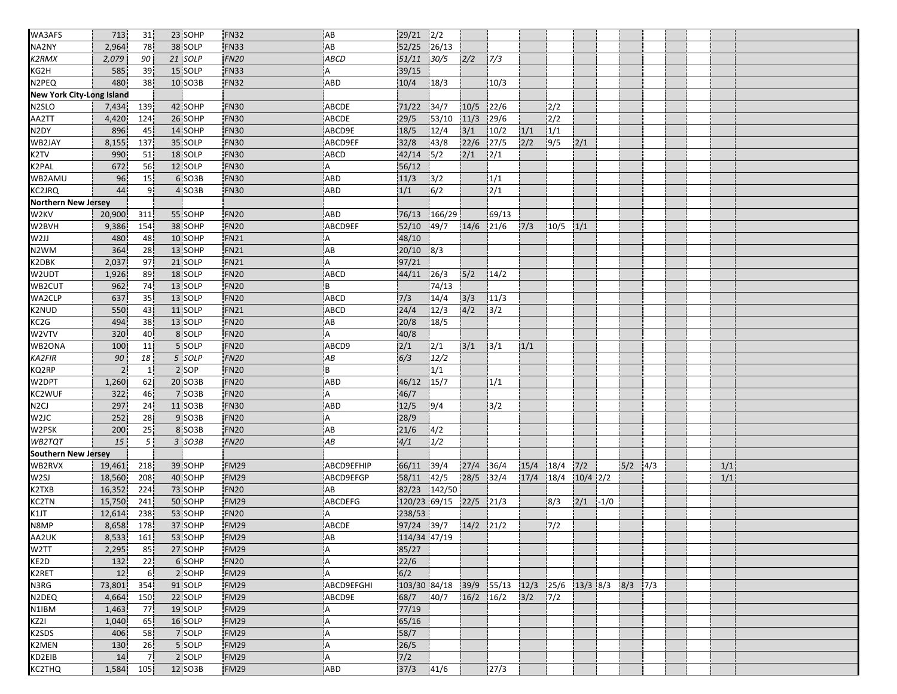| WA3AFS                           | 713            | 31             | 23 SOHP | <b>FN32</b>                     | AB          | $29/21$ $2/2$    |        |               |                                       |      |              |            |        |     |     |  |     |  |
|----------------------------------|----------------|----------------|---------|---------------------------------|-------------|------------------|--------|---------------|---------------------------------------|------|--------------|------------|--------|-----|-----|--|-----|--|
| NA2NY                            | 2,964          | 78             | 38 SOLP | <b>FN33</b>                     | AB          | 52/25            | 26/13  |               |                                       |      |              |            |        |     |     |  |     |  |
| K2RMX                            | 2,079          | 90             | 21 SOLP | <b>FN20</b>                     | <b>ABCD</b> | 51/11            | 30/5   | 2/2           | 7/3                                   |      |              |            |        |     |     |  |     |  |
| KG <sub>2H</sub>                 | 585            | 39             | 15 SOLP | <b>FN33</b>                     | A           | 39/15            |        |               |                                       |      |              |            |        |     |     |  |     |  |
| N <sub>2</sub> PEQ               | 480            | 38             | 10 SO3B | <b>FN32</b>                     | ABD         | 10/4             | 18/3   |               | 10/3                                  |      |              |            |        |     |     |  |     |  |
| <b>New York City-Long Island</b> |                |                |         |                                 |             |                  |        |               |                                       |      |              |            |        |     |     |  |     |  |
| N <sub>2</sub> SLO               | 7,434          | 139            | 42 SOHP | <b>FN30</b>                     | ABCDE       | 71/22            | 34/7   | 10/5          | 22/6                                  |      | 2/2          |            |        |     |     |  |     |  |
| AA2TT                            | 4,420          | 124            | 26 SOHP | <b>FN30</b>                     | ABCDE       | 29/5             | 53/10  | 11/3          | 29/6                                  |      | 2/2          |            |        |     |     |  |     |  |
| N2DY                             | 896            | 45             | 14 SOHP | <b>FN30</b>                     | ABCD9E      | 18/5             | 12/4   | $3/1$         | 10/2                                  | 1/1  | 1/1          |            |        |     |     |  |     |  |
| WB2JAY                           | 8,155          | 137            | 35 SOLP | <b>FN30</b>                     | ABCD9EF     | 32/8             | 43/8   | 22/6          | 27/5                                  | 2/2  | 9/5          | 2/1        |        |     |     |  |     |  |
| K <sub>2</sub> TV                | 990            | 51             | 18 SOLP | <b>FN30</b>                     | <b>ABCD</b> | 42/14            | 5/2    | 2/1           | 2/1                                   |      |              |            |        |     |     |  |     |  |
| <b>K2PAL</b>                     | 672            | 56             | 12 SOLP | <b>FN30</b>                     | A           | 56/12            |        |               |                                       |      |              |            |        |     |     |  |     |  |
| WB2AMU                           | 96             | 15             | 6 SO3B  | <b>FN30</b>                     | ABD         | 11/3             | 3/2    |               | 1/1                                   |      |              |            |        |     |     |  |     |  |
| <b>KC2JRQ</b>                    | 44             | 9              | 4 SO3B  | <b>FN30</b>                     | ABD         | 1/1              | 6/2    |               | 2/1                                   |      |              |            |        |     |     |  |     |  |
| <b>Northern New Jersey</b>       |                |                |         |                                 |             |                  |        |               |                                       |      |              |            |        |     |     |  |     |  |
| W <sub>2KV</sub>                 | 20,900         | 311            | 55 SOHP | <b>FN20</b>                     | ABD         | 76/13            | 166/29 |               | 69/13                                 |      |              |            |        |     |     |  |     |  |
| W2BVH                            | 9,386          | 154            | 38 SOHP | FN <sub>20</sub>                | ABCD9EF     | 52/10            | 49/7   | 14/6 21/6     |                                       | 7/3  | $10/5$ $1/1$ |            |        |     |     |  |     |  |
| W2JJ                             | 480            | 48             | 10 SOHP | <b>FN21</b>                     | A           | 48/10            |        |               |                                       |      |              |            |        |     |     |  |     |  |
| N2WM                             | 364            | 28             | 13 SOHP | <b>FN21</b>                     | AB          | $20/10$ 8/3      |        |               |                                       |      |              |            |        |     |     |  |     |  |
| K <sub>2</sub> D <sub>BK</sub>   |                |                | 21 SOLP |                                 |             |                  |        |               |                                       |      |              |            |        |     |     |  |     |  |
| W <sub>2UDT</sub>                | 2,037          | 97<br>89       | 18 SOLP | <b>FN21</b><br>FN <sub>20</sub> | Α<br>ABCD   | 97/21<br>44/11   |        |               | 14/2                                  |      |              |            |        |     |     |  |     |  |
|                                  | 1,926          |                | 13 SOLP |                                 |             |                  | 26/3   | 5/2           |                                       |      |              |            |        |     |     |  |     |  |
| WB2CUT                           | 962            | 74             |         | <b>FN20</b>                     | B           |                  | 74/13  |               |                                       |      |              |            |        |     |     |  |     |  |
| WA2CLP                           | 637            | 35             | 13 SOLP | <b>FN20</b>                     | <b>ABCD</b> | 7/3              | 14/4   | 3/3           | 11/3                                  |      |              |            |        |     |     |  |     |  |
| <b>K2NUD</b>                     | 550            | 43             | 11 SOLP | <b>FN21</b>                     | <b>ABCD</b> | 24/4             | 12/3   | 4/2           | 3/2                                   |      |              |            |        |     |     |  |     |  |
| KC <sub>2</sub> G                | 494            | 38             | 13 SOLP | <b>FN20</b>                     | AB          | 20/8             | 18/5   |               |                                       |      |              |            |        |     |     |  |     |  |
| W2VTV                            | 320            | 40             | 8 SOLP  | <b>FN20</b>                     | A           | 40/8             |        |               |                                       |      |              |            |        |     |     |  |     |  |
| WB2ONA                           | 100            | 11             | 5 SOLP  | <b>FN20</b>                     | ABCD9       | 2/1              | 2/1    | 3/1           | 3/1                                   | 1/1  |              |            |        |     |     |  |     |  |
| <b>KA2FIR</b>                    | 90             | 18             | 5 SOLP  | <b>FN20</b>                     | АB          | $\overline{6/3}$ | 12/2   |               |                                       |      |              |            |        |     |     |  |     |  |
| KQ2RP                            | $\overline{2}$ | 1 <sub>1</sub> | 2 SOP   | FN <sub>20</sub>                | B           |                  | 1/1    |               |                                       |      |              |            |        |     |     |  |     |  |
| W2DPT                            | 1,260          | 62             | 20 SO3B | <b>FN20</b>                     | ABD         | 46/12            | 15/7   |               | 1/1                                   |      |              |            |        |     |     |  |     |  |
| KC2WUF                           | 322            | 46             | 7 SO3B  | <b>FN20</b>                     | Α           | 46/7             |        |               |                                       |      |              |            |        |     |     |  |     |  |
| N2CJ                             | 297            | 24             | 11 SO3B | <b>FN30</b>                     | <b>ABD</b>  | 12/5             | 9/4    |               | 3/2                                   |      |              |            |        |     |     |  |     |  |
| W <sub>2</sub> JC                | 252            | 28             | 9 SO3B  | <b>FN20</b>                     | Α           | 28/9             |        |               |                                       |      |              |            |        |     |     |  |     |  |
| W2PSK                            | 200            | 25             | 8 SO3B  | <b>FN20</b>                     | AB          | 21/6             | 4/2    |               |                                       |      |              |            |        |     |     |  |     |  |
| WB2TQT                           | 15             | 5 <sup>1</sup> | 3 SO3B  | <b>FN20</b>                     | AB          | 4/1              | 1/2    |               |                                       |      |              |            |        |     |     |  |     |  |
| <b>Southern New Jersey</b>       |                |                |         |                                 |             |                  |        |               |                                       |      |              |            |        |     |     |  |     |  |
| WB2RVX                           | 19,461         | 218            | 39 SOHP | <b>FM29</b>                     | ABCD9EFHIP  | 66/11            | 39/4   | 27/4          | 36/4                                  | 15/4 | 18/4         | 7/2        |        | 5/2 | 4/3 |  | 1/1 |  |
| W <sub>2SJ</sub>                 | 18,560         | 208            | 40 SOHP | <b>FM29</b>                     | ABCD9EFGP   | 58/11            | 42/5   | 28/5          | 32/4                                  | 17/4 | 18/4         | $10/4$ 2/2 |        |     |     |  | 1/1 |  |
| K2TXB                            | 16,352         | 224            | 73 SOHP | <b>FN20</b>                     | AB          | 82/23            | 142/50 |               |                                       |      |              |            |        |     |     |  |     |  |
| KC2TN                            | 15,750         | 241            | 50 SOHP | <b>FM29</b>                     | ABCDEFG     | 120/23 69/15     |        | $22/5$ 21/3   |                                       |      | 8/3          | 2/1        | $-1/0$ |     |     |  |     |  |
| K1JT                             | 12,614         | 238            | 53 SOHP | <b>FN20</b>                     |             | 238/53           |        |               |                                       |      |              |            |        |     |     |  |     |  |
| N8MP                             | 8,658          | 178            | 37 SOHP | <b>FM29</b>                     | ABCDE       | 97/24 39/7       |        | $14/2$ $21/2$ |                                       |      | 7/2          |            |        |     |     |  |     |  |
| AA2UK<br>W2TT                    | 8,533          | 161            | 53 SOHP | FM29                            | AB          | 114/34 47/19     |        |               |                                       |      |              |            |        |     |     |  |     |  |
|                                  | 2,295          | 85             | 27 SOHP | <b>FM29</b>                     | A           | 85/27            |        |               |                                       |      |              |            |        |     |     |  |     |  |
| KE2D                             | 132            | 22             | 6 SOHP  | FN <sub>20</sub>                | A           | 22/6             |        |               |                                       |      |              |            |        |     |     |  |     |  |
| K2RET                            | 12             | 6 <sup>1</sup> | 2 SOHP  | <b>FM29</b>                     | A           | 6/2              |        |               |                                       |      |              |            |        |     |     |  |     |  |
| N3RG                             | 73,801         | 354            | 91 SOLP | <b>FM29</b>                     | ABCD9EFGHI  | 103/30 84/18     |        |               | 39/9 55/13 12/3 25/6 13/3 8/3 8/3 7/3 |      |              |            |        |     |     |  |     |  |
| N2DEQ                            | 4,664          | 150            | 22 SOLP | FM29                            | ABCD9E      | 68/7             | 40/7   | $16/2$ $16/2$ |                                       | 3/2  | 7/2          |            |        |     |     |  |     |  |
| N <sub>1</sub> IBM               | 1,463          | -77            | 19 SOLP | <b>FM29</b>                     |             | 77/19            |        |               |                                       |      |              |            |        |     |     |  |     |  |
| KZ2I                             | 1,040          | 65             | 16 SOLP | <b>FM29</b>                     | A           | 65/16            |        |               |                                       |      |              |            |        |     |     |  |     |  |
| K <sub>2</sub> SDS               | 406            | 58             | 7 SOLP  | FM29                            | A           | 58/7             |        |               |                                       |      |              |            |        |     |     |  |     |  |
| K2MEN                            | 130            | 26             | 5 SOLP  | <b>FM29</b>                     | A           | 26/5             |        |               |                                       |      |              |            |        |     |     |  |     |  |
| KD2EIB                           | 14             | 7.             | 2 SOLP  | <b>FM29</b>                     | Α           | $7/2$            |        |               |                                       |      |              |            |        |     |     |  |     |  |
| <b>KC2THQ</b>                    | 1,584          | 105            | 12 SO3B | <b>FM29</b>                     | ABD         | 37/3             | 41/6   |               | 27/3                                  |      |              |            |        |     |     |  |     |  |
|                                  |                |                |         |                                 |             |                  |        |               |                                       |      |              |            |        |     |     |  |     |  |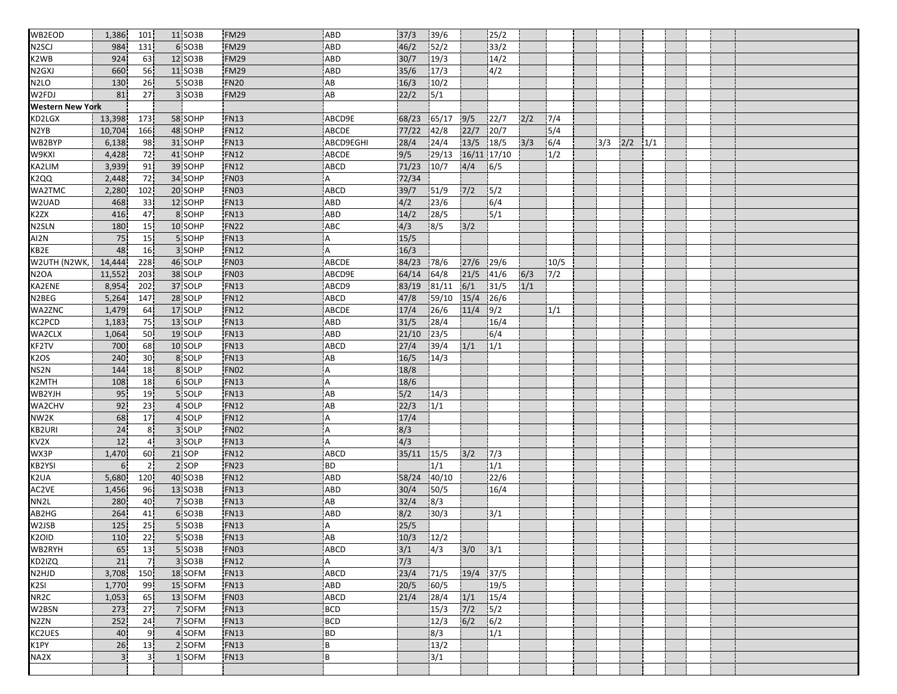| WB2EOD                         | 1,386          | 101                  | 11 SO3B | <b>FM29</b> | ABD                       | 37/3  | 39/6                     |               | 25/2        |     |       |     |     |     |  |  |
|--------------------------------|----------------|----------------------|---------|-------------|---------------------------|-------|--------------------------|---------------|-------------|-----|-------|-----|-----|-----|--|--|
| N <sub>2</sub> SCJ             | 984            | 131                  | 6 SO3B  | <b>FM29</b> | ABD                       | 46/2  | 52/2                     |               | 33/2        |     |       |     |     |     |  |  |
| K <sub>2</sub> W <sub>B</sub>  | 924            | 63                   | 12 SO3B | <b>FM29</b> | ABD                       | 30/7  | 19/3                     |               | 14/2        |     |       |     |     |     |  |  |
| N <sub>2</sub> G <sub>XJ</sub> | 660            | 56                   | 11 SO3B | <b>FM29</b> | ABD                       | 35/6  | 17/3                     |               | 4/2         |     |       |     |     |     |  |  |
| N <sub>2</sub> LO              | 130            | 26                   | 5 SO3B  | <b>FN20</b> | AB                        | 16/3  | 10/2                     |               |             |     |       |     |     |     |  |  |
| W2FDJ                          | 81             | 27                   | 3 SO3B  | <b>FM29</b> | AB                        | 22/2  | $\overline{\frac{5}{1}}$ |               |             |     |       |     |     |     |  |  |
| <b>Western New York</b>        |                |                      |         |             |                           |       |                          |               |             |     |       |     |     |     |  |  |
| KD2LGX                         | 13,398         | 173                  | 58 SOHP | <b>FN13</b> | ABCD9E                    | 68/23 | 165/17                   | 9/5           | 22/7        | 2/2 | 7/4   |     |     |     |  |  |
| N2YB                           | 10,704         | 166                  | 48 SOHP | FN12        | ABCDE                     | 77/22 | 142/8                    | 22/7          | 20/7        |     | 5/4   |     |     |     |  |  |
| WB2BYP                         | 6,138          | 98                   | 31 SOHP | <b>FN13</b> | ABCD9EGHI                 | 28/4  | 24/4                     | 13/5          | 18/5        | 3/3 | 6/4   | 3/3 | 2/2 | 1/1 |  |  |
| W9KXI                          | 4,428          | 72                   | 41 SOHP | <b>FN12</b> | <b>ABCDE</b>              | 9/5   | 29/13                    |               | 16/11 17/10 |     | 1/2   |     |     |     |  |  |
| KA2LIM                         | 3,939          | 91                   | 39 SOHP | FN12        | <b>ABCD</b>               | 71/23 | 10/7                     | 4/4           | 6/5         |     |       |     |     |     |  |  |
| <b>K2QQ</b>                    | 2,448          | 72                   | 34 SOHP | <b>FN03</b> | A                         | 72/34 |                          |               |             |     |       |     |     |     |  |  |
| WA2TMC                         | 2,280          | 102                  | 20 SOHP | FN03        | ABCD                      | 39/7  | 51/9                     | $7/2$         | 5/2         |     |       |     |     |     |  |  |
| W2UAD                          | 468            | 33                   | 12 SOHP | FN13        | <b>ABD</b>                | 4/2   | 23/6                     |               | 6/4         |     |       |     |     |     |  |  |
| K <sub>2</sub> ZX              | 416            | 47                   | 8 SOHP  | <b>FN13</b> | ABD                       | 14/2  | 28/5                     |               | 5/1         |     |       |     |     |     |  |  |
| N <sub>2</sub> SLN             | 180            | 15                   | 10 SOHP | <b>FN22</b> | ABC                       | 4/3   | 8/5                      | 3/2           |             |     |       |     |     |     |  |  |
| AI2N                           | 75             | 15                   | 5 SOHP  | FN13        | Α                         | 15/5  |                          |               |             |     |       |     |     |     |  |  |
| KB2E                           | 48             | 16                   | 3 SOHP  | <b>FN12</b> | A                         | 16/3  |                          |               |             |     |       |     |     |     |  |  |
| W2UTH (N2WK,                   | 14,444         | 228                  | 46 SOLP | FN03        | ABCDE                     | 84/23 | 78/6                     | 27/6          | 29/6        |     | 10/5  |     |     |     |  |  |
| <b>N2OA</b>                    | 11,552         | 203                  | 38 SOLP | FN03        | ABCD9E                    | 64/14 | 64/8                     | 21/5          | 41/6        | 6/3 | $7/2$ |     |     |     |  |  |
| KA2ENE                         | 8,954          | 202                  | 37 SOLP | <b>FN13</b> | ABCD9                     | 83/19 | 81/11                    | 6/1           | 31/5        | 1/1 |       |     |     |     |  |  |
| N2BEG                          | 5,264          | 147                  | 28 SOLP | <b>FN12</b> | ABCD                      | 47/8  | 59/10                    | 15/4          | 26/6        |     |       |     |     |     |  |  |
| <b>WA2ZNC</b>                  | 1,479          | 64                   | 17 SOLP | <b>FN12</b> | ABCDE                     | 17/4  | 26/6                     | 11/4          | 9/2         |     | 1/1   |     |     |     |  |  |
| KC2PCD                         | 1,183          | 75                   | 13 SOLP | <b>FN13</b> | ABD                       | 31/5  | 28/4                     |               | 16/4        |     |       |     |     |     |  |  |
| WA2CLX                         | 1,064          | 50                   | 19 SOLP | <b>FN13</b> | ABD                       | 21/10 | 23/5                     |               | 6/4         |     |       |     |     |     |  |  |
| KF2TV                          | 700            | 68                   | 10 SOLP | <b>FN13</b> | ABCD                      | 27/4  | 39/4                     | 1/1           | 1/1         |     |       |     |     |     |  |  |
| K <sub>2</sub> OS              | 240            | 30                   | 8 SOLP  | <b>FN13</b> | AB                        | 16/5  | 14/3                     |               |             |     |       |     |     |     |  |  |
| NS2N                           | 144            | 18                   | 8 SOLP  | FN02        | $\boldsymbol{\mathsf{A}}$ | 18/8  |                          |               |             |     |       |     |     |     |  |  |
| K2MTH                          | 108            | 18                   | 6 SOLP  | <b>FN13</b> | l A                       | 18/6  |                          |               |             |     |       |     |     |     |  |  |
| WB2YJH                         | 95             | 19                   | 5 SOLP  | <b>FN13</b> | AB                        | 5/2   | 14/3                     |               |             |     |       |     |     |     |  |  |
| WA2CHV                         | 92             | 23                   | 4 SOLP  | <b>FN12</b> | AB                        | 22/3  | $\frac{1}{1}$            |               |             |     |       |     |     |     |  |  |
| NW <sub>2K</sub>               | 68             | 17                   | 4 SOLP  | FN12        | Α                         | 17/4  |                          |               |             |     |       |     |     |     |  |  |
| <b>KB2URI</b>                  | 24             | 8 <sup>1</sup>       | 3 SOLP  | <b>FN02</b> | A                         | 8/3   |                          |               |             |     |       |     |     |     |  |  |
| KV <sub>2</sub> x              | 12             | 4 <sub>1</sub>       | 3 SOLP  | <b>FN13</b> | A                         | 4/3   |                          |               |             |     |       |     |     |     |  |  |
| WX3P                           | 1,470          |                      | 21 SOP  | <b>FN12</b> | <b>ABCD</b>               | 35/11 |                          |               | 7/3         |     |       |     |     |     |  |  |
| KB <sub>2</sub> YSI            | 6              | 60<br>$\overline{2}$ | 2 SOP   | <b>FN23</b> | <b>BD</b>                 |       | 15/5<br>1/1              | 3/2           | 1/1         |     |       |     |     |     |  |  |
| K2UA                           |                |                      | 40 SO3B | <b>FN12</b> | <b>ABD</b>                |       | 40/10                    |               | 22/6        |     |       |     |     |     |  |  |
| AC2VE                          | 5,680          | 120                  | 13 SO3B | <b>FN13</b> | <b>ABD</b>                | 58/24 | 50/5                     |               | 16/4        |     |       |     |     |     |  |  |
| NN2L                           | 1,456          | 96                   |         |             |                           | 30/4  |                          |               |             |     |       |     |     |     |  |  |
|                                | 280            | 40                   | 7 SO3B  | <b>FN13</b> | AB                        | 32/4  | 8/3                      |               |             |     |       |     |     |     |  |  |
| AB2HG                          | 264            | 41                   | 6 SO3B  | FN13        | <b>ABD</b>                | 8/2   | 30/3                     |               | 3/1         |     |       |     |     |     |  |  |
| W2JSB                          | 125            | 25                   | 5 SO3B  | <b>FN13</b> | A                         | 25/5  |                          |               |             |     |       |     |     |     |  |  |
| K <sub>2</sub> OID             | 110            | $\overline{22}$      | 5 SO3B  | <b>FN13</b> | AB                        | 10/3  | $\frac{12}{2}$           |               |             |     |       |     |     |     |  |  |
| WB2RYH                         | 65             | 13                   | 5 SO3B  | FN03        | ABCD                      | 3/1   | $\sqrt{4/3}$             | 3/0           | 3/1         |     |       |     |     |     |  |  |
| KD2IZQ                         | 21             | 7 <sup>1</sup>       | 3 SO3B  | FN12        | A                         | 7/3   |                          |               |             |     |       |     |     |     |  |  |
| N2HJD                          | 3,708          | 150                  | 18 SOFM | <b>FN13</b> | ABCD                      | 23/4  | 71/5                     | 19/4          | 37/5        |     |       |     |     |     |  |  |
| K <sub>2SI</sub>               | 1,770          | 99¦                  | 15 SOFM | <b>FN13</b> | ABD                       | 20/5  | 60/5                     |               | 19/5        |     |       |     |     |     |  |  |
| NR <sub>2C</sub>               | 1,053          | 65                   | 13 SOFM | FN03        | ABCD                      | 21/4  | 28/4                     | 1/1           | 15/4        |     |       |     |     |     |  |  |
| W2BSN                          | 273            | 27                   | 7 SOFM  | <b>FN13</b> | <b>BCD</b>                |       | 15/3                     | $\frac{7}{2}$ | 5/2         |     |       |     |     |     |  |  |
| N <sub>2</sub> ZN              | 252            | 24                   | 7 SOFM  | <b>FN13</b> | <b>BCD</b>                |       | 12/3                     | 6/2           | 6/2         |     |       |     |     |     |  |  |
| KC2UES                         | 40             | 9 <sup>1</sup>       | 4 SOFM  | FN13        | BD                        |       | $\overline{8/3}$         |               | 1/1         |     |       |     |     |     |  |  |
| K1PY                           | 26             | 13                   | 2 SOFM  | <b>FN13</b> | B                         |       | 13/2                     |               |             |     |       |     |     |     |  |  |
| NA2X                           | 3 <sup>1</sup> | 3 <sup>1</sup>       | 1 SOFM  | <b>FN13</b> | B                         |       | 3/1                      |               |             |     |       |     |     |     |  |  |
|                                |                |                      |         |             |                           |       |                          |               |             |     |       |     |     |     |  |  |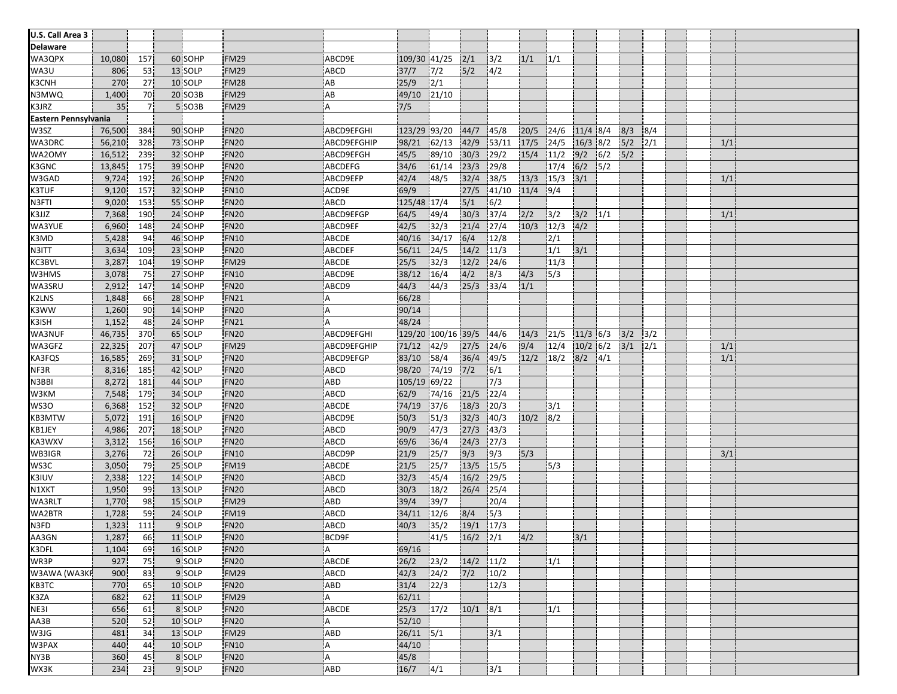| U.S. Call Area 3     |        |     |         |                     |                |               |                    |               |        |      |      |               |     |       |      |     |  |
|----------------------|--------|-----|---------|---------------------|----------------|---------------|--------------------|---------------|--------|------|------|---------------|-----|-------|------|-----|--|
| Delaware             |        |     |         |                     |                |               |                    |               |        |      |      |               |     |       |      |     |  |
| WA3QPX               | 10,080 | 157 | 60 SOHP | <b>FM29</b>         | ABCD9E         | 109/30 41/25  |                    | 2/1           | $3/2$  | 1/1  | 1/1  |               |     |       |      |     |  |
| WA3U                 | 806    | 53  | 13 SOLP | <b>FM29</b>         | ABCD           | 37/7          | 7/2                | 5/2           | 4/2    |      |      |               |     |       |      |     |  |
| K3CNH                | 270    | 27  | 10 SOLP | <b>FM28</b>         | AB             | 25/9          | 2/1                |               |        |      |      |               |     |       |      |     |  |
| N3MWQ                | 1,400  | 70  | 20 SO3B | FM29                | AB             | 49/10         | 21/10              |               |        |      |      |               |     |       |      |     |  |
| K3JRZ                | 35     | 7.  | 5 SO3B  | <b>FM29</b>         | A              | 7/5           |                    |               |        |      |      |               |     |       |      |     |  |
| Eastern Pennsylvania |        |     |         |                     |                |               |                    |               |        |      |      |               |     |       |      |     |  |
| W3SZ                 | 76,500 | 384 | 90 SOHP | FN <sub>20</sub>    | ABCD9EFGHI     | 123/29 93/20  |                    | 44/7          | 45/8   | 20/5 | 24/6 | $11/4$ 8/4    |     | 8/3   | 8/4  |     |  |
| WA3DRC               |        |     | 73 SOHP | <b>FN20</b>         | ABCD9EFGHIP    |               |                    | 42/9          |        | 17/5 | 24/5 | $16/3$ 8/2    |     | 5/2   | 2/1  |     |  |
| WA2OMY               | 56,210 | 328 |         | <b>FN20</b>         |                | 98/21         | 62/13              |               | 53/11  |      |      |               |     |       |      | 1/1 |  |
|                      | 16,512 | 239 | 32 SOHP |                     | ABCD9EFGH      | 45/5          | 89/10              | 30/3          | 29/2   | 15/4 | 11/2 | 9/2           | 6/2 | 5/2   |      |     |  |
| K3GNC                | 13,845 | 175 | 39 SOHP | FN <sub>20</sub>    | <b>ABCDEFG</b> | 34/6          | 61/14              | 23/3          | 29/8   |      | 17/4 | 6/2           | 5/2 |       |      |     |  |
| W3GAD                | 9,724  | 192 | 26 SOHP | <b>FN20</b>         | ABCD9EFP       | 42/4          | 48/5               | 32/4          | 38/5   | 13/3 | 15/3 | 3/1           |     |       |      | 1/1 |  |
| <b>K3TUF</b>         | 9,120  | 157 | 32 SOHP | <b>FN10</b>         | ACD9E          | 69/9          |                    | 27/5          | 141/10 | 11/4 | 9/4  |               |     |       |      |     |  |
| N3FTI                | 9,020  | 153 | 55 SOHP | FN <sub>20</sub>    | ABCD           | 125/48 17/4   |                    | $5/1$         | 6/2    |      |      |               |     |       |      |     |  |
| K3JJZ                | 7,368  | 190 | 24 SOHP | <b>FN20</b>         | ABCD9EFGP      | 64/5          | 49/4               | 30/3          | 37/4   | 2/2  | 3/2  | 3/2           | 1/1 |       |      | 1/1 |  |
| WA3YUE               | 6,960  | 148 | 24 SOHP | <b>FN20</b>         | ABCD9EF        | 42/5          | 32/3               | 21/4          | 127/4  | 10/3 | 12/3 | 4/2           |     |       |      |     |  |
| K3MD                 | 5,428  | 94  | 46 SOHP | FN10                | ABCDE          | 40/16         | 34/17              | 6/4           | 12/8   |      | 2/1  |               |     |       |      |     |  |
| N3ITT                | 3,634  | 109 | 23 SOHP | <b>FN20</b>         | ABCDEF         | 56/11         | 24/5               | 14/2          | 11/3   |      | 1/1  | 3/1           |     |       |      |     |  |
| KC3BVL               | 3,287  | 104 | 19 SOHP | FM29                | ABCDE          | 25/5          | 32/3               | 12/2          | 124/6  |      | 11/3 |               |     |       |      |     |  |
| W3HMS                | 3,078  | 75  | 27 SOHP | <b>FN10</b>         | ABCD9E         | 38/12         | 16/4               | 4/2           | 8/3    | 4/3  | 5/3  |               |     |       |      |     |  |
| WA3SRU               | 2,912  | 147 | 14 SOHP | <b>FN20</b>         | ABCD9          | 44/3          | 44/3               | 25/3          | 33/4   | 1/1  |      |               |     |       |      |     |  |
| <b>K2LNS</b>         | 1,848  | 66  | 28 SOHP | <b>FN21</b>         | A              | 66/28         |                    |               |        |      |      |               |     |       |      |     |  |
| K3WW                 | 1,260  | 90  | 14 SOHP | FN <sub>20</sub>    | A              | 90/14         |                    |               |        |      |      |               |     |       |      |     |  |
| K3ISH                | 1,152  | 48  | 24 SOHP | <b>FN21</b>         | A              | 48/24         |                    |               |        |      |      |               |     |       |      |     |  |
| WA3NUF               | 46,735 | 370 | 65 SOLP | <b>FN20</b>         | ABCD9EFGHI     |               | 129/20 100/16 39/5 |               | 44/6   | 14/3 | 21/5 | $11/3$ 6/3    |     | 3/2   | 3/2  |     |  |
| WA3GFZ               | 22,325 | 207 | 47 SOLP | FM29                | ABCD9EFGHIP    | 71/12         | 42/9               | 27/5          | 124/6  | 9/4  | 12/4 | $10/2$ 6/2    |     | $3/1$ | 12/1 | 1/1 |  |
| KA3FQS               | 16,585 | 269 | 31 SOLP | <b>FN20</b>         | ABCD9EFGP      | 83/10         | 58/4               | 36/4          | 49/5   | 12/2 | 18/2 | 8/2           | 4/1 |       |      | 1/1 |  |
| NF3R                 | 8,316  | 185 | 42 SOLP | <b>FN20</b>         | ABCD           | 98/20         | 74/19              | $7/2$         | 6/1    |      |      |               |     |       |      |     |  |
| N3BBI                | 8,272  | 181 | 44 SOLP | FN <sub>20</sub>    | ABD            | 105/19 69/22  |                    |               | 7/3    |      |      |               |     |       |      |     |  |
| W3KM                 | 7,548  | 179 | 34 SOLP | <b>FN20</b>         | <b>ABCD</b>    | 62/9          | 74/16              | 21/5          | 122/4  |      |      |               |     |       |      |     |  |
| WS3O                 | 6,368  | 152 | 32 SOLP | <b>FN20</b>         | ABCDE          | 74/19         | 37/6               | 18/3          | 20/3   |      | 3/1  |               |     |       |      |     |  |
| <b>KB3MTW</b>        | 5,072  | 191 | 16 SOLP | FN <sub>20</sub>    | ABCD9E         | 50/3          | 51/3               | 32/3          | 140/3  | 10/2 | 8/2  |               |     |       |      |     |  |
| KB1JEY               | 4,986  | 207 | 18 SOLP | <b>FN20</b>         | ABCD           | 90/9          | 47/3               | 27/3          | 43/3   |      |      |               |     |       |      |     |  |
| KA3WXV               | 3,312  | 156 | 16 SOLP | <b>FN20</b>         | <b>ABCD</b>    | 69/6          | 36/4               | 24/3          | 27/3   |      |      |               |     |       |      |     |  |
| WB3IGR               | 3,276  | 72  | 26 SOLP | FN10                | ABCD9P         | 21/9          | 25/7               | 9/3           | 9/3    | 5/3  |      |               |     |       |      | 3/1 |  |
| WS3C                 | 3,050  | 79  | 25 SOLP | <b>FM19</b>         | <b>ABCDE</b>   | 21/5          | 25/7               | 13/5          | 15/5   |      | 5/3  |               |     |       |      |     |  |
| K3IUV                | 2,338  | 122 | 14 SOLP | <b>FN20</b>         | <b>ABCD</b>    | 32/3          | 45/4               | 16/2          | 29/5   |      |      |               |     |       |      |     |  |
| N1XKT                | 1,950  | -99 | 13 SOLP | <b>FN20</b>         | ABCD           | 30/3          | 18/2               | 26/4          | 25/4   |      |      |               |     |       |      |     |  |
| WA3RLT               | 1,770  | 98  | 15 SOLP | <b>FM29</b>         | ABD            | 39/4          | 39/7               |               | 20/4   |      |      |               |     |       |      |     |  |
| WA2BTR               | 1,728  | 59  | 24 SOLP | <b>FM19</b>         | ABCD           | 34/11         | 12/6               | 8/4           | 5/3    |      |      |               |     |       |      |     |  |
| N3FD                 | 1,323  | 111 | 9 SOLP  | <b>FN20</b>         | <b>ABCD</b>    | 40/3          | 35/2               | 19/1 17/3     |        |      |      |               |     |       |      |     |  |
| AA3GN                | 1,287  | 66  | 11 SOLP | <b>FN20</b>         | BCD9F          |               | 41/5               | $16/2$ $2/1$  |        | 4/2  |      | $\frac{3}{1}$ |     |       |      |     |  |
| K3DFL                | 1,104  | 69  | 16 SOLP | <b>FN20</b>         | A              | 69/16         |                    |               |        |      |      |               |     |       |      |     |  |
| WR3P                 | 927    | 75  | 9 SOLP  | FN <sub>20</sub>    | ABCDE          | 26/2          | 23/2               | $14/2$ $11/2$ |        |      | 1/1  |               |     |       |      |     |  |
| W3AWA (WA3KF         | 900    | 83  | 9 SOLP  | <b>FM29</b>         | ABCD           | 42/3          | 24/2               | 7/2           | 10/2   |      |      |               |     |       |      |     |  |
| KB3TC                | 770    | 65  | 10 SOLP | <b>FN20</b>         | ABD            | 31/4          | 22/3               |               | 12/3   |      |      |               |     |       |      |     |  |
| K3ZA                 | 682    | 62  | 11 SOLP | <b>FM29</b>         | A              | 62/11         |                    |               |        |      |      |               |     |       |      |     |  |
| NE31                 | 656    | 61  | 8 SOLP  | <b>FN20</b>         | ABCDE          | 25/3          | 17/2               | $10/1$ 8/1    |        |      | 1/1  |               |     |       |      |     |  |
| AA3B                 | 520    | 52  | 10 SOLP | <b>FN20</b>         | A              | 52/10         |                    |               |        |      |      |               |     |       |      |     |  |
| W3JG                 |        |     | 13 SOLP |                     |                |               |                    |               |        |      |      |               |     |       |      |     |  |
| W3PAX                | 481    | 34  | 10 SOLP | FM29<br><b>FN10</b> | ABD            | $26/11$ $5/1$ |                    |               | 3/1    |      |      |               |     |       |      |     |  |
| NY3B                 | 440    | 44  |         |                     | Α              | 44/10         |                    |               |        |      |      |               |     |       |      |     |  |
|                      | 360    | 45  | 8 SOLP  | <b>FN20</b>         | A              | 45/8          |                    |               |        |      |      |               |     |       |      |     |  |
| WX3K                 | 234    | 23  | 9 SOLP  | <b>FN20</b>         | ABD            | $16/7$ $4/1$  |                    |               | $3/1$  |      |      |               |     |       |      |     |  |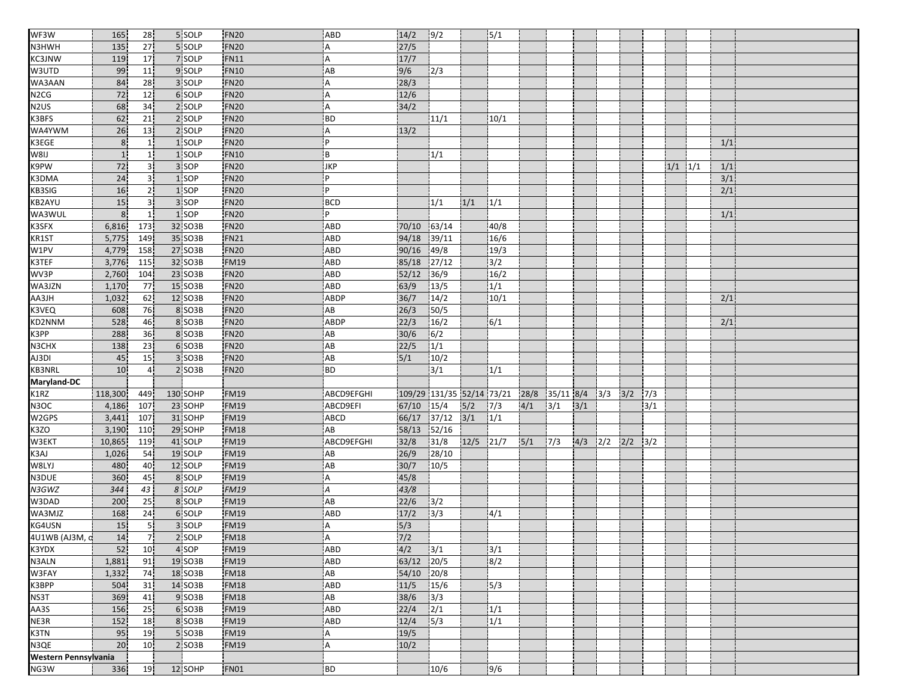| WF3W                 | 165            | 28              | 5 SOLP   | <b>FN20</b>      | ABD                     | 14/2          | 9/2                       |             | 5/1  |      |             |     |                         |     |     |             |     |  |
|----------------------|----------------|-----------------|----------|------------------|-------------------------|---------------|---------------------------|-------------|------|------|-------------|-----|-------------------------|-----|-----|-------------|-----|--|
| N3HWH                | 135            | 27              | 5 SOLP   | <b>FN20</b>      | Α                       | 27/5          |                           |             |      |      |             |     |                         |     |     |             |     |  |
| KC3JNW               | 119            | 17              | 7 SOLP   | <b>FN11</b>      | $\overline{A}$          | 17/7          |                           |             |      |      |             |     |                         |     |     |             |     |  |
| W3UTD                | 99             | 11              | 9 SOLP   | <b>FN10</b>      | AB                      | 9/6           | 2/3                       |             |      |      |             |     |                         |     |     |             |     |  |
| WA3AAN               | 84             | 28              | 3 SOLP   | <b>FN20</b>      | Α                       | 28/3          |                           |             |      |      |             |     |                         |     |     |             |     |  |
| N <sub>2</sub> CG    | 72             | 12              | 6 SOLP   | <b>FN20</b>      | A                       | 12/6          |                           |             |      |      |             |     |                         |     |     |             |     |  |
| N <sub>2</sub> US    | 68             | 34              | 2 SOLP   | <b>FN20</b>      | $\overline{A}$          | 34/2          |                           |             |      |      |             |     |                         |     |     |             |     |  |
| K3BFS                | 62             | 21              | 2 SOLP   | <b>FN20</b>      | <b>BD</b>               |               | 11/1                      |             | 10/1 |      |             |     |                         |     |     |             |     |  |
| WA4YWM               | 26             | 13              | 2 SOLP   | FN <sub>20</sub> | A                       | 13/2          |                           |             |      |      |             |     |                         |     |     |             |     |  |
| K3EGE                | 8              | 1 <sup>1</sup>  | 1 SOLP   | <b>FN20</b>      | P                       |               |                           |             |      |      |             |     |                         |     |     |             | 1/1 |  |
| W8IJ                 | $\mathbf{1}$   | 1 <sub>1</sub>  | 1 SOLP   | <b>FN10</b>      | B                       |               | 1/1                       |             |      |      |             |     |                         |     |     |             |     |  |
| K9PW                 | 72             | 3 <sup>1</sup>  | 3 SOP    | <b>FN20</b>      | JKP                     |               |                           |             |      |      |             |     |                         |     |     | $1/1$ $1/1$ | 1/1 |  |
| K3DMA                | 24             | 31              | 1 SOP    | <b>FN20</b>      | P                       |               |                           |             |      |      |             |     |                         |     |     |             | 3/1 |  |
| KB3SIG               | 16             | 2 <sub>1</sub>  | 1 SOP    | <b>FN20</b>      | P                       |               |                           |             |      |      |             |     |                         |     |     |             | 2/1 |  |
| <b>KB2AYU</b>        | 15             | 3 <sup>1</sup>  | 3 SOP    | <b>FN20</b>      | <b>BCD</b>              |               | 1/1                       | 1/1         | 1/1  |      |             |     |                         |     |     |             |     |  |
| WA3WUL               | 8 <sup>1</sup> | 1 <sup>1</sup>  | 1 SOP    | <b>FN20</b>      | P                       |               |                           |             |      |      |             |     |                         |     |     |             | 1/1 |  |
| K3SFX                | 6,816          | 173             | 32 SO3B  | <b>FN20</b>      | <b>ABD</b>              | 70/10         | 63/14                     |             | 40/8 |      |             |     |                         |     |     |             |     |  |
| KR1ST                | 5,775          | 149             | 35 SO3B  | <b>FN21</b>      | <b>ABD</b>              | 94/18         | 39/11                     |             | 16/6 |      |             |     |                         |     |     |             |     |  |
| W1PV                 | 4,779          | 158             | 27 SO3B  | <b>FN20</b>      | ABD                     | 90/16         | 49/8                      |             | 19/3 |      |             |     |                         |     |     |             |     |  |
| K3TEF                | 3,776          | 115             | 32 SO3B  | <b>FM19</b>      | ABD                     | 85/18         | 27/12                     |             | 3/2  |      |             |     |                         |     |     |             |     |  |
| WV3P                 | 2,760          | 104             | 23 SO3B  | FN <sub>20</sub> | ABD                     | 52/12         | 36/9                      |             | 16/2 |      |             |     |                         |     |     |             |     |  |
| WA3JZN               | 1,170          | 77              | 15 SO3B  | <b>FN20</b>      | ABD                     | 63/9          | 13/5                      |             | 1/1  |      |             |     |                         |     |     |             |     |  |
| HLEAA                | 1,032          | 62              | 12 SO3B  | <b>FN20</b>      | ABDP                    | 36/7          | 14/2                      |             | 10/1 |      |             |     |                         |     |     |             | 2/1 |  |
| K3VEQ                | 608            | 76              | 8 SO3B   | <b>FN20</b>      | AB                      | 26/3          | 50/5                      |             |      |      |             |     |                         |     |     |             |     |  |
| KD2NNM               | 528            | 46              | 8 SO3B   | <b>FN20</b>      | ABDP                    | 22/3          | 16/2                      |             | 6/1  |      |             |     |                         |     |     |             | 2/1 |  |
| K3PP                 | 288            | 36              | 8 SO3B   | <b>FN20</b>      | AB                      | 30/6          | 6/2                       |             |      |      |             |     |                         |     |     |             |     |  |
| N3CHX                | 138            | 23              | 6 SO3B   | <b>FN20</b>      | AB                      | 22/5          | 1/1                       |             |      |      |             |     |                         |     |     |             |     |  |
| AJ3DI                | 45             | 15              | 3 SO3B   | <b>FN20</b>      | $\mathsf{A}\mathsf{B}$  | 5/1           | 10/2                      |             |      |      |             |     |                         |     |     |             |     |  |
| KB3NRL               | 10             | 4 <sup>1</sup>  | 2 SO3B   | FN <sub>20</sub> | <b>BD</b>               |               | 3/1                       |             | 1/1  |      |             |     |                         |     |     |             |     |  |
| Maryland-DC          |                |                 |          |                  |                         |               |                           |             |      |      |             |     |                         |     |     |             |     |  |
| K1RZ                 | 118,300        | 449             | 130 SOHP | <b>FM19</b>      | ABCD9EFGHI              |               | 109/29 131/35 52/14 73/21 |             |      | 28/8 | $35/11$ 8/4 |     | 3/3                     | 3/2 | 7/3 |             |     |  |
| N3OC                 | 4,186          | 107             | 23 SOHP  | <b>FM19</b>      | ABCD9EFI                | 67/10         | 15/4                      | 5/2         | 7/3  | 4/1  | 3/1         | 3/1 |                         |     | 3/1 |             |     |  |
| W2GPS                | 3,441          | 107             | 31 SOHP  | <b>FM19</b>      | <b>ABCD</b>             | 66/17         | 37/12                     | $3/1$       | 1/1  |      |             |     |                         |     |     |             |     |  |
| K3ZO                 | 3,190          | 110             | 29 SOHP  | <b>FM18</b>      | AB                      | 58/13         | 52/16                     |             |      |      |             |     |                         |     |     |             |     |  |
| W3EKT                | 10,865         | 119             | 41 SOLP  | <b>FM19</b>      | ABCD9EFGHI              | 32/8          | 31/8                      | $12/5$ 21/7 |      | 5/1  | 7/3         |     | $4/3$ $2/2$ $2/2$ $3/2$ |     |     |             |     |  |
| K3AJ                 | 1,026          | 54              | 19 SOLP  | <b>FM19</b>      | AB                      | 26/9          | 28/10                     |             |      |      |             |     |                         |     |     |             |     |  |
| W8LYJ                | 480            | 40              | 12 SOLP  | <b>FM19</b>      | AB                      | 30/7          | 10/5                      |             |      |      |             |     |                         |     |     |             |     |  |
| N3DUE                | 360            | 45              | 8 SOLP   | <b>FM19</b>      | Α                       | 45/8          |                           |             |      |      |             |     |                         |     |     |             |     |  |
| N3GWZ                | 344            | 43              | 8 SOLP   | <b>FM19</b>      | $\overline{\mathsf{A}}$ | 43/8          |                           |             |      |      |             |     |                         |     |     |             |     |  |
| W3DAD                | 200            | 25              | 8 SOLP   | <b>FM19</b>      | AB                      | 22/6          | 3/2                       |             |      |      |             |     |                         |     |     |             |     |  |
| WA3MJZ               | 168            | 24              | 6 SOLP   | <b>FM19</b>      | ABD                     | 17/2          | 3/3                       |             | 4/1  |      |             |     |                         |     |     |             |     |  |
| KG4USN               | 15             | 51              | 3 SOLP   | <b>FM19</b>      | A                       | 5/3           |                           |             |      |      |             |     |                         |     |     |             |     |  |
| 4U1WB (AJ3M, d       | 14             |                 | 2 SOLP   | <b>FM18</b>      |                         | $\frac{7}{2}$ |                           |             |      |      |             |     |                         |     |     |             |     |  |
| K3YDX                | 52             | 71<br>10        | 4 SOP    | <b>FM19</b>      | A<br>ABD                | 4/2           | 3/1                       |             | 3/1  |      |             |     |                         |     |     |             |     |  |
| N3ALN                | 1,881          | 91              | 19 SO3B  | <b>FM19</b>      | ABD                     | 63/12 20/5    |                           |             | 8/2  |      |             |     |                         |     |     |             |     |  |
| W3FAY                | 1,332          | 74              | 18 SO3B  | <b>FM18</b>      | $\mathsf{A}\mathsf{B}$  | 54/10 20/8    |                           |             |      |      |             |     |                         |     |     |             |     |  |
| K3BPP                | 504            | 31              | 14 SO3B  | <b>FM18</b>      | ABD                     | $11/5$ 15/6   |                           |             | 5/3  |      |             |     |                         |     |     |             |     |  |
|                      | 369            |                 | 9 SO3B   | <b>FM18</b>      | AB                      | 38/6          | $\frac{1}{3}$             |             |      |      |             |     |                         |     |     |             |     |  |
| NS3T<br>AA3S         | 156            | 41<br>25        | 6 SO3B   | <b>FM19</b>      | ABD                     | 22/4          | $\frac{1}{2}$             |             | 1/1  |      |             |     |                         |     |     |             |     |  |
|                      | 152            |                 | 8 SO3B   | <b>FM19</b>      | ABD                     |               |                           |             | 1/1  |      |             |     |                         |     |     |             |     |  |
| NE3R                 | 95             | 18              | 5 SO3B   |                  |                         | 12/4          | 5/3                       |             |      |      |             |     |                         |     |     |             |     |  |
| K3TN                 |                | 19              |          | <b>FM19</b>      | A                       | 19/5          |                           |             |      |      |             |     |                         |     |     |             |     |  |
| N3QE                 | 20             | 10 <sub>1</sub> | 2 SO3B   | <b>FM19</b>      | A                       | 10/2          |                           |             |      |      |             |     |                         |     |     |             |     |  |
| Western Pennsylvania |                |                 |          |                  |                         |               |                           |             |      |      |             |     |                         |     |     |             |     |  |
| NG3W                 | 336            | 19              | 12 SOHP  | <b>FN01</b>      | BD                      |               | 10/6                      |             | 9/6  |      |             |     |                         |     |     |             |     |  |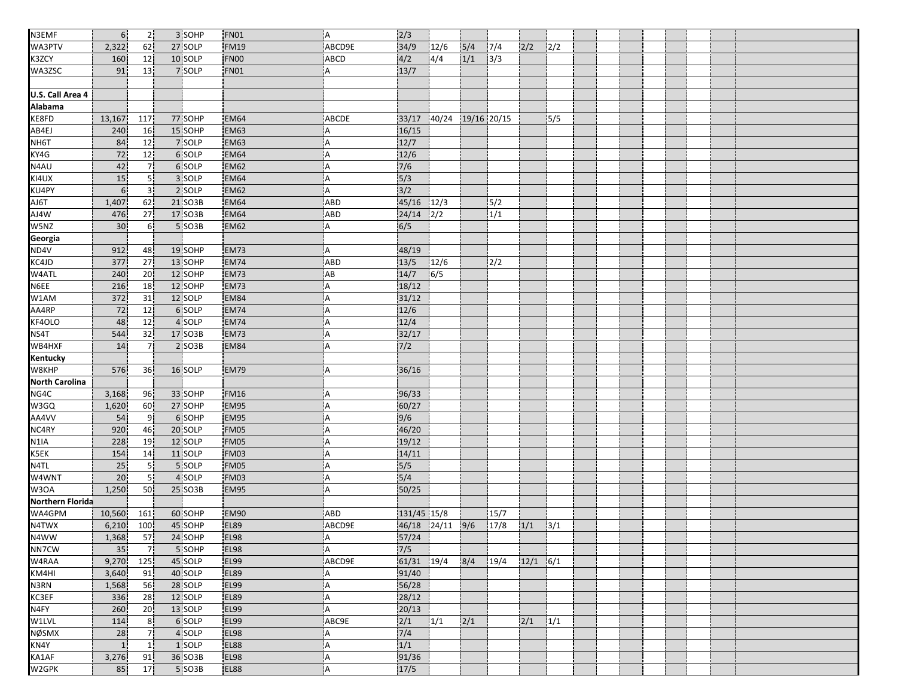| N3EMF                 | 6 <sup>1</sup>  | 2 <sub>1</sub>  | 3 SOHP  | <b>FN01</b> | 'A             | 2/3                      |       |             |              |      |     |  |  |  |  |
|-----------------------|-----------------|-----------------|---------|-------------|----------------|--------------------------|-------|-------------|--------------|------|-----|--|--|--|--|
| WA3PTV                | 2,322           | 62              | 27 SOLP | <b>FM19</b> | ABCD9E         | 34/9                     | 12/6  | 5/4         | 7/4          | 2/2  | 2/2 |  |  |  |  |
| K3ZCY                 | 160             | 12              | 10 SOLP | FN00        | ABCD           | 4/2                      | 4/4   | 1/1         | $\sqrt{3}/3$ |      |     |  |  |  |  |
| WA3ZSC                | 91              | 13 <sup>1</sup> | 7 SOLP  | <b>FN01</b> | A              | 13/7                     |       |             |              |      |     |  |  |  |  |
|                       |                 |                 |         |             |                |                          |       |             |              |      |     |  |  |  |  |
| U.S. Call Area 4      |                 |                 |         |             |                |                          |       |             |              |      |     |  |  |  |  |
| Alabama               |                 |                 |         |             |                |                          |       |             |              |      |     |  |  |  |  |
| KE8FD                 | 13,167          | 117             | 77 SOHP | <b>EM64</b> | ABCDE          | 33/17                    | 40/24 | 19/16 20/15 |              |      | 5/5 |  |  |  |  |
| AB4EJ                 | 240             | 16              | 15 SOHP | EM63        | A              | 16/15                    |       |             |              |      |     |  |  |  |  |
| NH6T                  | 84              | 12              | 7 SOLP  | <b>EM63</b> | Α              | 12/7                     |       |             |              |      |     |  |  |  |  |
| KY4G                  | 72              | 12 <sup>1</sup> | 6 SOLP  | EM64        | Α              | 12/6                     |       |             |              |      |     |  |  |  |  |
| N4AU                  | 42              | 7 <sup>1</sup>  | 6 SOLP  | <b>EM62</b> | A              | 7/6                      |       |             |              |      |     |  |  |  |  |
| KI4UX                 | 15              | 5 <sup>1</sup>  | 3 SOLP  | <b>EM64</b> | A              | $\overline{\frac{5}{3}}$ |       |             |              |      |     |  |  |  |  |
| KU4PY                 | 6 <sup>1</sup>  | 3 <sup>1</sup>  | 2 SOLP  | <b>EM62</b> | Α              | $\overline{\frac{3}{2}}$ |       |             |              |      |     |  |  |  |  |
| AJ6T                  | 1,407           | 62              | 21 SO3B | <b>EM64</b> | ABD            | 45/16                    | 12/3  |             | 5/2          |      |     |  |  |  |  |
| AJ4W                  | 476             | 27              | 17 SO3B | <b>EM64</b> | ABD            | 24/14                    | 2/2   |             | 1/1          |      |     |  |  |  |  |
| W5NZ                  | 30              | 6 <sup>1</sup>  | 5 SO3B  | <b>EM62</b> | A              | 6/5                      |       |             |              |      |     |  |  |  |  |
| Georgia<br>ND4V       |                 |                 |         |             |                |                          |       |             |              |      |     |  |  |  |  |
|                       | 912             | 48              | 19 SOHP | EM73        | A              | 48/19                    |       |             |              |      |     |  |  |  |  |
| KC4JD                 | 377             | 27              | 13 SOHP | <b>EM74</b> | ABD            | 13/5                     | 12/6  |             | 2/2          |      |     |  |  |  |  |
| W4ATL                 | 240             | 20              | 12 SOHP | EM73        | AB             | 14/7                     | 6/5   |             |              |      |     |  |  |  |  |
| N6EE                  | 216             | 18              | 12 SOHP | <b>EM73</b> | A              | 18/12                    |       |             |              |      |     |  |  |  |  |
| W1AM                  | 372             | 31              | 12 SOLP | EM84        | Α              | 31/12                    |       |             |              |      |     |  |  |  |  |
| AA4RP                 | 72              | 12              | 6 SOLP  | <b>EM74</b> | A              | 12/6                     |       |             |              |      |     |  |  |  |  |
| KF4OLO                | 48              | 12              | 4 SOLP  | <b>EM74</b> | A              | 12/4                     |       |             |              |      |     |  |  |  |  |
| NS4T                  | 544             | 32              | 17 SO3B | <b>EM73</b> | $\overline{A}$ | 32/17                    |       |             |              |      |     |  |  |  |  |
| WB4HXF                | 14              | 7 <sup>1</sup>  | 2 SO3B  | EM84        | A              | $7/2$                    |       |             |              |      |     |  |  |  |  |
| <b>Kentucky</b>       |                 |                 |         |             |                |                          |       |             |              |      |     |  |  |  |  |
| W8KHP                 | 576             | 36              | 16 SOLP | <b>EM79</b> | Α              | 36/16                    |       |             |              |      |     |  |  |  |  |
| <b>North Carolina</b> |                 |                 |         |             |                |                          |       |             |              |      |     |  |  |  |  |
| NG4C                  | 3,168           | 96              | 33 SOHP | <b>FM16</b> | Α              | 96/33                    |       |             |              |      |     |  |  |  |  |
| W3GQ                  | 1,620           | 60              | 27 SOHP | EM95        | $\overline{A}$ | 60/27                    |       |             |              |      |     |  |  |  |  |
| AA4VV                 | 54              | 9               | 6 SOHP  | EM95        | A              | 9/6                      |       |             |              |      |     |  |  |  |  |
| NC4RY                 | 920             | 46              | 20 SOLP | FM05        | А              | 46/20                    |       |             |              |      |     |  |  |  |  |
| N <sub>1</sub> IA     | 228             | 19              | 12 SOLP | FM05        | Α              | 19/12                    |       |             |              |      |     |  |  |  |  |
| K5EK                  | 154             | 14              | 11 SOLP | FM03        | A              | 14/11                    |       |             |              |      |     |  |  |  |  |
| N4TL                  | 25              | 5!              | 5 SOLP  | FM05        | A              | $\frac{5}{5}$            |       |             |              |      |     |  |  |  |  |
| W4WNT                 | 20              | 5!              | 4 SOLP  | <b>FM03</b> | $\overline{A}$ | 5/4                      |       |             |              |      |     |  |  |  |  |
| W3OA                  | 1,250           | 50              | 25 SO3B | EM95        | A              | 50/25                    |       |             |              |      |     |  |  |  |  |
| Northern Florida      |                 |                 |         |             |                |                          |       |             |              |      |     |  |  |  |  |
| WA4GPM                | 10,560          | 161             | 60 SOHP | <b>EM90</b> | ABD            | 131/45 15/8              |       |             | 15/7         |      |     |  |  |  |  |
| N4TWX                 | 6,210           | 100             | 45 SOHP | <b>EL89</b> | ABCD9E         | 46/18 24/11              |       | 9/6         | 17/8         | 1/1  | 3/1 |  |  |  |  |
| N4WW                  | 1,368           | 57              | 24 SOHP | EL98        | A              | 57/24                    |       |             |              |      |     |  |  |  |  |
| NN7CW                 | 35 <sup>2</sup> | 7 <sub>1</sub>  | 5 SOHP  | <b>EL98</b> | A              | 7/5                      |       |             |              |      |     |  |  |  |  |
| W4RAA                 | 9,270           | 125             | 45 SOLP | <b>EL99</b> | ABCD9E         | 61/31                    | 19/4  | 8/4         | 19/4         | 12/1 | 6/1 |  |  |  |  |
| KM4HI                 | 3,640           | 91              | 40 SOLP | <b>EL89</b> | A              | 91/40                    |       |             |              |      |     |  |  |  |  |
| N3RN                  | 1,568           | 56              | 28 SOLP | EL99        | A              | 56/28                    |       |             |              |      |     |  |  |  |  |
| KC3EF                 | 336             | 28              | 12 SOLP | EL89        | A              | 28/12                    |       |             |              |      |     |  |  |  |  |
| N4FY                  | 260             | 20              | 13 SOLP | <b>EL99</b> | А              | 20/13                    |       |             |              |      |     |  |  |  |  |
| W1LVL                 | 114             | 8 <sup>1</sup>  | 6 SOLP  | <b>EL99</b> | ABC9E          | 2/1                      | 1/1   | 2/1         |              | 2/1  | 1/1 |  |  |  |  |
| <b>NØSMX</b>          | 28              | 7 <sup>1</sup>  | 4 SOLP  | <b>EL98</b> | A              | 7/4                      |       |             |              |      |     |  |  |  |  |
| KN4Y                  | $\overline{1}$  | 1 <sub>1</sub>  | 1 SOLP  | <b>EL88</b> | A              | 1/1                      |       |             |              |      |     |  |  |  |  |
| KA1AF                 | 3,276           | 91              | 36 SO3B | <b>EL98</b> | <b>A</b>       | 91/36                    |       |             |              |      |     |  |  |  |  |
| W2GPK                 | 85              | 17              | 5 SO3B  | <b>EL88</b> | A              | 17/5                     |       |             |              |      |     |  |  |  |  |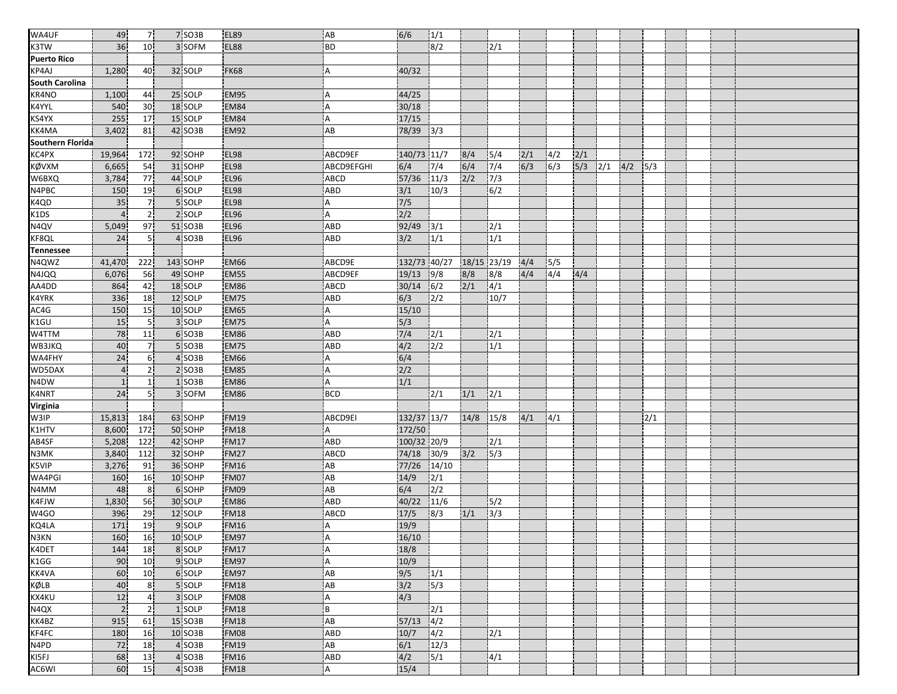| WA4UF                   | 49                 | 7 <sup>1</sup>  | 7 SO3B   | <b>EL89</b> | AB          | 6/6           | 1/1              |             |       |     |     |     |     |     |      |  |  |
|-------------------------|--------------------|-----------------|----------|-------------|-------------|---------------|------------------|-------------|-------|-----|-----|-----|-----|-----|------|--|--|
| K3TW                    | 36                 | 10 <sup>1</sup> | 3 SOFM   | EL88        | <b>BD</b>   |               | 8/2              |             | 2/1   |     |     |     |     |     |      |  |  |
| Puerto Rico             |                    |                 |          |             |             |               |                  |             |       |     |     |     |     |     |      |  |  |
| KP4AJ                   | 1,280              | 40              | 32 SOLP  | <b>FK68</b> | Α           | 40/32         |                  |             |       |     |     |     |     |     |      |  |  |
| <b>South Carolina</b>   |                    |                 |          |             |             |               |                  |             |       |     |     |     |     |     |      |  |  |
| KR4NO                   | 1,100              | 44              | 25 SOLP  | <b>EM95</b> | Α           | 44/25         |                  |             |       |     |     |     |     |     |      |  |  |
| K4YYL                   | 540                | 30 <sub>1</sub> | 18 SOLP  | <b>EM84</b> | A           | 30/18         |                  |             |       |     |     |     |     |     |      |  |  |
| KS4YX                   | 255                | 17              | 15 SOLP  | <b>EM84</b> | Α           | 17/15         |                  |             |       |     |     |     |     |     |      |  |  |
| KK4MA                   | 3,402              | 81              | 42 SO3B  | EM92        | AB          | 78/39 3/3     |                  |             |       |     |     |     |     |     |      |  |  |
| <b>Southern Florida</b> |                    |                 |          |             |             |               |                  |             |       |     |     |     |     |     |      |  |  |
| KC4PX                   | 19,964             | 172             | 92 SOHP  | <b>EL98</b> | ABCD9EF     | 140/73 11/7   |                  | 8/4         | 5/4   | 2/1 | 4/2 | 2/1 |     |     |      |  |  |
| <b>KØVXM</b>            | 6,665              | 54              | 31 SOHP  | EL98        | ABCD9EFGHI  | 6/4           | 7/4              | 6/4         | 7/4   | 6/3 | 6/3 | 5/3 | 2/1 | 4/2 | 15/3 |  |  |
| W6BXQ                   | 3,784              | <b>77</b>       | 44 SOLP  | <b>EL96</b> | <b>ABCD</b> | 57/36         | 11/3             | 2/2         | 7/3   |     |     |     |     |     |      |  |  |
| N4PBC                   | 150                | 19              | 6 SOLP   | <b>EL98</b> | ABD         | 3/1           | 10/3             |             | 6/2   |     |     |     |     |     |      |  |  |
| K4QD                    | 35                 | 7 <sup>1</sup>  | 5 SOLP   | <b>EL98</b> | A           | $\frac{7}{5}$ |                  |             |       |     |     |     |     |     |      |  |  |
| K1DS                    | $\overline{4}$     | 2 <sup>1</sup>  | 2 SOLP   | <b>EL96</b> | A           | 2/2           |                  |             |       |     |     |     |     |     |      |  |  |
| N4QV                    | 5,049              | 97              | 51 SO3B  | <b>EL96</b> | ABD         | 92/49 3/1     |                  |             | 2/1   |     |     |     |     |     |      |  |  |
| KF8QL                   | 24                 | 5 <sup>1</sup>  | 4 SO3B   | <b>EL96</b> | ABD         | 3/2           | 1/1              |             | 1/1   |     |     |     |     |     |      |  |  |
| <b>Tennessee</b>        |                    |                 |          |             |             |               |                  |             |       |     |     |     |     |     |      |  |  |
| N4QWZ                   | 41,470             | 222             | 143 SOHP | <b>EM66</b> | ABCD9E      | 132/73 40/27  |                  | 18/15 23/19 |       | 4/4 | 5/5 |     |     |     |      |  |  |
| N4JQQ                   | 6,076              | 56              | 49 SOHP  | EM55        | ABCD9EF     | 19/13         | 9/8              | 8/8         | 8/8   | 4/4 | 4/4 | 4/4 |     |     |      |  |  |
| AA4DD                   | 864                | 42              | 18 SOLP  | <b>EM86</b> | <b>ABCD</b> | 30/14         | 6/2              | 2/1         | 4/1   |     |     |     |     |     |      |  |  |
| <b>K4YRK</b>            | 336                | 18              | 12 SOLP  | EM75        | ABD         | 6/3           | $2/2$            |             | 10/7  |     |     |     |     |     |      |  |  |
| AC4G                    | 150                | 15              | 10 SOLP  | EM65        | A           | 15/10         |                  |             |       |     |     |     |     |     |      |  |  |
| K1GU                    | 15                 | 5 <sup>1</sup>  | 3 SOLP   | <b>EM75</b> | A           | 5/3           |                  |             |       |     |     |     |     |     |      |  |  |
| W4TTM                   | 78                 | 11              | 6 SO3B   | <b>EM86</b> | <b>ABD</b>  | 7/4           | 12/1             |             | 2/1   |     |     |     |     |     |      |  |  |
| WB3JKQ                  | 40                 | 7 <sup>1</sup>  | 5 SO3B   | EM75        | ABD         | 4/2           | $\overline{2/2}$ |             | 1/1   |     |     |     |     |     |      |  |  |
| WA4FHY                  | 24                 | 6 <sup>1</sup>  | 4 SO3B   | <b>EM66</b> | Α           | 6/4           |                  |             |       |     |     |     |     |     |      |  |  |
| WD5DAX                  | $\overline{4}$     | 2 <sub>1</sub>  | 2 SO3B   | EM85        | Α           | 2/2           |                  |             |       |     |     |     |     |     |      |  |  |
| N4DW                    |                    | 11              | 1 SO3B   | <b>EM86</b> | A           | 1/1           |                  |             |       |     |     |     |     |     |      |  |  |
| K4NRT                   | $\mathbf{1}$<br>24 | 51              | 3 SOFM   |             |             |               |                  |             |       |     |     |     |     |     |      |  |  |
|                         |                    |                 |          | <b>EM86</b> | <b>BCD</b>  |               | 2/1              | 1/1         | 2/1   |     |     |     |     |     |      |  |  |
| <b>Virginia</b><br>W3IP |                    |                 |          |             |             |               |                  |             |       |     |     |     |     |     |      |  |  |
|                         | 15,813             | 184             | 63 SOHP  | <b>FM19</b> | ABCD9EI     | 132/37 13/7   |                  | 14/8        | 15/8  | 4/1 | 4/1 |     |     |     | 2/1  |  |  |
| K1HTV                   | 8,600              | 172             | 50 SOHP  | <b>FM18</b> | А           | 172/50        |                  |             |       |     |     |     |     |     |      |  |  |
| AB4SF                   | 5,208              | 122             | 42 SOHP  | <b>FM17</b> | ABD         | 100/32 20/9   |                  |             | 2/1   |     |     |     |     |     |      |  |  |
| N3MK                    | 3,840              | 112             | 32 SOHP  | <b>FM27</b> | ABCD        | 74/18         | 30/9             | 3/2         | 5/3   |     |     |     |     |     |      |  |  |
| K5VIP                   | 3,276              | 91              | 36 SOHP  | <b>FM16</b> | AB          | 77/26         | 14/10            |             |       |     |     |     |     |     |      |  |  |
| WA4PGI                  | 160                | 16 <sup>1</sup> | 10 SOHP  | FM07        | AB          | 14/9          | 2/1              |             |       |     |     |     |     |     |      |  |  |
| N4MM                    | 48                 | 8 <sup>1</sup>  | 6 SOHP   | FM09        | AB          | 6/4           | 2/2              |             |       |     |     |     |     |     |      |  |  |
| K4FJW                   | 1,830              | 56              | 30 SOLP  | <b>EM86</b> | ABD         | 40/22         | 11/6             |             | 5/2   |     |     |     |     |     |      |  |  |
| W4GO                    | 396                | 29              | 12 SOLP  | <b>FM18</b> | ABCD        | 17/5          | 8/3              | 1/1         | $3/3$ |     |     |     |     |     |      |  |  |
| KQ4LA                   | 171                | 19              | 9 SOLP   | <b>FM16</b> | A           | 19/9          |                  |             |       |     |     |     |     |     |      |  |  |
| N3KN                    | 160                | 16              | 10 SOLP  | EM97        | А           | 16/10         |                  |             |       |     |     |     |     |     |      |  |  |
| K4DET                   | 144                | 18              | 8 SOLP   | <b>FM17</b> | A           | 18/8          |                  |             |       |     |     |     |     |     |      |  |  |
| K1GG                    | 90                 | 10 <sub>1</sub> | 9 SOLP   | EM97        | A           | 10/9          |                  |             |       |     |     |     |     |     |      |  |  |
| KK4VA                   | 60                 | 10 <sup>1</sup> | 6 SOLP   | EM97        | AB          | 9/5           | 1/1              |             |       |     |     |     |     |     |      |  |  |
| KØLB                    | 40                 | 8 <sup>1</sup>  | 5 SOLP   | <b>FM18</b> | AB          | 3/2           | 5/3              |             |       |     |     |     |     |     |      |  |  |
| <b>KX4KU</b>            | 12                 | 4 <sup>1</sup>  | 3 SOLP   | FM08        | Α           | 4/3           |                  |             |       |     |     |     |     |     |      |  |  |
| N4QX                    | $\overline{2}$     | 2 <sup>1</sup>  | 1 SOLP   | <b>FM18</b> | B           |               | 2/1              |             |       |     |     |     |     |     |      |  |  |
| KK4BZ                   | 915                | 61              | 15 SO3B  | <b>FM18</b> | AB          | 57/13         | 4/2              |             |       |     |     |     |     |     |      |  |  |
| KF4FC                   | 180                | 16              | 10 SO3B  | FM08        | ABD         | 10/7          | $\frac{1}{4/2}$  |             | 2/1   |     |     |     |     |     |      |  |  |
| N4PD                    | 72                 | 18              | 4 SO3B   | <b>FM19</b> | AB          | 6/1           | 12/3             |             |       |     |     |     |     |     |      |  |  |
| KI5FJ                   | 68                 | 13              | 4 SO3B   | <b>FM16</b> | <b>ABD</b>  | 4/2           | 5/1              |             | 4/1   |     |     |     |     |     |      |  |  |
| AC6WI                   | 60                 | 15              | 4 SO3B   | <b>FM18</b> | A           | 15/4          |                  |             |       |     |     |     |     |     |      |  |  |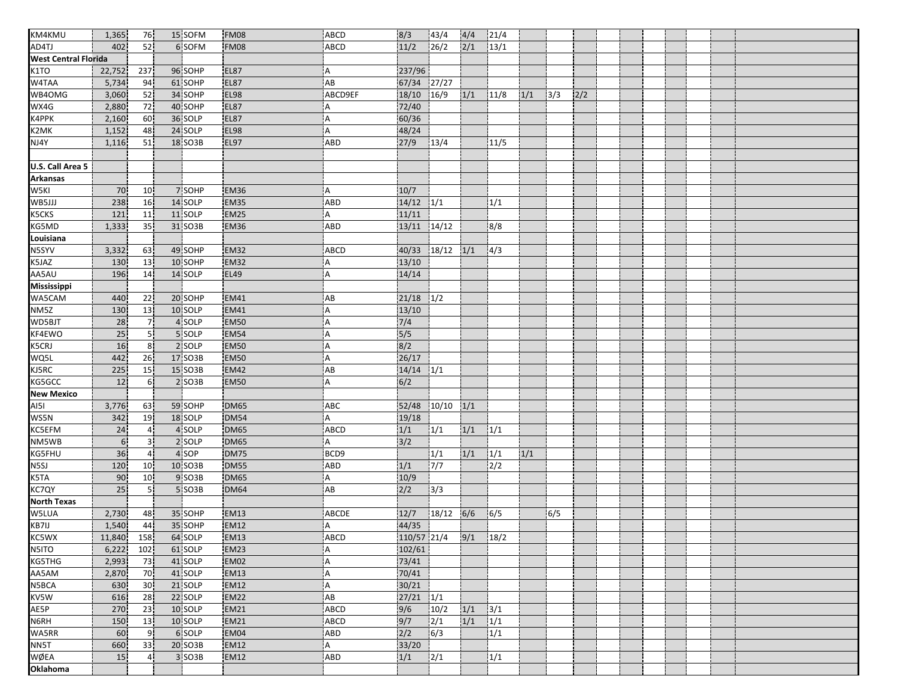| KM4KMU                      |                |                 |         |             |             |               |                  |     |               |     |     |     |  |  |  |  |
|-----------------------------|----------------|-----------------|---------|-------------|-------------|---------------|------------------|-----|---------------|-----|-----|-----|--|--|--|--|
| AD4TJ                       | 1,365          | 76              | 15 SOFM | <b>FM08</b> | ABCD        | 8/3           | 43/4             | 4/4 | 21/4          |     |     |     |  |  |  |  |
|                             | 402            | 52              | 6 SOFM  | FM08        | <b>ABCD</b> | 11/2          | 26/2             | 2/1 | 13/1          |     |     |     |  |  |  |  |
| <b>West Central Florida</b> |                |                 |         |             |             |               |                  |     |               |     |     |     |  |  |  |  |
| K <sub>1</sub> TO           | 22,752         | 237             | 96 SOHP | <b>EL87</b> | Α           | 237/96        |                  |     |               |     |     |     |  |  |  |  |
| W4TAA                       | 5,734          | 94              | 61 SOHP | <b>EL87</b> | AB          | 67/34 27/27   |                  |     |               |     |     |     |  |  |  |  |
| WB4OMG                      | 3,060          | 52              | 34 SOHP | <b>EL98</b> | ABCD9EF     | 18/10         | 16/9             | 1/1 | 11/8          | 1/1 | 3/3 | 2/2 |  |  |  |  |
| WX4G                        | 2,880          | 72              | 40 SOHP | <b>EL87</b> | A           | 72/40         |                  |     |               |     |     |     |  |  |  |  |
| K4PPK                       | 2,160          | 60              | 36 SOLP | <b>EL87</b> | Α           | 60/36         |                  |     |               |     |     |     |  |  |  |  |
| K2MK                        | 1,152          | 48              | 24 SOLP | <b>EL98</b> | A           | 48/24         |                  |     |               |     |     |     |  |  |  |  |
| NJ4Y                        | 1,116          | 51              | 18 SO3B | <b>EL97</b> | ABD         | 27/9          | 13/4             |     | 11/5          |     |     |     |  |  |  |  |
|                             |                |                 |         |             |             |               |                  |     |               |     |     |     |  |  |  |  |
| U.S. Call Area 5            |                |                 |         |             |             |               |                  |     |               |     |     |     |  |  |  |  |
| <b>Arkansas</b>             |                |                 |         |             |             |               |                  |     |               |     |     |     |  |  |  |  |
| W <sub>5KI</sub>            | 70             | 10 <sub>1</sub> | 7 SOHP  | <b>EM36</b> | Α           | 10/7          |                  |     |               |     |     |     |  |  |  |  |
| WB5JJJ                      | 238            | 16              | 14 SOLP | EM35        | ABD         | $14/12$ $1/1$ |                  |     | 1/1           |     |     |     |  |  |  |  |
| K5CKS                       | 121            | 11              | 11 SOLP | <b>EM25</b> | A           | 11/11         |                  |     |               |     |     |     |  |  |  |  |
| KG5MD                       | 1,333          | 35 <sub>1</sub> | 31 SO3B | <b>EM36</b> | ABD         | 13/11 14/12   |                  |     | 8/8           |     |     |     |  |  |  |  |
| Louisiana                   |                |                 |         |             |             |               |                  |     |               |     |     |     |  |  |  |  |
| N5SYV                       | 3,332          | 63              | 49 SOHP | <b>EM32</b> | <b>ABCD</b> | 40/33 18/12   |                  | 1/1 | 4/3           |     |     |     |  |  |  |  |
| K5JAZ                       | 130            | 13              | 10 SOHP | <b>EM32</b> | A           | 13/10         |                  |     |               |     |     |     |  |  |  |  |
| AA5AU                       | 196            | 14              | 14 SOLP | <b>EL49</b> | A           | 14/14         |                  |     |               |     |     |     |  |  |  |  |
| Mississippi                 |                |                 |         |             |             |               |                  |     |               |     |     |     |  |  |  |  |
| WA5CAM                      | 440            | 22              | 20 SOHP | <b>EM41</b> | AB          | $21/18$ $1/2$ |                  |     |               |     |     |     |  |  |  |  |
| NMSZ                        | 130            | 13              | 10 SOLP | <b>EM41</b> | A           | 13/10         |                  |     |               |     |     |     |  |  |  |  |
| WD5BJT                      | 28             | $\overline{7}$  | 4 SOLP  | <b>EM50</b> | A           | 7/4           |                  |     |               |     |     |     |  |  |  |  |
| KF4EWO                      | 25             | 5 <sub>1</sub>  | 5 SOLP  | <b>EM54</b> | Α           | 5/5           |                  |     |               |     |     |     |  |  |  |  |
| K5CRJ                       | 16             | 8 <sup>1</sup>  | 2 SOLP  | <b>EM50</b> | А           | 8/2           |                  |     |               |     |     |     |  |  |  |  |
| WQ5L                        | 442            | 26              | 17 SO3B | <b>EM50</b> | A           | 26/17         |                  |     |               |     |     |     |  |  |  |  |
| KJ5RC                       | 225            | 15              | 15 SO3B | <b>EM42</b> | AB          | $14/14$ $1/1$ |                  |     |               |     |     |     |  |  |  |  |
| KG5GCC                      | 12             | 6 <sup>1</sup>  | 2 SO3B  | <b>EM50</b> | A           | 6/2           |                  |     |               |     |     |     |  |  |  |  |
| <b>New Mexico</b>           |                |                 |         |             |             |               |                  |     |               |     |     |     |  |  |  |  |
| <b>AI51</b>                 | 3,776          | 63              | 59 SOHP | <b>DM65</b> | ABC         | 52/48         | 10/10            | 1/1 |               |     |     |     |  |  |  |  |
| WS5N                        | 342            | 19              | 18 SOLP | <b>DM54</b> | A           | 19/18         |                  |     |               |     |     |     |  |  |  |  |
| <b>KC5EFM</b>               | 24             | $\overline{4}$  | 4 SOLP  | <b>DM65</b> | ABCD        | $1/1$         | 1/1              | 1/1 | 1/1           |     |     |     |  |  |  |  |
| NM5WB                       | 6 <sup>1</sup> | 3 <sup>1</sup>  | 2 SOLP  | <b>DM65</b> | A           | 3/2           |                  |     |               |     |     |     |  |  |  |  |
| <b>KG5FHU</b>               | 36             | 4 <sub>1</sub>  | 4 SOP   | <b>DM75</b> | BCD9        |               | 1/1              | 1/1 | 1/1           | 1/1 |     |     |  |  |  |  |
| N5SJ                        | 120            | 10 <sup>1</sup> | 10 SO3B | <b>DM55</b> | ABD         | 1/1           | $7/7$            |     | $\sqrt{2/2}$  |     |     |     |  |  |  |  |
| K5TA                        | 90             | 10              | 9 SO3B  | <b>DM65</b> | A           | 10/9          |                  |     |               |     |     |     |  |  |  |  |
| KC7QY                       | 25             | 5İ              | 5 SO3B  | <b>DM64</b> | AB          | 2/2           | 3/3              |     |               |     |     |     |  |  |  |  |
| North Texas                 |                |                 |         |             |             |               |                  |     |               |     |     |     |  |  |  |  |
| W5LUA                       | 2,730          | 48              | 35 SOHP | <b>EM13</b> | ABCDE       | 12/7          | 18/12 6/6        |     | 6/5           |     | 6/5 |     |  |  |  |  |
| KB7IJ<br>KC5WX              | 1,540          | 44              | 35 SOHP | <b>EM12</b> | A           | 44/35         |                  |     |               |     |     |     |  |  |  |  |
|                             | 11,840         | 158             | 64 SOLP | EM13        | <b>ABCD</b> | 110/57 21/4   |                  | 9/1 | 18/2          |     |     |     |  |  |  |  |
| N5ITO                       | 6,222          | 102             | 61 SOLP | <b>EM23</b> | Α           | 102/61        |                  |     |               |     |     |     |  |  |  |  |
| <b>KG5THG</b>               | 2,993          | 73              | 41 SOLP | EM02        | A           | 73/41         |                  |     |               |     |     |     |  |  |  |  |
| AA5AM                       | 2,870          | 70              | 41 SOLP | <b>EM13</b> | Α           | 70/41         |                  |     |               |     |     |     |  |  |  |  |
| N5BCA                       | 630            | 30 <sub>1</sub> | 21 SOLP | <b>EM12</b> | A           | 30/21         |                  |     |               |     |     |     |  |  |  |  |
| KV5W                        | 616            | 28              | 22 SOLP | <b>EM22</b> | AB          | $27/21$ $1/1$ |                  |     |               |     |     |     |  |  |  |  |
| AE5P                        | 270            | 23              | 10 SOLP | <b>EM21</b> | <b>ABCD</b> | 9/6           | 10/2             | 1/1 | 3/1           |     |     |     |  |  |  |  |
| N6RH                        | 150            | 13              | 10 SOLP | <b>EM21</b> | <b>ABCD</b> | 9/7           | $\frac{1}{2}$    | 1/1 | 1/1           |     |     |     |  |  |  |  |
| WA5RR                       | 60             | 9 <sub>1</sub>  | 6 SOLP  | EM04        | ABD         | 2/2           | $\overline{6/3}$ |     | $\frac{1}{1}$ |     |     |     |  |  |  |  |
| NN5T                        | 660            | 33              | 20 SO3B | <b>EM12</b> | A           | 33/20         |                  |     |               |     |     |     |  |  |  |  |
| WØEA                        | 15             | 4 <sub>1</sub>  | 3 SO3B  | <b>EM12</b> | <b>ABD</b>  | 1/1           | 2/1              |     | 1/1           |     |     |     |  |  |  |  |
| Oklahoma                    |                |                 |         |             |             |               |                  |     |               |     |     |     |  |  |  |  |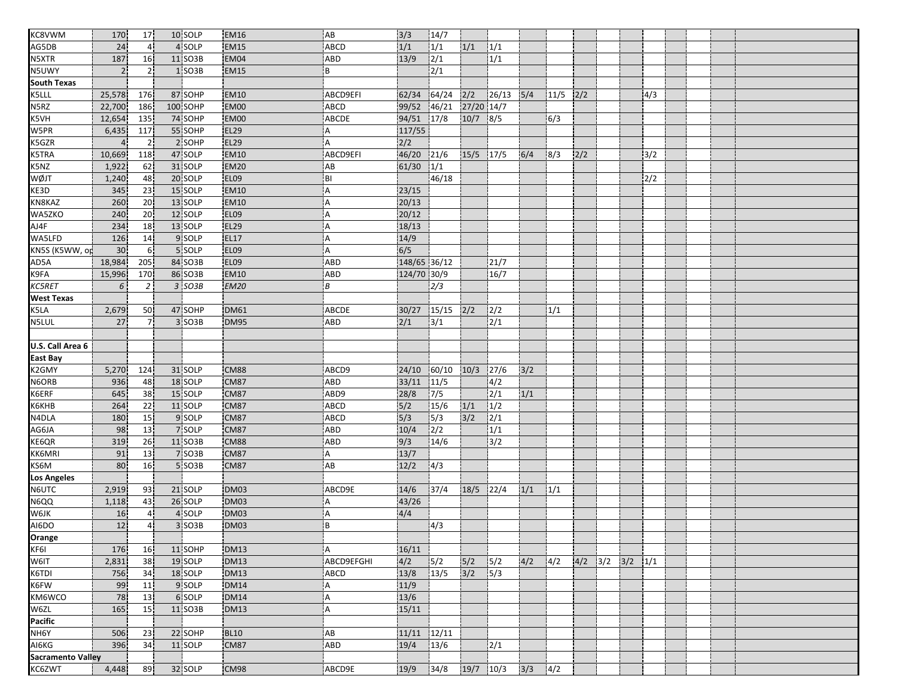| KC8VWM                   | 170            | 17              | 10 SOLP            | <b>EM16</b>      | AB           | 3/3              | 14/7                |            |                         |     |      |     |                         |     |  |  |
|--------------------------|----------------|-----------------|--------------------|------------------|--------------|------------------|---------------------|------------|-------------------------|-----|------|-----|-------------------------|-----|--|--|
| AG5DB                    | 24             | $\overline{4}$  | 4 SOLP             | <b>EM15</b>      | <b>ABCD</b>  | 1/1              | 1/1                 | 1/1        | 1/1                     |     |      |     |                         |     |  |  |
| <b>N5XTR</b>             | 187            | 16              | 11 SO3B            | EM04             | ABD          | 13/9             | $\frac{1}{2}$       |            | 1/1                     |     |      |     |                         |     |  |  |
| N5UWY                    | $\overline{2}$ | 2 <sup>1</sup>  | 1 SO3B             | <b>EM15</b>      | B            |                  | 2/1                 |            |                         |     |      |     |                         |     |  |  |
| <b>South Texas</b>       |                |                 |                    |                  |              |                  |                     |            |                         |     |      |     |                         |     |  |  |
| K5LLL                    | 25,578         | 176             | 87 SOHP            | <b>EM10</b>      | ABCD9EFI     | 62/34            | 64/24               | 2/2        | 26/13                   | 5/4 | 11/5 | 2/2 |                         | 4/3 |  |  |
| N5RZ                     | 22,700         | 186             | 100 SOHP           | <b>EM00</b>      | <b>ABCD</b>  | 99/52            | 46/21               | 27/20 14/7 |                         |     |      |     |                         |     |  |  |
| K5VH                     | 12,654         | 135             | 74 SOHP            | EM00             | ABCDE        | 94/51            | 17/8                | $10/7$ 8/5 |                         |     | 6/3  |     |                         |     |  |  |
| W5PR                     | 6,435          | 117             | 55 SOHP            | <b>EL29</b>      | A            | 117/55           |                     |            |                         |     |      |     |                         |     |  |  |
| K5GZR                    | $\overline{4}$ | 2 <sub>1</sub>  | 2 SOHP             | <b>EL29</b>      | A            | 2/2              |                     |            |                         |     |      |     |                         |     |  |  |
| <b>K5TRA</b>             | 10,669         | 118             | 47 SOLP            | <b>EM10</b>      | ABCD9EFI     | 46/20            | 21/6                | 15/5 17/5  |                         | 6/4 | 8/3  | 2/2 |                         | 3/2 |  |  |
| K5NZ                     | 1,922          | 62              | 31 SOLP            | <b>EM20</b>      | AB           | 61/30            | 1/1                 |            |                         |     |      |     |                         |     |  |  |
| <b>TLQW</b>              | 1,240          | 48              | 20 SOLP            | EL <sub>09</sub> | BI           |                  | 46/18               |            |                         |     |      |     |                         | 2/2 |  |  |
| KE3D                     | 345            | 23              | 15 SOLP            | <b>EM10</b>      | Α            | 23/15            |                     |            |                         |     |      |     |                         |     |  |  |
| KN8KAZ                   | 260            | 20              | 13 SOLP            | <b>EM10</b>      | A            | 20/13            |                     |            |                         |     |      |     |                         |     |  |  |
| WA5ZKO                   | 240            | 20 <sub>1</sub> | 12 SOLP            | <b>EL09</b>      | А            | 20/12            |                     |            |                         |     |      |     |                         |     |  |  |
| AJ4F                     | 234            | 18              | 13 SOLP            | <b>EL29</b>      | A            | 18/13            |                     |            |                         |     |      |     |                         |     |  |  |
| WA5LFD                   | 126            | 14              | 9 SOLP             | <b>EL17</b>      | A            | 14/9             |                     |            |                         |     |      |     |                         |     |  |  |
| KN5S (K5WW, op           | 30             | 6 <sup>1</sup>  | 5 SOLP             | EL09             | A            | $\overline{6/5}$ |                     |            |                         |     |      |     |                         |     |  |  |
| AD5A                     | 18,984         | 205             | 84 SO3B            | <b>EL09</b>      | ABD          | 148/65 36/12     |                     |            | 21/7                    |     |      |     |                         |     |  |  |
| K9FA                     | 15,996         | 170             | 86 SO3B            | <b>EM10</b>      | ABD          | 124/70 30/9      |                     |            | 16/7                    |     |      |     |                         |     |  |  |
| <b>KC5RET</b>            | 6              | $\overline{2}$  | 3 SO3B             | <b>EM20</b>      | В            |                  | 2/3                 |            |                         |     |      |     |                         |     |  |  |
| West Texas               |                |                 |                    |                  |              |                  |                     |            |                         |     |      |     |                         |     |  |  |
| K5LA                     | 2,679          | 50              | 47 SOHP            | <b>DM61</b>      | <b>ABCDE</b> | 30/27            | 15/15               | 2/2        | 2/2                     |     | 1/1  |     |                         |     |  |  |
| <b>NSLUL</b>             | 27             |                 | 3 SO3B             | <b>DM95</b>      | ABD          | 2/1              | 3/1                 |            | 2/1                     |     |      |     |                         |     |  |  |
|                          |                |                 |                    |                  |              |                  |                     |            |                         |     |      |     |                         |     |  |  |
| U.S. Call Area 6         |                |                 |                    |                  |              |                  |                     |            |                         |     |      |     |                         |     |  |  |
| East Bay                 |                |                 |                    |                  |              |                  |                     |            |                         |     |      |     |                         |     |  |  |
| K2GMY                    | 5,270          | 124             | 31 SOLP            | CM88             | ABCD9        | 24/10            | 60/10               | 10/3       | 127/6                   | 3/2 |      |     |                         |     |  |  |
| N6ORB                    | 936            |                 | 18 SOLP            | <b>CM87</b>      | ABD          |                  |                     |            |                         |     |      |     |                         |     |  |  |
| K6ERF                    | 645            | 48<br>38        | 15 SOLP            | <b>CM87</b>      | ABD9         | 33/11            | 11/5<br>7/5         |            | 4/2<br>$\overline{2/1}$ | 1/1 |      |     |                         |     |  |  |
| <b>К6КНВ</b>             | 264            | 22 <sub>1</sub> | 11 SOLP            | <b>CM87</b>      | <b>ABCD</b>  | 28/8<br>5/2      | 15/6                | 1/1        | 1/2                     |     |      |     |                         |     |  |  |
| N4DLA                    | 180            | 15              | 9 SOLP             | CM87             | ABCD         | 5/3              | 15/3                | 3/2        | 2/1                     |     |      |     |                         |     |  |  |
| AG6JA                    | 98             | 13 <sup>1</sup> | 7 SOLP             | <b>CM87</b>      | ABD          | 10/4             | 2/2                 |            | 1/1                     |     |      |     |                         |     |  |  |
| KE6QR                    | 319            | 26              | 11 SO3B            | <b>CM88</b>      | ABD          | 9/3              | 14/6                |            | 3/2                     |     |      |     |                         |     |  |  |
| <b>KK6MRI</b>            | 91             | 13              | 7 SO3B             | <b>CM87</b>      | A            | 13/7             |                     |            |                         |     |      |     |                         |     |  |  |
| KS6M                     | 80             | 16              | 5 SO3B             | <b>CM87</b>      | AB           | 12/2             | 4/3                 |            |                         |     |      |     |                         |     |  |  |
| <b>Los Angeles</b>       |                |                 |                    |                  |              |                  |                     |            |                         |     |      |     |                         |     |  |  |
| N6UTC                    | 2,919          | 93              | 21 SOLP            | DM03             | ABCD9E       | 14/6             | 37/4                | 18/5       | 122/4                   | 1/1 | 1/1  |     |                         |     |  |  |
| N6QQ                     | 1,118          | 43              | 26 SOLP            | <b>DM03</b>      | А            | 43/26            |                     |            |                         |     |      |     |                         |     |  |  |
| <b>W6JK</b>              | 16             | 4 <sub>1</sub>  | 4 SOLP             | DM03             | A            | 4/4              |                     |            |                         |     |      |     |                         |     |  |  |
|                          | 12             | 4 <sup>1</sup>  | 3 SO3B             | DM03             | B            |                  |                     |            |                         |     |      |     |                         |     |  |  |
| AI6DO                    |                |                 |                    |                  |              |                  | 4/3                 |            |                         |     |      |     |                         |     |  |  |
| <b>Orange</b><br>KF6I    | 176            |                 |                    |                  | A            |                  |                     |            |                         |     |      |     |                         |     |  |  |
| W6IT                     |                | 16 <sub>1</sub> | 11 SOHP<br>19 SOLP | <b>DM13</b>      | ABCD9EFGHI   | 16/11            |                     |            |                         |     |      |     | $4/2$ $3/2$ $3/2$ $1/1$ |     |  |  |
| K6TDI                    | 2,831          | 38              | 18 SOLP            | <b>DM13</b>      |              | 4/2<br>13/8      | 5/2<br>13/5         | 5/2<br>3/2 | 5/2                     | 4/2 | 4/2  |     |                         |     |  |  |
|                          | 756            | 34              |                    | <b>DM13</b>      | ABCD         |                  |                     |            | 5/3                     |     |      |     |                         |     |  |  |
| K6FW<br>KM6WCO           | 99             | 11              | 9 SOLP             | <b>DM14</b>      | Α            | 11/9             |                     |            |                         |     |      |     |                         |     |  |  |
|                          | 78             | 13              | 6 SOLP             | <b>DM14</b>      | Α            | 13/6             |                     |            |                         |     |      |     |                         |     |  |  |
| W6ZL<br>Pacific          | 165            | 15              | 11 SO3B            | <b>DM13</b>      | A            | 15/11            |                     |            |                         |     |      |     |                         |     |  |  |
|                          |                |                 |                    |                  |              |                  |                     |            |                         |     |      |     |                         |     |  |  |
| NH6Y<br>AI6KG            | 506            | 23.             | 22 SOHP            | <b>BL10</b>      | AB           | $11/11$ $12/11$  |                     |            |                         |     |      |     |                         |     |  |  |
|                          | 396            | 34              | 11 SOLP            | <b>CM87</b>      | ABD          | 19/4             | 13/6                |            | 2/1                     |     |      |     |                         |     |  |  |
| <b>Sacramento Valley</b> |                |                 |                    |                  |              |                  |                     |            |                         |     |      |     |                         |     |  |  |
| KC6ZWT                   | 4,448          | 89              | 32 SOLP            | <b>CM98</b>      | ABCD9E       |                  | 19/9 34/8 19/7 10/3 |            |                         | 3/3 | 4/2  |     |                         |     |  |  |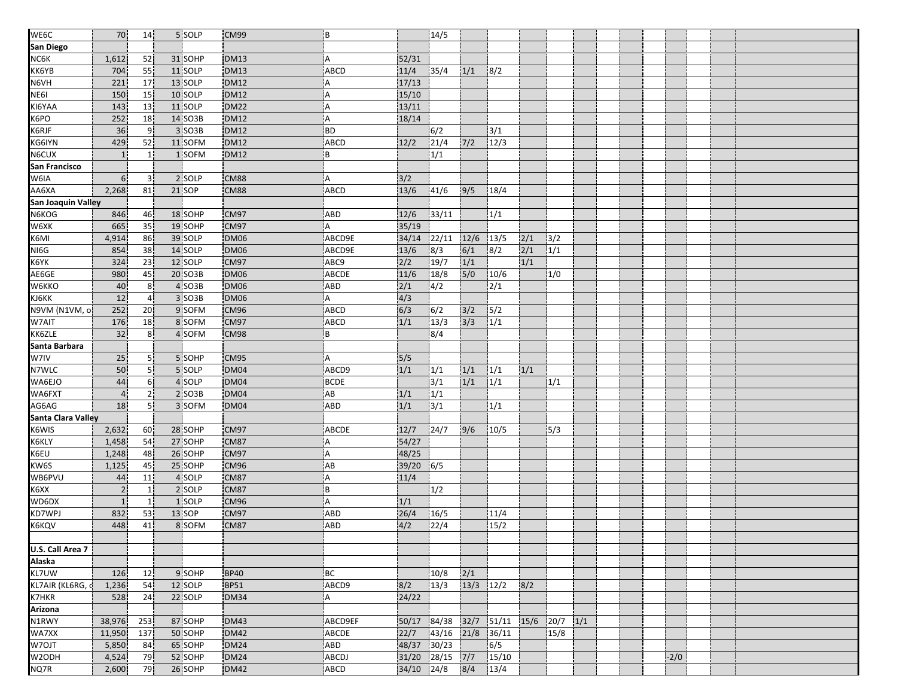| WE6C               | 70             | 14              | 5 SOLP  | CM99        | B           |               | 14/5         |               |                |                  |                  |  |        |  |  |
|--------------------|----------------|-----------------|---------|-------------|-------------|---------------|--------------|---------------|----------------|------------------|------------------|--|--------|--|--|
| San Diego          |                |                 |         |             |             |               |              |               |                |                  |                  |  |        |  |  |
| NC6K               | 1,612          | 52              | 31 SOHP | <b>DM13</b> | A           | 52/31         |              |               |                |                  |                  |  |        |  |  |
| KK6YB              | 704            | 55              | 11 SOLP | <b>DM13</b> | <b>ABCD</b> | 11/4          | 35/4         | 1/1           | 8/2            |                  |                  |  |        |  |  |
| N6VH               | 221            | 17              | 13 SOLP | <b>DM12</b> | Α           | 17/13         |              |               |                |                  |                  |  |        |  |  |
| NE61               | 150            | 15              | 10 SOLP | <b>DM12</b> | Α           | 15/10         |              |               |                |                  |                  |  |        |  |  |
| KI6YAA             | 143            | 13              | 11 SOLP | <b>DM22</b> | A           | 13/11         |              |               |                |                  |                  |  |        |  |  |
| K6PO               | 252            | 18              | 14 SO3B | <b>DM12</b> | A           | 18/14         |              |               |                |                  |                  |  |        |  |  |
| K6RJF              | 36             | 9.              | 3 SO3B  | <b>DM12</b> | <b>BD</b>   |               | 6/2          |               | 3/1            |                  |                  |  |        |  |  |
| KG6IYN             | 429            | 52              | 11 SOFM | <b>DM12</b> | ABCD        | 12/2          | 21/4         | $7/2$         | 12/3           |                  |                  |  |        |  |  |
| N6CUX              | 1              | $\mathbf{1}$    | 1 SOFM  | <b>DM12</b> | B           |               | 1/1          |               |                |                  |                  |  |        |  |  |
| San Francisco      |                |                 |         |             |             |               |              |               |                |                  |                  |  |        |  |  |
| W6IA               | 6 <sup>1</sup> | 31              | 2 SOLP  | <b>CM88</b> | Α           | 3/2           |              |               |                |                  |                  |  |        |  |  |
| AA6XA              | 2,268          | 81              | 21 SOP  | CM88        | <b>ABCD</b> | 13/6          | 41/6         | 9/5           | 18/4           |                  |                  |  |        |  |  |
| San Joaquin Valley |                |                 |         |             |             |               |              |               |                |                  |                  |  |        |  |  |
| N6KOG              | 846            | 46              | 18 SOHP | CM97        | ABD         | 12/6          | 33/11        |               | 1/1            |                  |                  |  |        |  |  |
| W6XK               | 665            | 35              | 19 SOHP | CM97        | A           | 35/19         |              |               |                |                  |                  |  |        |  |  |
| K6MI               | 4,914          | 86              | 39 SOLP | DM06        | ABCD9E      | 34/14         | 22/11        | 12/6          | 13/5           | 2/1              | 3/2              |  |        |  |  |
| NI6G               | 854            | 38              | 14 SOLP | <b>DM06</b> | ABCD9E      | 13/6          | $\sqrt{8/3}$ | 6/1           | 8/2            | $\overline{2/1}$ | $\overline{1/1}$ |  |        |  |  |
| K6YK               | 324            | 23              | 12 SOLP | CM97        | ABC9        | 2/2           | 19/7         | 1/1           |                | 1/1              |                  |  |        |  |  |
| AE6GE              | 980            | 45              | 20 SO3B | DM06        | ABCDE       | 11/6          | 18/8         | 5/0           | 10/6           |                  | 1/0              |  |        |  |  |
| W6KKO              | 40             | 8 <sup>1</sup>  | 4 SO3B  | <b>DM06</b> | ABD         | $\frac{2}{1}$ | 4/2          |               | 2/1            |                  |                  |  |        |  |  |
| KJ6KK              | 12             | $\overline{4}$  | 3 SO3B  | <b>DM06</b> | A           | 4/3           |              |               |                |                  |                  |  |        |  |  |
| N9VM (N1VM, o      | 252            | 20 <sub>1</sub> | 9 SOFM  | CM96        | ABCD        | 6/3           | 6/2          | 3/2           | 5/2            |                  |                  |  |        |  |  |
| W7AIT              | 176            | 18              | 8 SOFM  | CM97        | ABCD        | 1/1           | 13/3         | 3/3           | 1/1            |                  |                  |  |        |  |  |
| KK6ZLE             | 32             | 8 <sup>1</sup>  | 4 SOFM  | CM98        | B           |               | 8/4          |               |                |                  |                  |  |        |  |  |
| Santa Barbara      |                |                 |         |             |             |               |              |               |                |                  |                  |  |        |  |  |
| W7IV               | 25             | 51              | 5 SOHP  | CM95        | A           | 5/5           |              |               |                |                  |                  |  |        |  |  |
|                    |                |                 | 5 SOLP  | <b>DM04</b> |             |               |              |               |                |                  |                  |  |        |  |  |
| N7WLC              | 50             | 5 <sub>1</sub>  |         |             | ABCD9       | 1/1           | 1/1          | 1/1           | 1/1            | 1/1              |                  |  |        |  |  |
| WA6EJO             | 44             | 6 <sup>1</sup>  | 4 SOLP  | DM04        | BCDE        |               | 3/1          | 1/1           | 1/1            |                  | 1/1              |  |        |  |  |
| WA6FXT             | $\overline{4}$ | 2               | 2 SO3B  | <b>DM04</b> | AB          | 1/1           | 1/1          |               |                |                  |                  |  |        |  |  |
| AG6AG              | 18             | 5 <sup>1</sup>  | 3 SOFM  | DM04        | <b>ABD</b>  | 1/1           | 3/1          |               | 1/1            |                  |                  |  |        |  |  |
| Santa Clara Valley |                |                 |         |             |             |               |              |               |                |                  |                  |  |        |  |  |
| K6WIS              | 2,632          | 60              | 28 SOHP | CM97        | ABCDE       | 12/7          | 24/7         | 9/6           | 10/5           |                  | 5/3              |  |        |  |  |
| K6KLY              | 1,458          | 54              | 27 SOHP | CM87        | Α           | 54/27         |              |               |                |                  |                  |  |        |  |  |
| K6EU               | 1,248          | 48              | 26 SOHP | CM97        | Α           | 48/25         |              |               |                |                  |                  |  |        |  |  |
| KW6S               | 1,125          | 45              | 25 SOHP | <b>CM96</b> | AB          | 39/20         | 6/5          |               |                |                  |                  |  |        |  |  |
| WB6PVU             | 44             | 11              | 4 SOLP  | <b>CM87</b> | Α           | 11/4          |              |               |                |                  |                  |  |        |  |  |
| K6XX               | $\sqrt{2}$     | 1               | 2 SOLP  | CM87        | i B         |               | 1/2          |               |                |                  |                  |  |        |  |  |
| WD6DX              | $\mathbf{1}$   | $\mathbf{1}$    | 1 SOLP  | <b>CM96</b> | A           | 1/1           |              |               |                |                  |                  |  |        |  |  |
| <b>KD7WPJ</b>      | 832            | 53              | 13 SOP  | CM97        | <b>ABD</b>  | 26/4          | 16/5         |               | 11/4           |                  |                  |  |        |  |  |
| K6KQV              | 448            | 41              | 8 SOFM  | CM87        | ABD         | 4/2           | 22/4         |               | 15/2           |                  |                  |  |        |  |  |
|                    |                |                 |         |             |             |               |              |               |                |                  |                  |  |        |  |  |
| U.S. Call Area 7   |                |                 |         |             |             |               |              |               |                |                  |                  |  |        |  |  |
| Alaska             |                |                 |         |             |             |               |              |               |                |                  |                  |  |        |  |  |
| KL7UW              | 126            | 12              | 9 SOHP  | <b>BP40</b> | BC          |               | 10/8         | 2/1           |                |                  |                  |  |        |  |  |
| KL7AIR (KL6RG, d   | 1,236          | 54              | 12 SOLP | <b>BP51</b> | ABCD9       | 8/2           | 13/3         | $13/3$ $12/2$ |                | 8/2              |                  |  |        |  |  |
| K7HKR              | 528            | 24              | 22 SOLP | <b>DM34</b> | I A         | 24/22         |              |               |                |                  |                  |  |        |  |  |
| <b>Arizona</b>     |                |                 |         |             |             |               |              |               |                |                  |                  |  |        |  |  |
| N1RWY              | 38,976         | 253             | 87 SOHP | <b>DM43</b> | ABCD9EF     | 50/17         | 84/38        | 32/7          | $51/11$ $15/6$ |                  | $20/7$ $1/1$     |  |        |  |  |
| WA7XX              | 11,950         | 137             | 50 SOHP | <b>DM42</b> | ABCDE       | 22/7          | 43/16        | 21/8          | 36/11          |                  | 15/8             |  |        |  |  |
| W7OJT              | 5,850          | 84              | 65 SOHP | <b>DM24</b> | ABD         | 48/37         | 30/23        |               | 6/5            |                  |                  |  |        |  |  |
| W <sub>2</sub> ODH | 4,524          | 79              | 52 SOHP | <b>DM24</b> | ABCDJ       | 31/20 28/15   |              | $7/7$         | 15/10          |                  |                  |  | $-2/0$ |  |  |
| NQ7R               | 2,600          | 79              | 26 SOHP | <b>DM42</b> | ABCD        | 34/10 24/8    |              | 8/4           | 13/4           |                  |                  |  |        |  |  |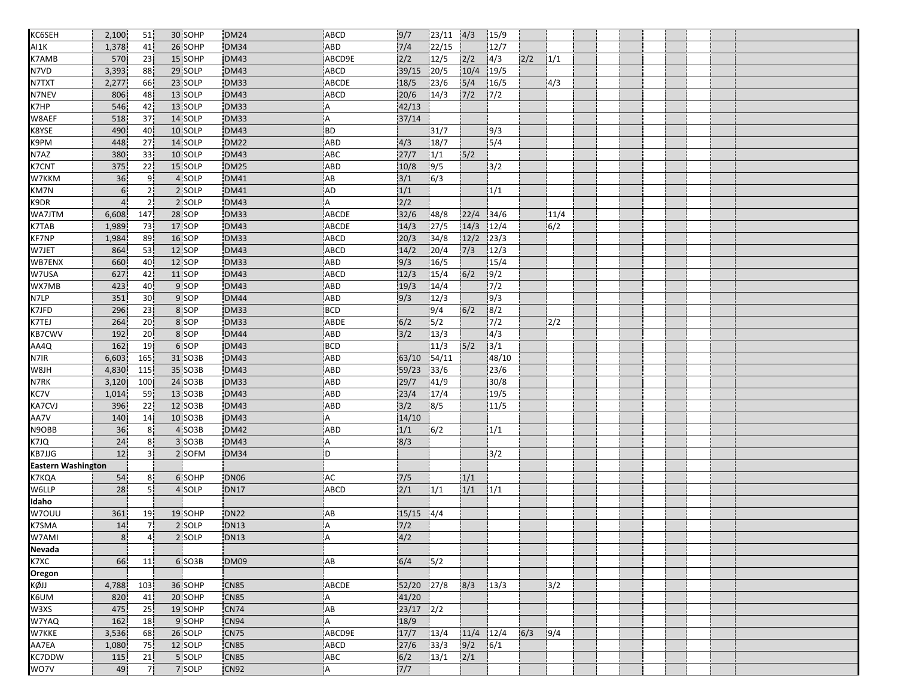| KC6SEH                    | 2,100          | 51             | 30 SOHP       | <b>DM24</b>                | ABCD         | 9/7              | 23/11 | 4/3           | 15/9             |     |       |  |  |  |  |
|---------------------------|----------------|----------------|---------------|----------------------------|--------------|------------------|-------|---------------|------------------|-----|-------|--|--|--|--|
| AI1K                      | 1,378          | 41             | 26 SOHP       | <b>DM34</b>                | ABD          | 7/4              | 22/15 |               | 12/7             |     |       |  |  |  |  |
| K7AMB                     | 570            | 23             | 15 SOHP       | <b>DM43</b>                | ABCD9E       | 2/2              | 12/5  | 2/2           | 4/3              | 2/2 | 1/1   |  |  |  |  |
| N7VD                      | 3,393          | 88             | 29 SOLP       | <b>DM43</b>                | ABCD         | 39/15            | 20/5  | 10/4          | 19/5             |     |       |  |  |  |  |
| <b>N7TXT</b>              | 2,277          | 66             | 23 SOLP       | <b>DM33</b>                | ABCDE        | 18/5             | 23/6  | 5/4           | 16/5             |     | 4/3   |  |  |  |  |
| <b>N7NEV</b>              | 806            | 48             | 13 SOLP       | <b>DM43</b>                | ABCD         | 20/6             | 14/3  | $\frac{7}{2}$ | 7/2              |     |       |  |  |  |  |
| K7HP                      | 546            | 42             | 13 SOLP       | DM33                       | i A          | 42/13            |       |               |                  |     |       |  |  |  |  |
| W8AEF                     | 518            | 37             | 14 SOLP       | DM33                       | A            | 37/14            |       |               |                  |     |       |  |  |  |  |
| K8YSE                     | 490            | 40             | 10 SOLP       | DM43                       | <b>BD</b>    |                  | 31/7  |               | 9/3              |     |       |  |  |  |  |
| K9PM                      | 448            | 27             | 14 SOLP       | <b>DM22</b>                | ABD          | 4/3              | 18/7  |               | 5/4              |     |       |  |  |  |  |
| N7AZ                      | 380            | 33             | 10 SOLP       | <b>DM43</b>                | <b>ABC</b>   | 27/7             | 1/1   | 5/2           |                  |     |       |  |  |  |  |
| <b>K7CNT</b>              | 375            | 22             | 15 SOLP       | <b>DM25</b>                | <b>ABD</b>   | 10/8             | 9/5   |               | 3/2              |     |       |  |  |  |  |
| W7KKM                     | 36             | 9              | 4 SOLP        | <b>DM41</b>                | AB           | 3/1              | 6/3   |               |                  |     |       |  |  |  |  |
| KM7N                      | 6 <sup>1</sup> | 2!             | 2 SOLP        | <b>DM41</b>                | AD           | 1/1              |       |               | 1/1              |     |       |  |  |  |  |
| K9DR                      | $\overline{4}$ | 2 <sup>1</sup> | 2 SOLP        | <b>DM43</b>                | Α            | $\overline{2/2}$ |       |               |                  |     |       |  |  |  |  |
| WA7JTM                    | 6,608          | 147            | 28 SOP        | <b>DM33</b>                | <b>ABCDE</b> | 32/6             | 48/8  | 22/4          | 34/6             |     | 11/4  |  |  |  |  |
| <b>K7TAB</b>              | 1,989          | 73             | 17 SOP        | <b>DM43</b>                | ABCDE        | 14/3             | 27/5  | 14/3          | 12/4             |     | 6/2   |  |  |  |  |
| <b>KF7NP</b>              | 1,984          | 89             | 16 SOP        | <b>DM33</b>                | ABCD         | 20/3             | 34/8  | 12/2          | 23/3             |     |       |  |  |  |  |
| W7JET                     | 864            | 53             | 12 SOP        | <b>DM43</b>                | ABCD         | 14/2             | 20/4  | 7/3           | 12/3             |     |       |  |  |  |  |
| WB7ENX                    | 660            | 40             | <b>12 SOP</b> | <b>DM33</b>                | ABD          | 9/3              | 16/5  |               | 15/4             |     |       |  |  |  |  |
| W7USA                     | 627            | 42             | 11 SOP        | <b>DM43</b>                | <b>ABCD</b>  | 12/3             | 15/4  | 6/2           | 9/2              |     |       |  |  |  |  |
| WX7MB                     | 423            | 40             | 9 SOP         | <b>DM43</b>                | ABD          | 19/3             | 14/4  |               | $\overline{7/2}$ |     |       |  |  |  |  |
| N7LP                      | 351            | 30             | 9 SOP         | <b>DM44</b>                | ABD          | 9/3              | 12/3  |               | 9/3              |     |       |  |  |  |  |
| K7JFD                     | 296            | 23             | 8 SOP         | <b>DM33</b>                | <b>BCD</b>   |                  | 9/4   | 6/2           | 8/2              |     |       |  |  |  |  |
| K7TEJ                     | 264            | 20             | 8 SOP         | <b>DM33</b>                | ABDE         | 6/2              | 5/2   |               | $\frac{1}{7/2}$  |     | 2/2   |  |  |  |  |
| <b>KB7CWV</b>             | 192            | 20             | 8 SOP         | <b>DM44</b>                | ABD          | 3/2              | 13/3  |               | 4/3              |     |       |  |  |  |  |
| AA4Q                      | 162            | 19             | 6 SOP         | <b>DM43</b>                | BCD          |                  | 11/3  | 5/2           | 3/1              |     |       |  |  |  |  |
| N7IR                      | 6,603          | 165            | 31 SO3B       | <b>DM43</b>                | ABD          | 63/10            | 54/11 |               | 48/10            |     |       |  |  |  |  |
| W8JH                      | 4,830          | 115            | 35 SO3B       | <b>DM43</b>                | ABD          | 59/23            | 33/6  |               | 23/6             |     |       |  |  |  |  |
| N7RK                      | 3,120          | 100            | 24 SO3B       | DM33                       | ABD          | 29/7             | 41/9  |               | 30/8             |     |       |  |  |  |  |
| KC7V                      | 1,014          | 59             | 13 SO3B       | <b>DM43</b>                | ABD          | 23/4             | 17/4  |               | 19/5             |     |       |  |  |  |  |
| <b>KA7CVJ</b>             | 396            | 22             | 12 SO3B       | <b>DM43</b>                | <b>ABD</b>   | 3/2              | 8/5   |               | 11/5             |     |       |  |  |  |  |
| AA7V                      | 140            | 14             | 10 SO3B       | <b>DM43</b>                | Α            | 14/10            |       |               |                  |     |       |  |  |  |  |
| N9OBB                     | 36             | 8 <sup>1</sup> | 4 SO3B        | <b>DM42</b>                | ABD          | 1/1              | 6/2   |               | 1/1              |     |       |  |  |  |  |
| K7JQ                      | 24             | 8 <sup>1</sup> | 3 SO3B        | <b>DM43</b>                | ΙA.          | 8/3              |       |               |                  |     |       |  |  |  |  |
| <b>KB7JJG</b>             | 12             | 3 <sup>1</sup> | 2 SOFM        | DM34                       | i D          |                  |       |               | 3/2              |     |       |  |  |  |  |
| <b>Eastern Washington</b> |                |                |               |                            |              |                  |       |               |                  |     |       |  |  |  |  |
| K7KQA                     | 54             | 8 <sup>1</sup> | 6 SOHP        | <b>DN06</b>                | <b>AC</b>    | 7/5              |       | 1/1           |                  |     |       |  |  |  |  |
| W6LLP                     | 28             | 5 <sup>1</sup> | 4 SOLP        | <b>DN17</b>                | ABCD         | 2/1              | 1/1   | 1/1           | 1/1              |     |       |  |  |  |  |
| Idaho                     |                |                |               |                            |              |                  |       |               |                  |     |       |  |  |  |  |
| W7OUU                     | 361            | 19             | 19 SOHP       | <b>DN22</b>                | AB           | 15/15            | 4/4   |               |                  |     |       |  |  |  |  |
| K7SMA                     | 14             | 7 <sup>1</sup> | 2 SOLP        | <b>DN13</b>                | A            | $7/2$            |       |               |                  |     |       |  |  |  |  |
| W7AMI                     | 8 <sub>1</sub> |                | 2 SOLP        | DN13                       |              | 4/2              |       |               |                  |     |       |  |  |  |  |
| <b>Nevada</b>             |                | 4¦             |               |                            | ¦A           |                  |       |               |                  |     |       |  |  |  |  |
| K7XC                      | 66             | 11             | 6 SO3B        | DM09                       | AB           | 6/4              | 5/2   |               |                  |     |       |  |  |  |  |
|                           |                |                |               |                            |              |                  |       |               |                  |     |       |  |  |  |  |
| Oregon                    |                |                |               |                            |              |                  |       |               |                  |     |       |  |  |  |  |
| KQN<br>KQII               | 4,788          | 103            | 36 SOHP       | <b>CN85</b><br><b>CN85</b> | ABCDE        | 52/20            | 27/8  | 8/3           | 13/3             |     | $3/2$ |  |  |  |  |
| W3XS                      | 820            | 41             | 20 SOHP       |                            | IA.          | 41/20            |       |               |                  |     |       |  |  |  |  |
| W7YAQ                     | 475            | 25             | 19 SOHP       | <b>CN74</b>                | AB           | $23/17$ $2/2$    |       |               |                  |     |       |  |  |  |  |
|                           | 162            | 18             | 9 SOHP        | <b>CN94</b>                | A            | 18/9             |       |               |                  |     |       |  |  |  |  |
| W7KKE<br>AA7EA            | 3,536          | 68             | 26 SOLP       | CN75                       | ABCD9E       | 17/7             | 13/4  | $11/4$ $12/4$ |                  | 6/3 | 9/4   |  |  |  |  |
|                           | 1,080          | 75             | 12 SOLP       | <b>CN85</b>                | ABCD         | 27/6             | 33/3  | 9/2           | 6/1              |     |       |  |  |  |  |
| KC7DDW                    | 115            | 21             | 5 SOLP        | <b>CN85</b>                | ABC          | 6/2              | 13/1  | 2/1           |                  |     |       |  |  |  |  |
| WO7V                      | 49             | 7 <sup>1</sup> | 7 SOLP        | <b>CN92</b>                | l A          | 7/7              |       |               |                  |     |       |  |  |  |  |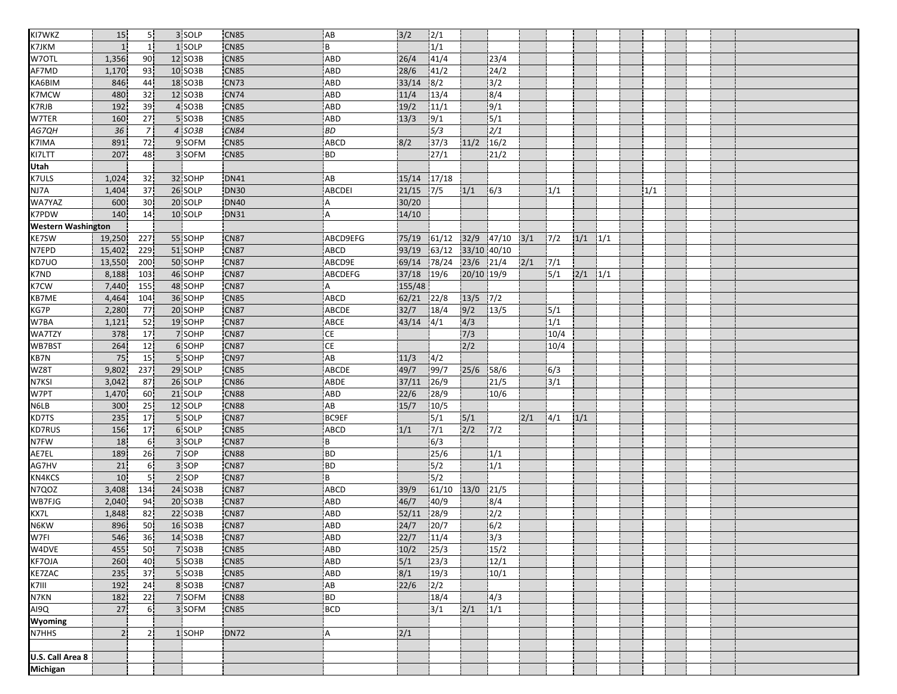| KI7WKZ                    | 15             | 5 <sup>1</sup>  | 3 SOLP  | CN85             | <b>AB</b>     | 3/2    | 2/1                      |             |                          |     |      |     |     |     |  |  |
|---------------------------|----------------|-----------------|---------|------------------|---------------|--------|--------------------------|-------------|--------------------------|-----|------|-----|-----|-----|--|--|
| K7JKM                     | $\mathbf{1}$   | 11              | 1 SOLP  | <b>CN85</b>      | B             |        | 1/1                      |             |                          |     |      |     |     |     |  |  |
| W7OTL                     | 1,356          | 90              | 12 SO3B | CN85             | ABD           | 26/4   | 41/4                     |             | 23/4                     |     |      |     |     |     |  |  |
| AF7MD                     | 1,170          | 93              | 10 SO3B | <b>CN85</b>      | <b>ABD</b>    | 28/6   | 41/2                     |             | 24/2                     |     |      |     |     |     |  |  |
| KA6BIM                    | 846            | 44              | 18 SO3B | <b>CN73</b>      | <b>ABD</b>    | 33/14  | 8/2                      |             | 3/2                      |     |      |     |     |     |  |  |
| <b>K7MCW</b>              | 480            | 32              | 12 SO3B | <b>CN74</b>      | <b>ABD</b>    | 11/4   | 13/4                     |             | 8/4                      |     |      |     |     |     |  |  |
| K7RJB                     | 192            | 39              | 4 SO3B  | <b>CN85</b>      | <b>ABD</b>    | 19/2   | 11/1                     |             | 9/1                      |     |      |     |     |     |  |  |
| W7TER                     | 160            | 27              | 5 SO3B  | CN85             | ABD           | 13/3   | 9/1                      |             | 5/1                      |     |      |     |     |     |  |  |
| AG7QH                     | 36             | $\overline{7}$  | 4 SO3B  | <b>CN84</b>      | BD            |        | 5/3                      |             | 2/1                      |     |      |     |     |     |  |  |
| K7IMA                     | 891            | 72              | 9 SOFM  | <b>CN85</b>      | ABCD          | 8/2    | 37/3                     | 11/2        | 16/2                     |     |      |     |     |     |  |  |
| KI7LTT                    | 207            | 48              | 3 SOFM  | CN85             | <b>BD</b>     |        | 27/1                     |             | 21/2                     |     |      |     |     |     |  |  |
| Utah                      |                |                 |         |                  |               |        |                          |             |                          |     |      |     |     |     |  |  |
| K7ULS                     | 1,024          | 32              | 32 SOHP | <b>DN41</b>      | AB            | 15/14  | 17/18                    |             |                          |     |      |     |     |     |  |  |
| NJ7A                      | 1,404          | 37              | 26 SOLP | <b>DN30</b>      | <b>ABCDEI</b> | 21/15  | 7/5                      | 1/1         | 6/3                      |     | 1/1  |     |     | 1/1 |  |  |
| WA7YAZ                    | 600            | 30              | 20 SOLP | <b>DN40</b>      | A             | 30/20  |                          |             |                          |     |      |     |     |     |  |  |
| <b>K7PDW</b>              | 140            | 14              | 10 SOLP | <b>DN31</b>      | Α             | 14/10  |                          |             |                          |     |      |     |     |     |  |  |
| <b>Western Washington</b> |                |                 |         |                  |               |        |                          |             |                          |     |      |     |     |     |  |  |
| <b>KE7SW</b>              | 19,250         | 227             | 55 SOHP | CN87             | ABCD9EFG      | 75/19  | 61/12                    | 32/9        | 147/10                   | 3/1 | 7/2  | 1/1 | 1/1 |     |  |  |
| N7EPD                     | 15,402         | 229             | 51 SOHP | <b>CN87</b>      | ABCD          | 93/19  | 63/12                    | 33/10 40/10 |                          |     |      |     |     |     |  |  |
| KD7UO                     | 13,550         | 200             | 50 SOHP | <b>CN87</b>      | ABCD9E        | 69/14  | 78/24                    | 23/6 21/4   |                          | 2/1 | 7/1  |     |     |     |  |  |
| K7ND                      | 8,188          | 103             | 46 SOHP | CN87             | ABCDEFG       | 37/18  | 19/6                     | 20/10 19/9  |                          |     | 5/1  | 2/1 | 1/1 |     |  |  |
| K7CW                      | 7,440          | 155             | 48 SOHP | <b>CN87</b>      | Α             | 155/48 |                          |             |                          |     |      |     |     |     |  |  |
| KB7ME                     | 4,464          | 104             | 36 SOHP | <b>CN85</b>      | ABCD          | 62/21  | 22/8                     | 13/5        | 7/2                      |     |      |     |     |     |  |  |
| KG7P                      | 2,280          | 77              | 20 SOHP | CN87             | <b>ABCDE</b>  | 32/7   | 18/4                     | 9/2         | 13/5                     |     | 5/1  |     |     |     |  |  |
| W7BA                      | 1,121          | 52              | 19 SOHP | <b>CN87</b>      | ABCE          | 43/14  | 4/1                      | 4/3         |                          |     | 1/1  |     |     |     |  |  |
| <b>WA7TZY</b>             | 378            | 17              | 7 SOHP  | <b>CN87</b>      | CE            |        |                          | 7/3         |                          |     | 10/4 |     |     |     |  |  |
| WB7BST                    | 264            | 12              | 6 SOHP  | CN87             | CE            |        |                          | 2/2         |                          |     | 10/4 |     |     |     |  |  |
| KB7N                      | 75             | 15              | 5 SOHP  | <b>CN97</b>      | AB            | 11/3   | 4/2                      |             |                          |     |      |     |     |     |  |  |
| WZ8T                      | 9,802          | 237             | 29 SOLP | <b>CN85</b>      | ABCDE         | 49/7   | 99/7                     | 25/6        | 58/6                     |     | 6/3  |     |     |     |  |  |
| N7KSI                     | 3,042          | 87              | 26 SOLP | CN <sub>86</sub> | ABDE          | 37/11  | 26/9                     |             | 21/5                     |     | 3/1  |     |     |     |  |  |
| W7PT                      | 1,470          | 60              | 21 SOLP | <b>CN88</b>      | <b>ABD</b>    | 22/6   | 28/9                     |             | 10/6                     |     |      |     |     |     |  |  |
| N6LB                      | 300            | 25 <sub>1</sub> | 12 SOLP | <b>CN88</b>      | AB            | 15/7   | 10/5                     |             |                          |     |      |     |     |     |  |  |
| KD7TS                     | 235            | 17              | 5 SOLP  | <b>CN87</b>      | <b>BC9EF</b>  |        | 5/1                      | 5/1         |                          | 2/1 | 4/1  | 1/1 |     |     |  |  |
| <b>KD7RUS</b>             | 156            | 17              | 6 SOLP  | <b>CN85</b>      | ABCD          | 1/1    | 7/1                      | 2/2         | 7/2                      |     |      |     |     |     |  |  |
| N7FW                      | 18             | 6 <sup>1</sup>  | 3 SOLP  | <b>CN87</b>      | B             |        | 6/3                      |             |                          |     |      |     |     |     |  |  |
| AE7EL                     | 189            | 26              | 7 SOP   | CN88             | <b>BD</b>     |        | 25/6                     |             | 1/1                      |     |      |     |     |     |  |  |
| AG7HV                     | 21             | 6 <sup>1</sup>  | 3 SOP   | <b>CN87</b>      | <b>BD</b>     |        | 5/2                      |             | 1/1                      |     |      |     |     |     |  |  |
| KN4KCS                    | 10             | 5 <sub>1</sub>  | 2 SOP   | <b>CN87</b>      | B             |        | 5/2                      |             |                          |     |      |     |     |     |  |  |
| N7QOZ                     | 3,408          | 134             | 24 SO3B | <b>CN87</b>      | ABCD          | 39/9   | 61/10                    | 13/0        | 121/5                    |     |      |     |     |     |  |  |
| WB7FJG                    | 2,040          | 94              | 20 SO3B | <b>CN87</b>      | ABD           | 46/7   | 40/9                     |             | 8/4                      |     |      |     |     |     |  |  |
| KX7L                      | 1,848          | 82              | 22 SO3B | CN87             | ABD           | 52/11  | 28/9                     |             | 2/2                      |     |      |     |     |     |  |  |
| N6KW                      | 896            | 50              | 16 SO3B | <b>CN87</b>      | ABD           | 24/7   | 20/7                     |             | 6/2                      |     |      |     |     |     |  |  |
|                           | 546            | 36              | 14 SO3B | CN87             | ABD.          | 22/7   | 11/4                     |             | $\overline{\frac{3}{3}}$ |     |      |     |     |     |  |  |
| W7FI<br>W4DVE             | 455            | 50              | 7 SO3B  | <b>CN85</b>      | ABD           | 10/2   | 25/3                     |             | 15/2                     |     |      |     |     |     |  |  |
| <b>KF7OJA</b>             | 260            | 40              | 5 SO3B  | CN85             | ABD           | 5/1    | 23/3                     |             | 12/1                     |     |      |     |     |     |  |  |
| <b>KE7ZAC</b>             | 235            | 37              | 5 SO3B  | <b>CN85</b>      | ABD           | 8/1    | 19/3                     |             | 10/1                     |     |      |     |     |     |  |  |
| K7III                     | 192            | 24              | 8 SO3B  | <b>CN87</b>      | AB            | 22/6   | 2/2                      |             |                          |     |      |     |     |     |  |  |
| N7KN                      | 182            | 22              | 7 SOFM  | <b>CN88</b>      | BD            |        | 18/4                     |             | 4/3                      |     |      |     |     |     |  |  |
| AI9Q                      | 27             | 6 <sup>1</sup>  | 3 SOFM  | <b>CN85</b>      | BCD           |        | $\overline{\frac{3}{1}}$ | 2/1         | $\overline{1/1}$         |     |      |     |     |     |  |  |
| Wyoming                   |                |                 |         |                  |               |        |                          |             |                          |     |      |     |     |     |  |  |
| <b>N7HHS</b>              | $\overline{2}$ | 2 <sup>1</sup>  | 1 SOHP  | DN72             | ¦A            | 2/1    |                          |             |                          |     |      |     |     |     |  |  |
|                           |                |                 |         |                  |               |        |                          |             |                          |     |      |     |     |     |  |  |
| U.S. Call Area 8          |                |                 |         |                  |               |        |                          |             |                          |     |      |     |     |     |  |  |
| <b>Michigan</b>           |                |                 |         |                  |               |        |                          |             |                          |     |      |     |     |     |  |  |
|                           |                |                 |         |                  |               |        |                          |             |                          |     |      |     |     |     |  |  |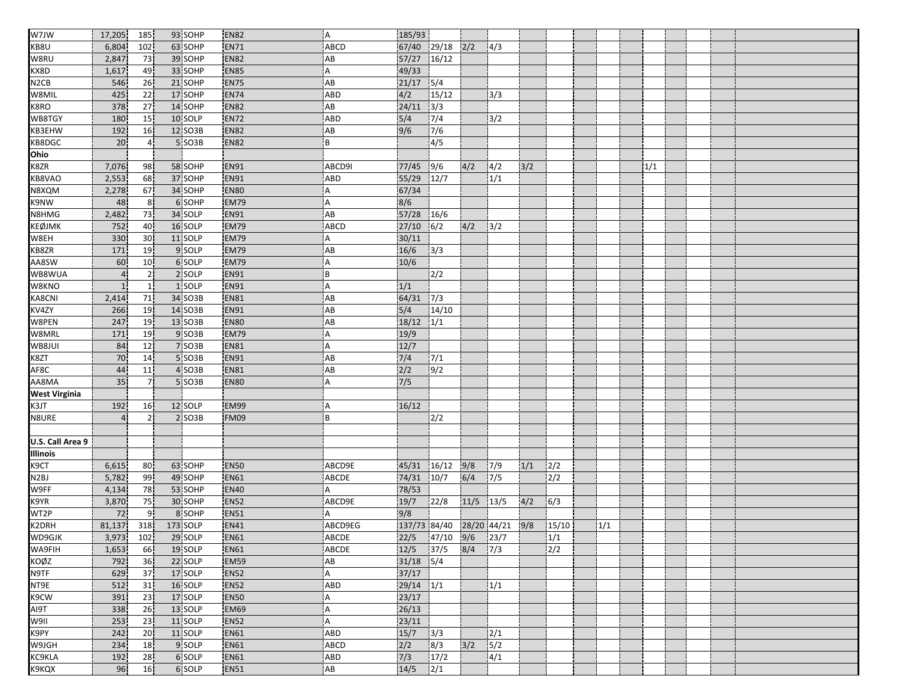| W7JW                 | 17,205         | 185             | 93 SOHP  | <b>EN82</b> | i A                    | 185/93        |                          |       |                          |     |       |     |     |  |  |
|----------------------|----------------|-----------------|----------|-------------|------------------------|---------------|--------------------------|-------|--------------------------|-----|-------|-----|-----|--|--|
| KB8U                 | 6,804          | 102             | 63 SOHP  | <b>EN71</b> | ABCD                   | 67/40 29/18   |                          | 2/2   | 4/3                      |     |       |     |     |  |  |
| W8RU                 | 2,847          | 73              | 39 SOHP  | <b>EN82</b> | AB                     | 57/27 16/12   |                          |       |                          |     |       |     |     |  |  |
| KX8D                 | 1,617          | 49              | 33 SOHP  | <b>EN85</b> | Α                      | 49/33         |                          |       |                          |     |       |     |     |  |  |
| N <sub>2</sub> CB    | 546            | 26              | 21 SOHP  | <b>EN75</b> | AB                     | $21/17$ 5/4   |                          |       |                          |     |       |     |     |  |  |
| W8MIL                | 425            | $\overline{22}$ | 17 SOHP  | <b>EN74</b> | ABD                    | 4/2           | 15/12                    |       | 3/3                      |     |       |     |     |  |  |
| K8RO                 | 378            | 27              | 14 SOHP  | <b>EN82</b> | AB                     | 24/11         | $\frac{1}{3/3}$          |       |                          |     |       |     |     |  |  |
| WB8TGY               | 180            | 15              | 10 SOLP  | <b>EN72</b> | ABD                    | $5/4$         | 7/4                      |       | 3/2                      |     |       |     |     |  |  |
| KB3EHW               | 192            | 16              | 12 SO3B  | <b>EN82</b> | AB                     | 9/6           | 7/6                      |       |                          |     |       |     |     |  |  |
| KB8DGC               | 20             | 4İ              | 5 SO3B   | <b>EN82</b> | B                      |               | 4/5                      |       |                          |     |       |     |     |  |  |
| Ohio                 |                |                 |          |             |                        |               |                          |       |                          |     |       |     |     |  |  |
| K8ZR                 | 7,076          | 98              | 58 SOHP  | EN91        | ABCD9I                 | 77/45         | 9/6                      | 4/2   | 14/2                     | 3/2 |       |     | 1/1 |  |  |
| KB8VAO               | 2,553          | 68              | 37 SOHP  | <b>EN91</b> | <b>ABD</b>             | 55/29 12/7    |                          |       | 1/1                      |     |       |     |     |  |  |
| N8XQM                | 2,278          | 67              | 34 SOHP  | <b>EN80</b> | Α                      | 67/34         |                          |       |                          |     |       |     |     |  |  |
| K9NW                 | 48             | 8 <sup>1</sup>  | 6 SOHP   | <b>EM79</b> | A                      | 8/6           |                          |       |                          |     |       |     |     |  |  |
| N8HMG                | 2,482          | 73              | 34 SOLP  | <b>EN91</b> | AB                     | 57/28         | 16/6                     |       |                          |     |       |     |     |  |  |
| <b>KEØJMK</b>        | 752            | 40              | 16 SOLP  | <b>EM79</b> | <b>ABCD</b>            | $27/10$ 6/2   |                          | 4/2   | $3/2$                    |     |       |     |     |  |  |
| W8EH                 | 330            | 30 <sup>1</sup> | 11 SOLP  | <b>EM79</b> | Α                      | 30/11         |                          |       |                          |     |       |     |     |  |  |
| KB8ZR                | 171            | 19              | 9 SOLP   | <b>EM79</b> | AB                     | 16/6          | $3/3$                    |       |                          |     |       |     |     |  |  |
| AA8SW                | 60             | 10 <sub>1</sub> | 6 SOLP   | <b>EM79</b> | Α                      | 10/6          |                          |       |                          |     |       |     |     |  |  |
| WB8WUA               | $\overline{4}$ | 21              | 2 SOLP   | <b>EN91</b> | B                      |               | 2/2                      |       |                          |     |       |     |     |  |  |
| W8KNO                | 1              | 1 <sub>1</sub>  | 1 SOLP   | <b>EN91</b> | A                      | 1/1           |                          |       |                          |     |       |     |     |  |  |
| KA8CNI               | 2,414          | 71              | 34 SO3B  | <b>EN81</b> | AB                     | 64/31         | 7/3                      |       |                          |     |       |     |     |  |  |
| KV4ZY                | 266            | 19              | 14 SO3B  | <b>EN91</b> | AB                     | 5/4           | 14/10                    |       |                          |     |       |     |     |  |  |
| W8PEN                | 247            | 19              | 13 SO3B  | <b>EN80</b> | AB                     | 18/12         | 1/1                      |       |                          |     |       |     |     |  |  |
| W8MRL                | 171            | 19              | 9 SO3B   | <b>EM79</b> | Α                      | 19/9          |                          |       |                          |     |       |     |     |  |  |
| WB8JUI               | 84             | 12              | 7 SO3B   | <b>EN81</b> | Α                      | 12/7          |                          |       |                          |     |       |     |     |  |  |
| K8ZT                 | 70             | 14              | 5 SO3B   | <b>EN91</b> | AB                     | 7/4           | 7/1                      |       |                          |     |       |     |     |  |  |
| AF8C                 | 44             | 11              | 4 SO3B   | <b>EN81</b> | AB                     | 2/2           | 9/2                      |       |                          |     |       |     |     |  |  |
| AA8MA                | 35             | 7 <sup>1</sup>  | 5 SO3B   | EN80        | A                      | $7/5$         |                          |       |                          |     |       |     |     |  |  |
| <b>West Virginia</b> |                |                 |          |             |                        |               |                          |       |                          |     |       |     |     |  |  |
| K3JT                 | 192            | 16 <sup>1</sup> | 12 SOLP  | <b>EM99</b> | Α                      | 16/12         |                          |       |                          |     |       |     |     |  |  |
| N8URE                | $\overline{4}$ | 2 <sub>1</sub>  | 2 SO3B   | FM09        | B                      |               | 2/2                      |       |                          |     |       |     |     |  |  |
|                      |                |                 |          |             |                        |               |                          |       |                          |     |       |     |     |  |  |
| U.S. Call Area 9     |                |                 |          |             |                        |               |                          |       |                          |     |       |     |     |  |  |
| Illinois             |                |                 |          |             |                        |               |                          |       |                          |     |       |     |     |  |  |
| K9CT                 | 6,615          | 80)             | 63 SOHP  | <b>EN50</b> | ABCD9E                 | 45/31         | 16/12                    | 9/8   | 7/9                      | 1/1 | 2/2   |     |     |  |  |
| N <sub>2</sub> BJ    | 5,782          | 99              | 49 SOHP  | <b>EN61</b> | <b>ABCDE</b>           | 74/31         | 10/7                     | 6/4   | 7/5                      |     | 2/2   |     |     |  |  |
| W9FF                 | 4,134          | 78              | 53 SOHP  | <b>EN40</b> | A                      | 78/53         |                          |       |                          |     |       |     |     |  |  |
| K9YR                 | 3,870          | 75              | 30 SOHP  | <b>EN52</b> | ABCD9E                 | 19/7          | 22/8                     | 11/5  | 13/5                     | 4/2 | 6/3   |     |     |  |  |
| WT2P                 | 72             | 9.              | 8 SOHP   | <b>EN51</b> | A                      | 9/8           |                          |       |                          |     |       |     |     |  |  |
| K2DRH                | 81,137         | 318             | 173 SOLP | <b>EN41</b> | ABCD9EG                |               | 137/73 84/40 28/20 44/21 |       |                          | 9/8 | 15/10 | 1/1 |     |  |  |
| WD9GJK               | 3,973          | 102             | 29 SOLP  | <b>EN61</b> | ABCDE                  |               | 22/5 47/10 9/6 23/7      |       |                          |     | 1/1   |     |     |  |  |
| WA9FIH               | 1,653          | 66              | 19 SOLP  | <b>EN61</b> | ABCDE                  | $12/5$ 37/5   |                          | 8/4   | 7/3                      |     | 2/2   |     |     |  |  |
| KOØZ                 | 792            | 36              | 22 SOLP  | EM59        | $\mathsf{A}\mathsf{B}$ | $31/18$ $5/4$ |                          |       |                          |     |       |     |     |  |  |
| N9TF                 | 629            | 37              | 17 SOLP  | <b>EN52</b> | A                      | 37/17         |                          |       |                          |     |       |     |     |  |  |
| NT9E                 | 512            | 31              | 16 SOLP  | <b>EN52</b> | ABD                    | $29/14$ $1/1$ |                          |       | 1/1                      |     |       |     |     |  |  |
| K9CW                 | 391            | 23              | 17 SOLP  | <b>EN50</b> | Α                      | 23/17         |                          |       |                          |     |       |     |     |  |  |
| AI9T                 | 338            | 26              | 13 SOLP  | <b>EM69</b> | A                      | 26/13         |                          |       |                          |     |       |     |     |  |  |
| W9II                 | 253            | 23              | 11 SOLP  | <b>EN52</b> | A                      | 23/11         |                          |       |                          |     |       |     |     |  |  |
| K9PY                 | 242            | 20              | 11 SOLP  | <b>EN61</b> | ABD                    | $15/7$ $3/3$  |                          |       | 2/1                      |     |       |     |     |  |  |
| W9JGH                | 234            | 18              | 9 SOLP   | <b>EN61</b> | ABCD                   | 2/2           | 8/3                      | $3/2$ | $\overline{\frac{5}{2}}$ |     |       |     |     |  |  |
| KC9KLA               | 192            | 28              | 6 SOLP   | <b>EN61</b> | ABD                    | 7/3           | 17/2                     |       | 4/1                      |     |       |     |     |  |  |
| K9KQX                | 96             | 16              | 6 SOLP   | <b>EN51</b> | AB                     | 14/5          | 2/1                      |       |                          |     |       |     |     |  |  |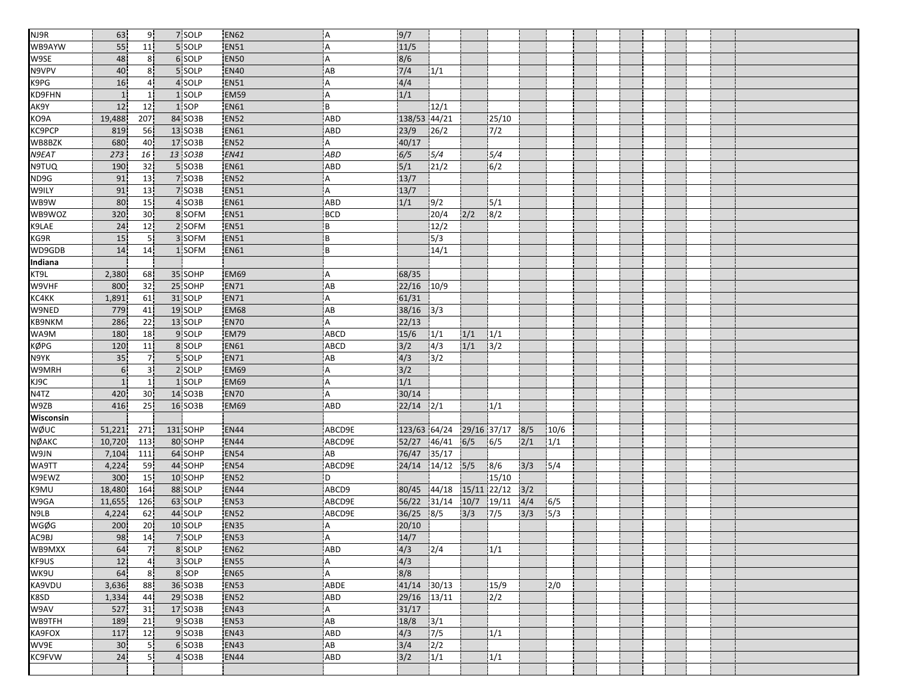| NJ9R              | 63               | 9 <sub>1</sub>  | 7 SOLP   | <b>EN62</b> | ΙA.        | 9/7                                 |               |      |                          |     |      |  |  |  |  |
|-------------------|------------------|-----------------|----------|-------------|------------|-------------------------------------|---------------|------|--------------------------|-----|------|--|--|--|--|
| WB9AYW            | 55               | 11              | 5 SOLP   | <b>EN51</b> | A          | 11/5                                |               |      |                          |     |      |  |  |  |  |
| W9SE              | 48               | 8 <sup>1</sup>  | 6 SOLP   | <b>EN50</b> | l A        | 8/6                                 |               |      |                          |     |      |  |  |  |  |
| N9VPV             | 40               | 8 <sup>1</sup>  | 5 SOLP   | <b>EN40</b> | AB         | 7/4                                 | 1/1           |      |                          |     |      |  |  |  |  |
| K9PG              | 16               | 4 <sup>1</sup>  | 4 SOLP   | <b>EN51</b> | A          | 4/4                                 |               |      |                          |     |      |  |  |  |  |
| KD9FHN            | $\mathbf{1}$     | $\mathbf{1}$    | 1 SOLP   | <b>EM59</b> | l A        | 1/1                                 |               |      |                          |     |      |  |  |  |  |
| AK9Y              | 12               | 12              | 1 SOP    | <b>EN61</b> | ΙB         |                                     | 12/1          |      |                          |     |      |  |  |  |  |
| KO9A              | 19,488           | 207             | 84 SO3B  | EN52        | ABD        | 138/53 44/21                        |               |      | 25/10                    |     |      |  |  |  |  |
| KC9PCP            | 819              | 56              | 13 SO3B  | <b>EN61</b> | <b>ABD</b> | 23/9                                | 26/2          |      | 7/2                      |     |      |  |  |  |  |
| WB8BZK            | 680              | 40              | 17 SO3B  | <b>EN52</b> | Α          | 40/17                               |               |      |                          |     |      |  |  |  |  |
| N9EAT             | 273              | 16              | 13 SO3B  | <b>EN41</b> | <b>ABD</b> | 6/5                                 | 5/4           |      | 5/4                      |     |      |  |  |  |  |
| N9TUQ             | 190              | 32              | 5 SO3B   | <b>EN61</b> | <b>ABD</b> | 5/1                                 | 21/2          |      | 6/2                      |     |      |  |  |  |  |
| ND9G              | 91               | 13              | 7 SO3B   | <b>EN52</b> | Α          | 13/7                                |               |      |                          |     |      |  |  |  |  |
| W9ILY             | 91               | 13 <sup>1</sup> | 7 SO3B   | <b>EN51</b> | ΙA.        | 13/7                                |               |      |                          |     |      |  |  |  |  |
| WB9W              | 80               | 15 <sup>1</sup> | 4 SO3B   | EN61        | ABD        | 1/1                                 | 9/2           |      | 5/1                      |     |      |  |  |  |  |
| WB9WOZ            | 320              | 30              | 8 SOFM   | <b>EN51</b> | <b>BCD</b> |                                     | 20/4          | 2/2  | 8/2                      |     |      |  |  |  |  |
| K9LAE             | 24               | 12              | 2 SOFM   | <b>EN51</b> | B          |                                     | 12/2          |      |                          |     |      |  |  |  |  |
| KG9R              | 15               | 5 <sub>1</sub>  | 3 SOFM   | EN51        | i B        |                                     | $\sqrt{5/3}$  |      |                          |     |      |  |  |  |  |
| WD9GDB            | 14               | 14              | 1 SOFM   | <b>EN61</b> | B          |                                     | 14/1          |      |                          |     |      |  |  |  |  |
| Indiana           |                  |                 |          |             |            |                                     |               |      |                          |     |      |  |  |  |  |
| KT9L              | 2,380            | 68              | 35 SOHP  | EM69        | Α          | 68/35                               |               |      |                          |     |      |  |  |  |  |
| W9VHF             | 800              | 32              | 25 SOHP  | <b>EN71</b> | AB         | 22/16                               | 10/9          |      |                          |     |      |  |  |  |  |
| KC4KK             | 1,891            | 61              | 31 SOLP  | EN71        | A          | 61/31                               |               |      |                          |     |      |  |  |  |  |
| W9NED             | 779              | 41              | 19 SOLP  | EM68        | AB         | $38/16$ $3/3$                       |               |      |                          |     |      |  |  |  |  |
| KB9NKM            | 286              | 22              | 13 SOLP  | <b>EN70</b> | А          | 22/13                               |               |      |                          |     |      |  |  |  |  |
| WA9M              | 180              | 18              | 9 SOLP   | <b>EM79</b> | ABCD       | 15/6                                | 1/1           | 1/1  | 1/1                      |     |      |  |  |  |  |
| <b>KØPG</b>       | 120              | 11              | 8 SOLP   | EN61        | ABCD       | 3/2                                 | $\sqrt{4/3}$  | 1/1  | $\overline{\frac{3}{2}}$ |     |      |  |  |  |  |
| N9YK              | 35               | 7.              | 5 SOLP   | <b>EN71</b> | AB         | 4/3                                 | 3/2           |      |                          |     |      |  |  |  |  |
| W9MRH             | $6 \overline{6}$ | 3 <sup>1</sup>  | 2 SOLP   | EM69        | A          | 3/2                                 |               |      |                          |     |      |  |  |  |  |
| K1 <sub>3</sub> C | $\mathbf{1}$     | 1 <sup>1</sup>  | 1 SOLP   | EM69        | ΙA.        | $1/1$                               |               |      |                          |     |      |  |  |  |  |
| N4TZ              | 420              | 30              | 14 SO3B  | <b>EN70</b> | A          | 30/14                               |               |      |                          |     |      |  |  |  |  |
| W9ZB              | 416              | 25              | 16 SO3B  | <b>EM69</b> | ABD        | $\overline{22}/14$ $\overline{2}/1$ |               |      | 1/1                      |     |      |  |  |  |  |
| Wisconsin         |                  |                 |          |             |            |                                     |               |      |                          |     |      |  |  |  |  |
| <b>WØUC</b>       | 51,221           | 271             | 131 SOHP | <b>EN44</b> | ABCD9E     | 123/63 64/24                        |               |      | 29/16 37/17              | 8/5 | 10/6 |  |  |  |  |
| <b>NØAKC</b>      | 10,720           | 113             | 80 SOHP  | <b>EN44</b> | ABCD9E     | 52/27                               | 46/41         | 6/5  | 6/5                      | 2/1 | 1/1  |  |  |  |  |
| W9JN              | 7,104            | 111             | 64 SOHP  | EN54        | AB         | 76/47                               | 35/17         |      |                          |     |      |  |  |  |  |
| WA9TT             | 4,224            | 59              | 44 SOHP  | <b>EN54</b> | ABCD9E     | 24/14                               | 14/12         | 5/5  | 8/6                      | 3/3 | 5/4  |  |  |  |  |
| W9EWZ             | 300              | 15              | 10 SOHP  | EN52        | D          |                                     |               |      | 15/10                    |     |      |  |  |  |  |
| K9MU              | 18,480           | 164             | 88 SOLP  | EN44        | ABCD9      | 80/45                               | 44/18         |      | 15/11 22/12              | 3/2 |      |  |  |  |  |
| W9GA              | 11,655           | 126             | 63 SOLP  | EN53        | ABCD9E     | 56/22                               | 31/14         | 10/7 | 19/11                    | 4/4 | 6/5  |  |  |  |  |
| N9LB              | 4,224            | 62              | 44 SOLP  | EN52        | ABCD9E     | 36/25                               | 8/5           | 3/3  | 7/5                      | 3/3 | 5/3  |  |  |  |  |
| <b>WGØG</b>       | 200              | 20              | 10 SOLP  | EN35        | A          | 20/10                               |               |      |                          |     |      |  |  |  |  |
|                   | 98               | 14              | 7 SOLP   | <b>EN53</b> | ¦A         | 14/7                                |               |      |                          |     |      |  |  |  |  |
| AC9BJ<br>WB9MXX   | 64               | 7 <sup>1</sup>  | 8 SOLP   | <b>EN62</b> | <b>ABD</b> | 4/3                                 | 2/4           |      | 1/1                      |     |      |  |  |  |  |
| KF9US             | 12               | $\overline{4}$  | 3 SOLP   | EN55        | A          | 4/3                                 |               |      |                          |     |      |  |  |  |  |
| WK9U              | 64               | 8 <sup>1</sup>  | 8 SOP    | <b>EN65</b> | A          | 8/8                                 |               |      |                          |     |      |  |  |  |  |
| KA9VDU            | 3,636            | 88              | 36 SO3B  | <b>EN53</b> | ABDE       | 41/14 30/13                         |               |      | 15/9                     |     | 2/0  |  |  |  |  |
| K8SD              | 1,334            | 44              | 29 SO3B  | <b>EN52</b> | ABD        | 29/16 13/11                         |               |      | 2/2                      |     |      |  |  |  |  |
| W9AV              | 527              | 31              | 17 SO3B  | <b>EN43</b> | A          | 31/17                               |               |      |                          |     |      |  |  |  |  |
| WB9TFH            | 189              | 21              | 9 SO3B   | <b>EN53</b> | AB         | 18/8                                | 3/1           |      |                          |     |      |  |  |  |  |
| KA9FOX            | 117              | 12              | 9 SO3B   | <b>EN43</b> | ABD        | 4/3                                 | $\sqrt{7/5}$  |      | 1/1                      |     |      |  |  |  |  |
| WV9E              | 30               | 5 <sub>1</sub>  | 6 SO3B   | <b>EN43</b> | AB         | $3/4$                               | $\frac{1}{2}$ |      |                          |     |      |  |  |  |  |
| <b>KC9FVW</b>     | 24               | 5 <sub>1</sub>  | 4 SO3B   | <b>EN44</b> | ABD        | 3/2                                 | 1/1           |      | 1/1                      |     |      |  |  |  |  |
|                   |                  |                 |          |             |            |                                     |               |      |                          |     |      |  |  |  |  |
|                   |                  |                 |          |             |            |                                     |               |      |                          |     |      |  |  |  |  |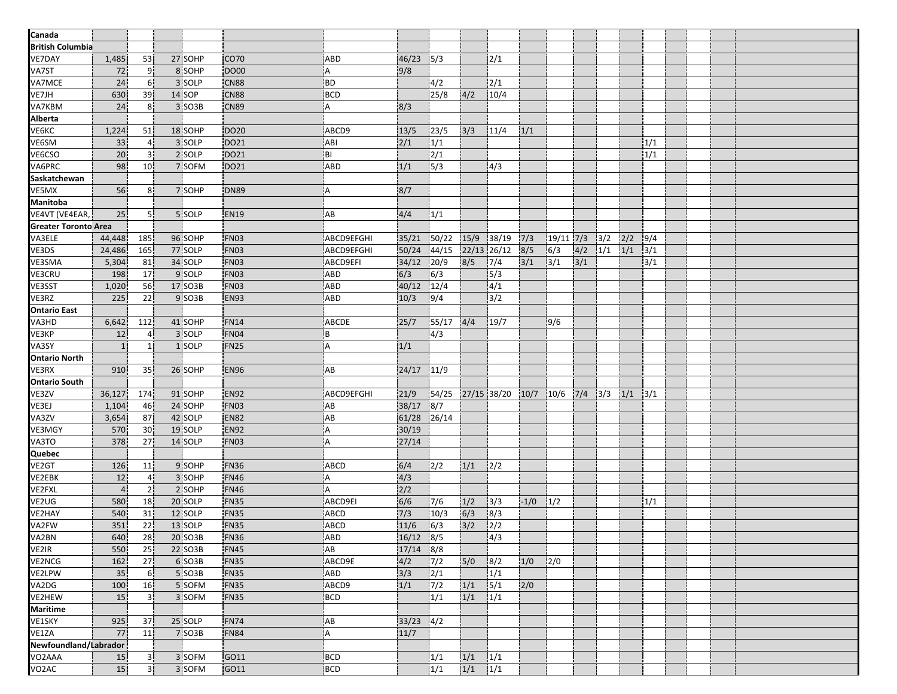| Canada                  |                 |                 |         |                  |                                |                  |             |      |                 |        |             |     |     |     |               |  |  |
|-------------------------|-----------------|-----------------|---------|------------------|--------------------------------|------------------|-------------|------|-----------------|--------|-------------|-----|-----|-----|---------------|--|--|
| <b>British Columbia</b> |                 |                 |         |                  |                                |                  |             |      |                 |        |             |     |     |     |               |  |  |
| VE7DAY                  | 1,485           | 53              | 27 SOHP | CO <sub>70</sub> | <b>ABD</b>                     | 46/23            | 5/3         |      | 12/1            |        |             |     |     |     |               |  |  |
| VA7ST                   |                 |                 |         | <b>DO00</b>      |                                |                  |             |      |                 |        |             |     |     |     |               |  |  |
| VA7MCE                  | 72              | 9               | 8 SOHP  |                  | Α                              | 9/8              |             |      |                 |        |             |     |     |     |               |  |  |
| VE7JH                   | 24 <sub>1</sub> | 6 <sup>1</sup>  | 3 SOLP  | <b>CN88</b>      | .BD                            |                  | 4/2<br>25/8 |      | 2/1             |        |             |     |     |     |               |  |  |
| <b>VA7KBM</b>           | 630             | 39              | 14 SOP  | <b>CN88</b>      | <b>BCD</b>                     |                  |             | 4/2  | 10/4            |        |             |     |     |     |               |  |  |
|                         | 24              | 8 <sup>1</sup>  | 3 SO3B  | <b>CN89</b>      | A                              | 8/3              |             |      |                 |        |             |     |     |     |               |  |  |
| Alberta                 |                 |                 |         |                  |                                |                  |             |      |                 |        |             |     |     |     |               |  |  |
| VE6KC                   | 1,224           | 51              | 18 SOHP | DO20             | ABCD9                          | 13/5             | 123/5       | 3/3  | 11/4            | 1/1    |             |     |     |     |               |  |  |
| VE6SM                   | 33              | $\overline{4}$  | 3 SOLP  | DO21             | ABI                            | 2/1              | 1/1         |      |                 |        |             |     |     |     | 1/1           |  |  |
| VE6CSO                  | 20              | 3 <sup>1</sup>  | 2 SOLP  | DO21             | BI                             |                  | 2/1         |      |                 |        |             |     |     |     | 1/1           |  |  |
| VA6PRC                  | 98              | 10 <sub>1</sub> | 7 SOFM  | DO21             | <b>ABD</b>                     | 1/1              | 5/3         |      | 4/3             |        |             |     |     |     |               |  |  |
| Saskatchewan            |                 |                 |         |                  |                                |                  |             |      |                 |        |             |     |     |     |               |  |  |
| VE5MX                   | 56              | 8 <sup>1</sup>  | 7 SOHP  | <b>DN89</b>      | l A                            | 8/7              |             |      |                 |        |             |     |     |     |               |  |  |
| <b>Manitoba</b>         |                 |                 |         |                  |                                |                  |             |      |                 |        |             |     |     |     |               |  |  |
| VE4VT (VE4EAR,          | 25              | 51              | 5 SOLP  | <b>EN19</b>      | AB                             | 4/4              | 1/1         |      |                 |        |             |     |     |     |               |  |  |
| Greater Toronto Area    |                 |                 |         |                  |                                |                  |             |      |                 |        |             |     |     |     |               |  |  |
| VA3ELE                  | 44,448          | 185             | 96 SOHP | FN03             | <b>ABCD9EFGHI</b>              | 35/21            | 50/22       | 15/9 | 38/19           | 7/3    | $19/11$ 7/3 |     | 3/2 | 2/2 | 9/4           |  |  |
| VE3DS                   | 24,486          | 165             | 77 SOLP | FN03             | ABCD9EFGHI                     | 50/24            | 44/15       |      | $22/13$ $26/12$ | 8/5    | 6/3         | 4/2 | 1/1 | 1/1 | 3/1           |  |  |
| VE3SMA                  | 5,304           | 81              | 34 SOLP | FN03             | ABCD9EFI                       | 34/12            | 20/9        | 8/5  | 7/4             | 3/1    | 3/1         | 3/1 |     |     | 3/1           |  |  |
| VE3CRU                  | 198             | 17              | 9 SOLP  | FN03             | <b>ABD</b>                     | 6/3              | 6/3         |      | 15/3            |        |             |     |     |     |               |  |  |
| VE3SST                  | 1,020           | 56              | 17 SO3B | <b>FN03</b>      | ABD                            | 40/12            | 12/4        |      | 4/1             |        |             |     |     |     |               |  |  |
| VE3RZ                   | 225             | 22 <sub>1</sub> | 9 SO3B  | EN93             | <b>ABD</b>                     | 10/3             | 9/4         |      | 3/2             |        |             |     |     |     |               |  |  |
| <b>Ontario East</b>     |                 |                 |         |                  |                                |                  |             |      |                 |        |             |     |     |     |               |  |  |
| VA3HD                   | 6,642           | 112             | 41 SOHP | <b>FN14</b>      | ABCDE                          | 25/7             | 55/17       | 4/4  | 19/7            |        | 9/6         |     |     |     |               |  |  |
| VE3KP                   | 12              | 4 <sup>1</sup>  | 3 SOLP  | FN04             | ŀΒ                             |                  | 14/3        |      |                 |        |             |     |     |     |               |  |  |
| VA3SY                   | $\mathbf{1}$    | 1 <sup>1</sup>  | 1 SOLP  | <b>FN25</b>      | i A                            | 1/1              |             |      |                 |        |             |     |     |     |               |  |  |
| <b>Ontario North</b>    |                 |                 |         |                  |                                |                  |             |      |                 |        |             |     |     |     |               |  |  |
| VE3RX                   | 910             | 35 <sup>1</sup> | 26 SOHP | <b>EN96</b>      | AB                             | $24/17$ 11/9     |             |      |                 |        |             |     |     |     |               |  |  |
| <b>Ontario South</b>    |                 |                 |         |                  |                                |                  |             |      |                 |        |             |     |     |     |               |  |  |
| VE3ZV                   | 36,127          | 174             | 91 SOHP | <b>EN92</b>      | ABCD9EFGHI                     | 21/9             | 54/25       |      | 27/15 38/20     | 10/7   | 10/6        | 7/4 | 3/3 | 1/1 | $\frac{3}{1}$ |  |  |
| VE3EJ                   | 1,104           | 46              | 24 SOHP | FN03             | AB                             | 38/17            | 8/7         |      |                 |        |             |     |     |     |               |  |  |
| VA3ZV                   | 3,654           | 87              | 42 SOLP | EN82             | AB                             | 61/28            | 26/14       |      |                 |        |             |     |     |     |               |  |  |
| VE3MGY                  | 570             | 30              | 19 SOLP | <b>EN92</b>      | A                              | 30/19            |             |      |                 |        |             |     |     |     |               |  |  |
| VA3TO                   | 378             | 27 <sup>1</sup> | 14 SOLP | <b>FN03</b>      | .A                             | 27/14            |             |      |                 |        |             |     |     |     |               |  |  |
| Quebec                  |                 |                 |         |                  |                                |                  |             |      |                 |        |             |     |     |     |               |  |  |
| VE <sub>2</sub> GT      | 126             | 11              | 9 SOHP  | <b>FN36</b>      | ABCD                           | 6/4              | 2/2         | 1/1  | 2/2             |        |             |     |     |     |               |  |  |
| VE2EBK                  | 12              | $\overline{4}$  | 3 SOHP  | <b>FN46</b>      | A                              | 4/3              |             |      |                 |        |             |     |     |     |               |  |  |
| VE2FXL                  | $\overline{4}$  | 2 <sub>1</sub>  | 2 SOHP  | <b>FN46</b>      | A                              | $\overline{2/2}$ |             |      |                 |        |             |     |     |     |               |  |  |
| VE2UG                   | 580             | 18              | 20 SOLP | FN35             | ABCD9EI                        | 6/6              | 7/6         | 1/2  | 3/3             | $-1/0$ | 1/2         |     |     |     | 1/1           |  |  |
| VE2HAY                  | 540             | 31              | 12 SOLP | FN35             | ABCD                           | 7/3              | 10/3        | 6/3  | 8/3             |        |             |     |     |     |               |  |  |
| VA2FW                   | 351             | 22              | 13 SOLP | FN35             | ABCD                           | 11/6             | 6/3         | 3/2  | 2/2             |        |             |     |     |     |               |  |  |
|                         | 640             | 28              | 20 SO3B | <b>FN36</b>      |                                | $16/12$ 8/5      |             |      | 4/3             |        |             |     |     |     |               |  |  |
| VA2BN<br>VE2IR          | 550             | 25              | 22 SO3B | <b>FN45</b>      | ABD]<br>$\mathsf{A}\mathsf{B}$ | $17/14$ 8/8      |             |      |                 |        |             |     |     |     |               |  |  |
| <b>VE2NCG</b>           |                 |                 |         |                  |                                |                  |             |      |                 |        |             |     |     |     |               |  |  |
| <b>VE2LPW</b>           | 162             | 27              | 6 SO3B  | FN35             | ABCD9E                         | 4/2              | $7/2$       | 5/0  | 8/2             | 1/0    | 2/0         |     |     |     |               |  |  |
|                         | 35              | 6 <sup>1</sup>  | 5 SO3B  | <b>FN35</b>      | <b>ABD</b>                     | 3/3              | 2/1         |      | 1/1             |        |             |     |     |     |               |  |  |
| VA2DG                   | 100             | 16              | 5 SOFM  | FN35             | ABCD9                          | $1/1$            | 7/2         | 1/1  | 5/1             | 2/0    |             |     |     |     |               |  |  |
| VE2HEW                  | 15              | 3 <sup>1</sup>  | 3 SOFM  | FN35             | <b>BCD</b>                     |                  | 1/1         | 1/1  | 1/1             |        |             |     |     |     |               |  |  |
| <b>Maritime</b>         |                 |                 |         |                  |                                |                  |             |      |                 |        |             |     |     |     |               |  |  |
| VE1SKY                  | 925             | 37              | 25 SOLP | <b>FN74</b>      | AB                             | $33/23$ $4/2$    |             |      |                 |        |             |     |     |     |               |  |  |
| VE1ZA                   | 77              | 11              | 7 SO3B  | FN84             | i A                            | 11/7             |             |      |                 |        |             |     |     |     |               |  |  |
| Newfoundland/Labrador   |                 |                 |         |                  |                                |                  |             |      |                 |        |             |     |     |     |               |  |  |
| VO <sub>2</sub> AAA     | 15              | 3 <sub>1</sub>  | 3 SOFM  | GO11             | <b>BCD</b>                     |                  | 1/1         | 1/1  | 1/1             |        |             |     |     |     |               |  |  |
| VO <sub>2</sub> AC      | 15              | 3 <sup>1</sup>  | 3 SOFM  | GO11             | BCD                            |                  | 1/1         | 1/1  | 1/1             |        |             |     |     |     |               |  |  |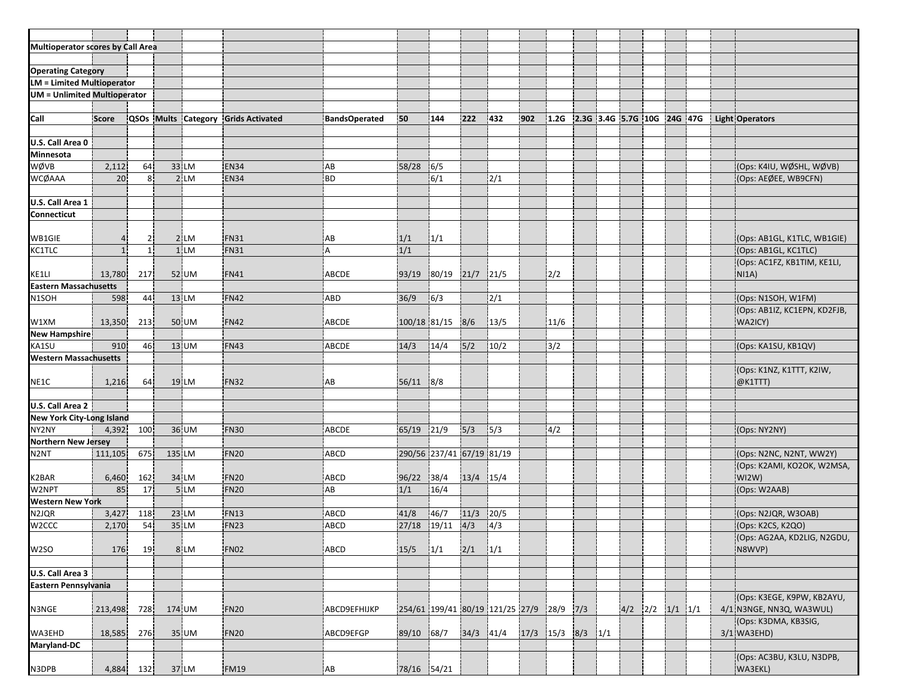| <b>Multioperator scores by Call Area</b> |                |                |        |                                     |                |                |                           |               |                                 |      |                                 |  |                         |  |  |                              |
|------------------------------------------|----------------|----------------|--------|-------------------------------------|----------------|----------------|---------------------------|---------------|---------------------------------|------|---------------------------------|--|-------------------------|--|--|------------------------------|
|                                          |                |                |        |                                     |                |                |                           |               |                                 |      |                                 |  |                         |  |  |                              |
| <b>Operating Category</b>                |                |                |        |                                     |                |                |                           |               |                                 |      |                                 |  |                         |  |  |                              |
| <b>LM = Limited Multioperator</b>        |                |                |        |                                     |                |                |                           |               |                                 |      |                                 |  |                         |  |  |                              |
| <b>UM</b> = Unlimited Multioperator      |                |                |        |                                     |                |                |                           |               |                                 |      |                                 |  |                         |  |  |                              |
|                                          |                |                |        |                                     |                |                |                           |               |                                 |      |                                 |  |                         |  |  |                              |
|                                          | Score          |                |        |                                     |                | 50             | 144                       | 222           | 432                             | 902  |                                 |  |                         |  |  |                              |
| Call                                     |                |                |        | QSOs Mults Category Grids Activated | BandsOperated  |                |                           |               |                                 |      | 1.2G 2.3G 3.4G 5.7G 10G 24G 47G |  |                         |  |  | <b>Light Operators</b>       |
| U.S. Call Area 0                         |                |                |        |                                     |                |                |                           |               |                                 |      |                                 |  |                         |  |  |                              |
| <b>Minnesota</b>                         |                |                |        |                                     |                |                |                           |               |                                 |      |                                 |  |                         |  |  |                              |
|                                          |                |                |        |                                     |                |                |                           |               |                                 |      |                                 |  |                         |  |  |                              |
| WØVB                                     | 2,112          | 64             | 33 LM  | EN34                                | AB             | 58/28          | 6/5                       |               |                                 |      |                                 |  |                         |  |  | (Ops: K4IU, WØSHL, WØVB)     |
| <b>WCØAAA</b>                            | 20             | 8 <sup>1</sup> | $2$ LM | <b>EN34</b>                         | BD             |                | $\overline{6/1}$          |               | 2/1                             |      |                                 |  |                         |  |  | (Ops: AEØEE, WB9CFN)         |
|                                          |                |                |        |                                     |                |                |                           |               |                                 |      |                                 |  |                         |  |  |                              |
| U.S. Call Area 1                         |                |                |        |                                     |                |                |                           |               |                                 |      |                                 |  |                         |  |  |                              |
| Connecticut                              |                |                |        |                                     |                |                |                           |               |                                 |      |                                 |  |                         |  |  |                              |
|                                          |                |                |        |                                     |                |                |                           |               |                                 |      |                                 |  |                         |  |  |                              |
| WB1GIE                                   | $\overline{4}$ | 2              | 2 LM   | FN31                                | IAB            | 1/1            | 1/1                       |               |                                 |      |                                 |  |                         |  |  | (Ops: AB1GL, K1TLC, WB1GIE)  |
| <b>KC1TLC</b>                            | $\mathbf{1}$   | $\mathbf{1}$   | 1 LM   | FN31                                | $\overline{A}$ | 1/1            |                           |               |                                 |      |                                 |  |                         |  |  | (Ops: AB1GL, KC1TLC)         |
|                                          |                |                |        |                                     |                |                |                           |               |                                 |      |                                 |  |                         |  |  | (Ops: AC1FZ, KB1TIM, KE1LI,  |
| KE1LI                                    | 13,780         | 217            | 52 UM  | FN41                                | ABCDE          | 93/19          | 80/19                     | $21/7$ 21/5   |                                 |      | 2/2                             |  |                         |  |  | NIA)                         |
| <b>Eastern Massachusetts</b>             |                |                |        |                                     |                |                |                           |               |                                 |      |                                 |  |                         |  |  |                              |
| N <sub>1</sub> SOH                       | 598            | 44             | 13 LM  | <b>FN42</b>                         | <b>ABD</b>     | 36/9           | 6/3                       |               | 2/1                             |      |                                 |  |                         |  |  | (Ops: N1SOH, W1FM)           |
|                                          |                |                |        |                                     |                |                |                           |               |                                 |      |                                 |  |                         |  |  | (Ops: AB1IZ, KC1EPN, KD2FJB, |
| W1XM                                     | 13,350         | 213            | 50 UM  | FN42                                | ABCDE          | 100/18 81/15   |                           | 8/6           | 13/5                            |      | 11/6                            |  |                         |  |  | WA2ICY)                      |
| <b>New Hampshire</b>                     |                |                |        |                                     |                |                |                           |               |                                 |      |                                 |  |                         |  |  |                              |
| KA1SU                                    | 910            | 46             | 13 UM  | FN43                                | <b>ABCDE</b>   | 14/3           | 14/4                      | 5/2           | 10/2                            |      | 3/2                             |  |                         |  |  | (Ops: KA1SU, KB1QV)          |
| <b>Western Massachusetts</b>             |                |                |        |                                     |                |                |                           |               |                                 |      |                                 |  |                         |  |  |                              |
|                                          |                |                |        |                                     |                |                |                           |               |                                 |      |                                 |  |                         |  |  | (Ops: K1NZ, K1TTT, K2IW,     |
| NE1C                                     | 1,216          | 64             | 19 LM  | FN32                                | ¦AB            | 56/11          | 8/8                       |               |                                 |      |                                 |  |                         |  |  | @K1TTT)                      |
|                                          |                |                |        |                                     |                |                |                           |               |                                 |      |                                 |  |                         |  |  |                              |
| U.S. Call Area 2                         |                |                |        |                                     |                |                |                           |               |                                 |      |                                 |  |                         |  |  |                              |
| <b>New York City-Long Island</b>         |                |                |        |                                     |                |                |                           |               |                                 |      |                                 |  |                         |  |  |                              |
| NY2NY                                    | 4,392          | 100            | 36 UM  | FN30                                | <b>ABCDE</b>   | $65/19$ $21/9$ |                           | 5/3           | 5/3                             |      | 4/2                             |  |                         |  |  | (Ops: NY2NY)                 |
| <b>Northern New Jersey</b>               |                |                |        |                                     |                |                |                           |               |                                 |      |                                 |  |                         |  |  |                              |
| N <sub>2N</sub> T                        | 111,105        | 675            | 135 LM | FN <sub>20</sub>                    | ABCD           |                | 290/56 237/41 67/19 81/19 |               |                                 |      |                                 |  |                         |  |  | (Ops: N2NC, N2NT, WW2Y)      |
|                                          |                |                |        |                                     |                |                |                           |               |                                 |      |                                 |  |                         |  |  | (Ops: K2AMI, KO2OK, W2MSA,   |
| K2BAR                                    | 6,460          | 162            | 34 LM  | FN <sub>20</sub>                    | <b>ABCD</b>    | 96/22          | $-38/4$                   | 13/4 15/4     |                                 |      |                                 |  |                         |  |  | W12W)                        |
| W2NPT                                    | 85             | 17             | 5 LM   | FN <sub>20</sub>                    | AB             | 1/1            | 16/4                      |               |                                 |      |                                 |  |                         |  |  | (Ops: W2AAB)                 |
| <b>Western New York</b>                  |                |                |        |                                     |                |                |                           |               |                                 |      |                                 |  |                         |  |  |                              |
| N2JQR                                    | 3,427          | 118            | 23 LM  | FN13                                | ABCD           | 41/8           | 146/7                     | 11/3          | 20/5                            |      |                                 |  |                         |  |  | (Ops: N2JQR, W3OAB)          |
| W2CCC                                    | 2,170          | 54             | 35 LM  | <b>FN23</b>                         | ABCD           | 27/18 19/11    |                           | 4/3           | 4/3                             |      |                                 |  |                         |  |  | (Ops: K2CS, K2QO)            |
|                                          |                |                |        |                                     |                |                |                           |               |                                 |      |                                 |  |                         |  |  | (Ops: AG2AA, KD2LIG, N2GDU,  |
| W2SO                                     | 176            | 19             | 8 LM   | <b>FN02</b>                         | ABCD           | 15/5           | 1/1                       | $2/1$ $1/1$   |                                 |      |                                 |  |                         |  |  | N8WVP)                       |
|                                          |                |                |        |                                     |                |                |                           |               |                                 |      |                                 |  |                         |  |  |                              |
| U.S. Call Area 3                         |                |                |        |                                     |                |                |                           |               |                                 |      |                                 |  |                         |  |  |                              |
| Eastern Pennsylvania                     |                |                |        |                                     |                |                |                           |               |                                 |      |                                 |  |                         |  |  |                              |
|                                          |                |                |        |                                     |                |                |                           |               |                                 |      |                                 |  |                         |  |  | (Ops: K3EGE, K9PW, KB2AYU,   |
| N3NGE                                    | 213,498        | 728            | 174 UM | FN <sub>20</sub>                    | ABCD9EFHIJKP   |                |                           |               | 254/61 199/41 80/19 121/25 27/9 |      | $28/9$ 7/3                      |  | $4/2$ $2/2$ $1/1$ $1/1$ |  |  | 4/1 N3NGE, NN3Q, WA3WUL)     |
|                                          |                |                |        |                                     |                |                |                           |               |                                 |      |                                 |  |                         |  |  | (Ops: K3DMA, KB3SIG,         |
|                                          |                |                |        |                                     | ABCD9EFGP      |                |                           |               |                                 |      |                                 |  |                         |  |  | 3/1 WA3EHD)                  |
| WA3EHD<br>Maryland-DC                    | 18,585         | 276            | 35 UM  | FN <sub>20</sub>                    |                | 89/10          | 68/7                      | $34/3$ $41/4$ |                                 | 17/3 | $15/3$ 8/3 $1/1$                |  |                         |  |  |                              |
|                                          |                |                |        |                                     |                |                |                           |               |                                 |      |                                 |  |                         |  |  | (Ops: AC3BU, K3LU, N3DPB,    |
| N3DPB                                    | 4,884          | 132            | 37 LM  | <b>FM19</b>                         | AB             | 78/16 54/21    |                           |               |                                 |      |                                 |  |                         |  |  | WA3EKL)                      |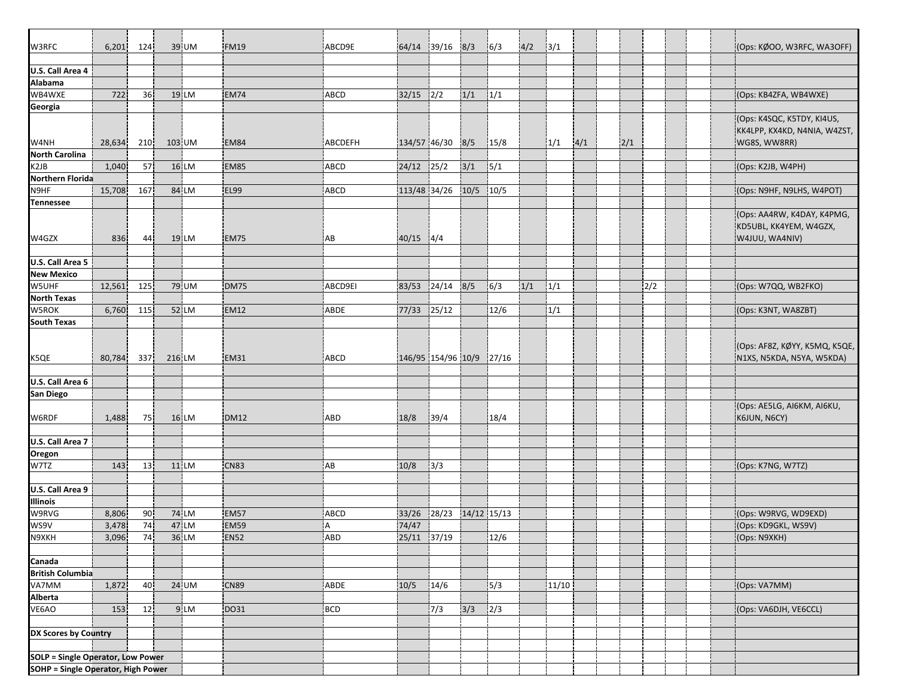| W3RFC                                    | 6,201          | 124             | 39 UM  | FM19        | ABCD9E     |              | 64/14 39/16 8/3    |             | 6/3    | 4/2 | 3/1   |     |     |     |  | (Ops: KØOO, W3RFC, WA3OFF)                                                 |
|------------------------------------------|----------------|-----------------|--------|-------------|------------|--------------|--------------------|-------------|--------|-----|-------|-----|-----|-----|--|----------------------------------------------------------------------------|
|                                          |                |                 |        |             |            |              |                    |             |        |     |       |     |     |     |  |                                                                            |
| U.S. Call Area 4<br>Alabama              |                |                 |        |             |            |              |                    |             |        |     |       |     |     |     |  |                                                                            |
|                                          |                |                 |        |             |            |              |                    |             |        |     |       |     |     |     |  |                                                                            |
| WB4WXE                                   | 722            | 36              | 19 LM  | EM74        | ABCD       | 32/15        | 2/2                | 1/1         | 1/1    |     |       |     |     |     |  | (Ops: KB4ZFA, WB4WXE)                                                      |
| Georgia                                  |                |                 |        |             |            |              |                    |             |        |     |       |     |     |     |  |                                                                            |
| W4NH                                     | 28,634         | 210             | 103 UM | EM84        | ABCDEFH    | 134/57 46/30 |                    | 8/5         | 15/8   |     | 1/1   | 4/1 | 2/1 |     |  | (Ops: K4SQC, K5TDY, KI4US,<br>KK4LPP, KX4KD, N4NIA, W4ZST,<br>WG8S, WW8RR) |
| <b>North Carolina</b>                    |                |                 |        |             |            |              |                    |             |        |     |       |     |     |     |  |                                                                            |
| K <sub>2</sub> J <sub>B</sub>            | 1,040          | 57              | 16 LM  | EM85        | ABCD       | 24/12        | 25/2               | 3/1         | 5/1    |     |       |     |     |     |  | (Ops: K2JB, W4PH)                                                          |
| Northern Florida                         |                |                 |        |             |            |              |                    |             |        |     |       |     |     |     |  |                                                                            |
| N9HF                                     | 15,708         | 167             | 84 LM  | <b>EL99</b> | ABCD       | 113/48 34/26 |                    | 10/5        | 10/5   |     |       |     |     |     |  | (Ops: N9HF, N9LHS, W4POT)                                                  |
| Tennessee                                |                |                 |        |             |            |              |                    |             |        |     |       |     |     |     |  |                                                                            |
| W4GZX                                    | 836            | 44              | 19 LM  | EM75        | ¦AB        | 40/15        | 4/4                |             |        |     |       |     |     |     |  | (Ops: AA4RW, K4DAY, K4PMG,<br>KD5UBL, KK4YEM, W4GZX,<br>W4JUU, WA4NIV)     |
| U.S. Call Area 5                         |                |                 |        |             |            |              |                    |             |        |     |       |     |     |     |  |                                                                            |
| <b>New Mexico</b>                        |                |                 |        |             |            |              |                    |             |        |     |       |     |     |     |  |                                                                            |
| W5UHF                                    |                | 125             |        | <b>DM75</b> | ABCD9EI    |              | 24/14              | 8/5         | 6/3    |     |       |     |     | 2/2 |  |                                                                            |
|                                          | 12,561         |                 | 79 UM  |             |            | 83/53        |                    |             |        | 1/1 | 1/1   |     |     |     |  | (Ops: W7QQ, WB2FKO)                                                        |
| North Texas                              |                |                 |        |             |            |              |                    |             |        |     |       |     |     |     |  |                                                                            |
| W5ROK                                    | 6,760          | 115             | 52 LM  | <b>EM12</b> | ABDE       | 77/33        | 25/12              |             | 12/6   |     | 1/1   |     |     |     |  | (Ops: K3NT, WA8ZBT)                                                        |
| <b>South Texas</b>                       |                |                 |        |             |            |              |                    |             |        |     |       |     |     |     |  |                                                                            |
| K5QE                                     | 80,784         | 337             | 216 LM | EM31        | ABCD       |              | 146/95 154/96 10/9 |             | 127/16 |     |       |     |     |     |  | [Ops: AF8Z, KØYY, K5MQ, K5QE,<br>N1XS, N5KDA, N5YA, W5KDA)                 |
|                                          |                |                 |        |             |            |              |                    |             |        |     |       |     |     |     |  |                                                                            |
| U.S. Call Area 6                         |                |                 |        |             |            |              |                    |             |        |     |       |     |     |     |  |                                                                            |
| San Diego                                |                |                 |        |             |            |              |                    |             |        |     |       |     |     |     |  |                                                                            |
| W6RDF                                    | 1,488          | 75              | 16 LM  | <b>DM12</b> | <b>ABD</b> | 18/8         | 39/4               |             | 18/4   |     |       |     |     |     |  | (Ops: AE5LG, AI6KM, AI6KU,<br>K6JUN, N6CY)                                 |
| U.S. Call Area 7                         |                |                 |        |             |            |              |                    |             |        |     |       |     |     |     |  |                                                                            |
| Oregon                                   |                |                 |        |             |            |              |                    |             |        |     |       |     |     |     |  |                                                                            |
| W7TZ                                     | 143            | 13              | 11 LM  | <b>CN83</b> | AB         | 10/8         | 3/3                |             |        |     |       |     |     |     |  | (Ops: K7NG, W7TZ)                                                          |
|                                          |                |                 |        |             |            |              |                    |             |        |     |       |     |     |     |  |                                                                            |
| U.S. Call Area 9                         |                |                 |        |             |            |              |                    |             |        |     |       |     |     |     |  |                                                                            |
| <b>Illinois</b>                          |                |                 |        |             |            |              |                    |             |        |     |       |     |     |     |  |                                                                            |
| W9RVG                                    | 8,806          | 90 <sub>1</sub> | 74 LM  | EM57        | ABCD       | 33/26        | 28/23              | 14/12 15/13 |        |     |       |     |     |     |  | (Ops: W9RVG, WD9EXD)                                                       |
| WS9V                                     |                | 74              | 47 LM  | EM59        | l A        | 74/47        |                    |             |        |     |       |     |     |     |  | (Ops: KD9GKL, WS9V)                                                        |
| N9XKH                                    | 3,478<br>3,096 | 74              | 36 LM  | <b>EN52</b> | ABD        |              | 25/11 37/19        |             | 12/6   |     |       |     |     |     |  | (Ops: N9XKH)                                                               |
|                                          |                |                 |        |             |            |              |                    |             |        |     |       |     |     |     |  |                                                                            |
|                                          |                |                 |        |             |            |              |                    |             |        |     |       |     |     |     |  |                                                                            |
| Canada<br>British Columbia               |                |                 |        |             |            |              |                    |             |        |     |       |     |     |     |  |                                                                            |
| VA7MM                                    |                |                 |        |             |            |              |                    |             |        |     |       |     |     |     |  |                                                                            |
|                                          | 1,872          | 40              | 24 UM  | <b>CN89</b> | ABDE       | 10/5         | 14/6               |             | 5/3    |     | 11/10 |     |     |     |  | (Ops: VA7MM)                                                               |
| Alberta                                  |                |                 |        |             |            |              |                    |             |        |     |       |     |     |     |  |                                                                            |
| VE6AO                                    | 153            | 12              | 9 LM   | DO31        | BCD        |              | 7/3                | 3/3         | 2/3    |     |       |     |     |     |  | (Ops: VA6DJH, VE6CCL)                                                      |
|                                          |                |                 |        |             |            |              |                    |             |        |     |       |     |     |     |  |                                                                            |
| DX Scores by Country                     |                |                 |        |             |            |              |                    |             |        |     |       |     |     |     |  |                                                                            |
|                                          |                |                 |        |             |            |              |                    |             |        |     |       |     |     |     |  |                                                                            |
| <b>SOLP = Single Operator, Low Power</b> |                |                 |        |             |            |              |                    |             |        |     |       |     |     |     |  |                                                                            |
| SOHP = Single Operator, High Power       |                |                 |        |             |            |              |                    |             |        |     |       |     |     |     |  |                                                                            |